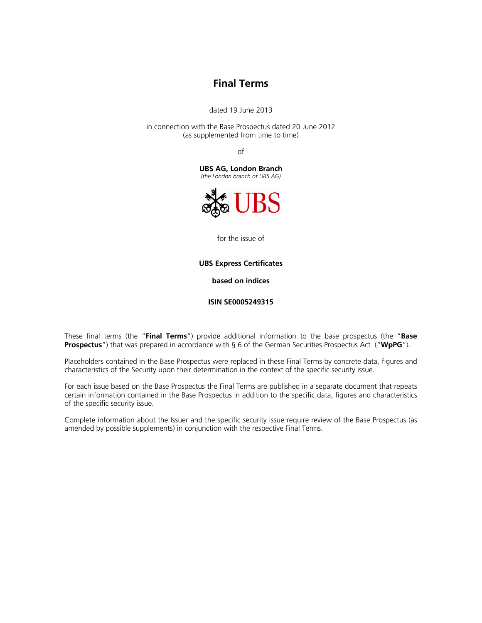# **Final Terms**

dated 19 June 2013

in connection with the Base Prospectus dated 20 June 2012 (as supplemented from time to time)

of

**UBS AG, London Branch**  *(the London branch of UBS AG)*



for the issue of

**UBS Express Certificates** 

**based on indices** 

**ISIN SE0005249315** 

These final terms (the "**Final Terms**") provide additional information to the base prospectus (the "**Base Prospectus**") that was prepared in accordance with § 6 of the German Securities Prospectus Act ("**WpPG**").

Placeholders contained in the Base Prospectus were replaced in these Final Terms by concrete data, figures and characteristics of the Security upon their determination in the context of the specific security issue.

For each issue based on the Base Prospectus the Final Terms are published in a separate document that repeats certain information contained in the Base Prospectus in addition to the specific data, figures and characteristics of the specific security issue.

Complete information about the Issuer and the specific security issue require review of the Base Prospectus (as amended by possible supplements) in conjunction with the respective Final Terms.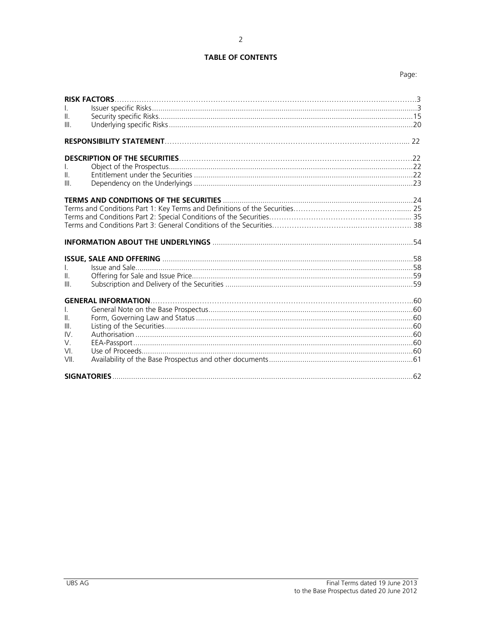# **TABLE OF CONTENTS**

| I.<br>$\mathbf{H}$<br>III.            |                                                                           |  |
|---------------------------------------|---------------------------------------------------------------------------|--|
|                                       | <b>RESPONSIBILITY STATEMENT</b> [22] [22] <b>RESPONSIBILITY STATEMENT</b> |  |
| $\mathbb{H}$<br>Ш                     |                                                                           |  |
|                                       |                                                                           |  |
|                                       |                                                                           |  |
|                                       |                                                                           |  |
| $\mathbf{L}$<br>$\mathbf{II}$<br>III. |                                                                           |  |
| Ш.<br>Ш<br>IV.<br>V.<br>VI.<br>VII.   |                                                                           |  |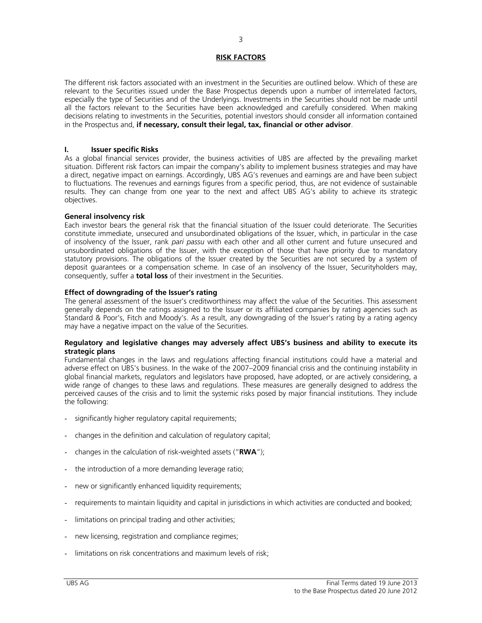# **RISK FACTORS**

The different risk factors associated with an investment in the Securities are outlined below. Which of these are relevant to the Securities issued under the Base Prospectus depends upon a number of interrelated factors, especially the type of Securities and of the Underlyings. Investments in the Securities should not be made until all the factors relevant to the Securities have been acknowledged and carefully considered. When making decisions relating to investments in the Securities, potential investors should consider all information contained in the Prospectus and, **if necessary, consult their legal, tax, financial or other advisor**.

# **I. Issuer specific Risks**

As a global financial services provider, the business activities of UBS are affected by the prevailing market situation. Different risk factors can impair the company's ability to implement business strategies and may have a direct, negative impact on earnings. Accordingly, UBS AG's revenues and earnings are and have been subject to fluctuations. The revenues and earnings figures from a specific period, thus, are not evidence of sustainable results. They can change from one year to the next and affect UBS AG's ability to achieve its strategic objectives.

## **General insolvency risk**

Each investor bears the general risk that the financial situation of the Issuer could deteriorate. The Securities constitute immediate, unsecured and unsubordinated obligations of the Issuer, which, in particular in the case of insolvency of the Issuer, rank *pari passu* with each other and all other current and future unsecured and unsubordinated obligations of the Issuer, with the exception of those that have priority due to mandatory statutory provisions. The obligations of the Issuer created by the Securities are not secured by a system of deposit guarantees or a compensation scheme. In case of an insolvency of the Issuer, Securityholders may, consequently, suffer a **total loss** of their investment in the Securities.

## **Effect of downgrading of the Issuer's rating**

The general assessment of the Issuer's creditworthiness may affect the value of the Securities. This assessment generally depends on the ratings assigned to the Issuer or its affiliated companies by rating agencies such as Standard & Poor's, Fitch and Moody's. As a result, any downgrading of the Issuer's rating by a rating agency may have a negative impact on the value of the Securities.

## **Regulatory and legislative changes may adversely affect UBS's business and ability to execute its strategic plans**

Fundamental changes in the laws and regulations affecting financial institutions could have a material and adverse effect on UBS's business. In the wake of the 2007–2009 financial crisis and the continuing instability in global financial markets, regulators and legislators have proposed, have adopted, or are actively considering, a wide range of changes to these laws and regulations. These measures are generally designed to address the perceived causes of the crisis and to limit the systemic risks posed by major financial institutions. They include the following:

- significantly higher regulatory capital requirements;
- changes in the definition and calculation of regulatory capital;
- changes in the calculation of risk-weighted assets ("**RWA**");
- the introduction of a more demanding leverage ratio;
- new or significantly enhanced liquidity requirements;
- requirements to maintain liquidity and capital in jurisdictions in which activities are conducted and booked;
- limitations on principal trading and other activities;
- new licensing, registration and compliance regimes;
- limitations on risk concentrations and maximum levels of risk;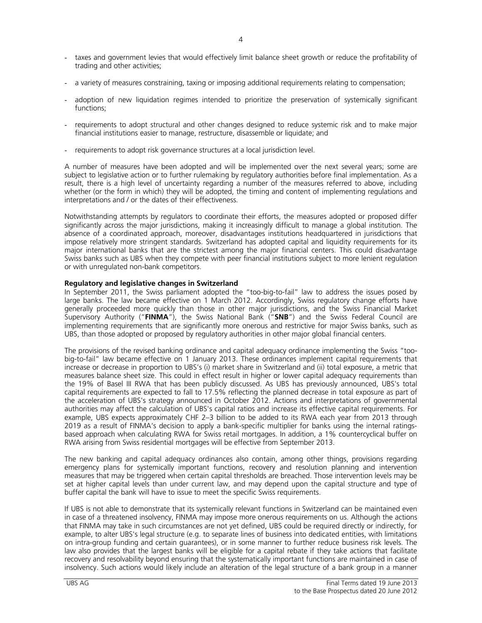- taxes and government levies that would effectively limit balance sheet growth or reduce the profitability of trading and other activities;
- a variety of measures constraining, taxing or imposing additional requirements relating to compensation;
- adoption of new liquidation regimes intended to prioritize the preservation of systemically significant functions;
- requirements to adopt structural and other changes designed to reduce systemic risk and to make major financial institutions easier to manage, restructure, disassemble or liquidate; and
- requirements to adopt risk governance structures at a local jurisdiction level.

A number of measures have been adopted and will be implemented over the next several years; some are subject to legislative action or to further rulemaking by regulatory authorities before final implementation. As a result, there is a high level of uncertainty regarding a number of the measures referred to above, including whether (or the form in which) they will be adopted, the timing and content of implementing regulations and interpretations and / or the dates of their effectiveness.

Notwithstanding attempts by regulators to coordinate their efforts, the measures adopted or proposed differ significantly across the major jurisdictions, making it increasingly difficult to manage a global institution. The absence of a coordinated approach, moreover, disadvantages institutions headquartered in jurisdictions that impose relatively more stringent standards. Switzerland has adopted capital and liquidity requirements for its major international banks that are the strictest among the major financial centers. This could disadvantage Swiss banks such as UBS when they compete with peer financial institutions subject to more lenient regulation or with unregulated non-bank competitors.

# **Regulatory and legislative changes in Switzerland**

In September 2011, the Swiss parliament adopted the "too-big-to-fail" law to address the issues posed by large banks. The law became effective on 1 March 2012. Accordingly, Swiss regulatory change efforts have generally proceeded more quickly than those in other major jurisdictions, and the Swiss Financial Market Supervisory Authority ("**FINMA**"), the Swiss National Bank ("**SNB**") and the Swiss Federal Council are implementing requirements that are significantly more onerous and restrictive for major Swiss banks, such as UBS, than those adopted or proposed by regulatory authorities in other major global financial centers.

The provisions of the revised banking ordinance and capital adequacy ordinance implementing the Swiss "toobig-to-fail" law became effective on 1 January 2013. These ordinances implement capital requirements that increase or decrease in proportion to UBS's (i) market share in Switzerland and (ii) total exposure, a metric that measures balance sheet size. This could in effect result in higher or lower capital adequacy requirements than the 19% of Basel III RWA that has been publicly discussed. As UBS has previously announced, UBS's total capital requirements are expected to fall to 17.5% reflecting the planned decrease in total exposure as part of the acceleration of UBS's strategy announced in October 2012. Actions and interpretations of governmental authorities may affect the calculation of UBS's capital ratios and increase its effective capital requirements. For example, UBS expects approximately CHF 2–3 billion to be added to its RWA each year from 2013 through 2019 as a result of FINMA's decision to apply a bank-specific multiplier for banks using the internal ratingsbased approach when calculating RWA for Swiss retail mortgages. In addition, a 1% countercyclical buffer on RWA arising from Swiss residential mortgages will be effective from September 2013.

The new banking and capital adequacy ordinances also contain, among other things, provisions regarding emergency plans for systemically important functions, recovery and resolution planning and intervention measures that may be triggered when certain capital thresholds are breached. Those intervention levels may be set at higher capital levels than under current law, and may depend upon the capital structure and type of buffer capital the bank will have to issue to meet the specific Swiss requirements.

If UBS is not able to demonstrate that its systemically relevant functions in Switzerland can be maintained even in case of a threatened insolvency, FINMA may impose more onerous requirements on us. Although the actions that FINMA may take in such circumstances are not yet defined, UBS could be required directly or indirectly, for example, to alter UBS's legal structure (e.g. to separate lines of business into dedicated entities, with limitations on intra-group funding and certain guarantees), or in some manner to further reduce business risk levels. The law also provides that the largest banks will be eligible for a capital rebate if they take actions that facilitate recovery and resolvability beyond ensuring that the systematically important functions are maintained in case of insolvency. Such actions would likely include an alteration of the legal structure of a bank group in a manner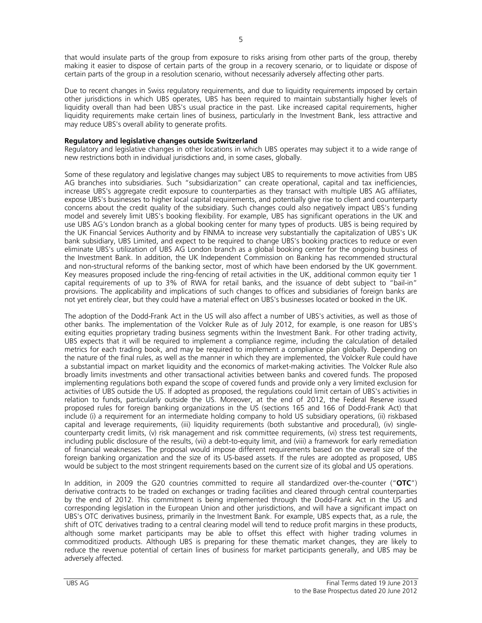that would insulate parts of the group from exposure to risks arising from other parts of the group, thereby making it easier to dispose of certain parts of the group in a recovery scenario, or to liquidate or dispose of certain parts of the group in a resolution scenario, without necessarily adversely affecting other parts.

Due to recent changes in Swiss regulatory requirements, and due to liquidity requirements imposed by certain other jurisdictions in which UBS operates, UBS has been required to maintain substantially higher levels of liquidity overall than had been UBS's usual practice in the past. Like increased capital requirements, higher liquidity requirements make certain lines of business, particularly in the Investment Bank, less attractive and may reduce UBS's overall ability to generate profits.

# **Regulatory and legislative changes outside Switzerland**

Regulatory and legislative changes in other locations in which UBS operates may subject it to a wide range of new restrictions both in individual jurisdictions and, in some cases, globally.

Some of these regulatory and legislative changes may subject UBS to requirements to move activities from UBS AG branches into subsidiaries. Such "subsidiarization" can create operational, capital and tax inefficiencies, increase UBS's aggregate credit exposure to counterparties as they transact with multiple UBS AG affiliates, expose UBS's businesses to higher local capital requirements, and potentially give rise to client and counterparty concerns about the credit quality of the subsidiary. Such changes could also negatively impact UBS's funding model and severely limit UBS's booking flexibility. For example, UBS has significant operations in the UK and use UBS AG's London branch as a global booking center for many types of products. UBS is being required by the UK Financial Services Authority and by FINMA to increase very substantially the capitalization of UBS's UK bank subsidiary, UBS Limited, and expect to be required to change UBS's booking practices to reduce or even eliminate UBS's utilization of UBS AG London branch as a global booking center for the ongoing business of the Investment Bank. In addition, the UK Independent Commission on Banking has recommended structural and non-structural reforms of the banking sector, most of which have been endorsed by the UK government. Key measures proposed include the ring-fencing of retail activities in the UK, additional common equity tier 1 capital requirements of up to 3% of RWA for retail banks, and the issuance of debt subject to "bail-in" provisions. The applicability and implications of such changes to offices and subsidiaries of foreign banks are not yet entirely clear, but they could have a material effect on UBS's businesses located or booked in the UK.

The adoption of the Dodd-Frank Act in the US will also affect a number of UBS's activities, as well as those of other banks. The implementation of the Volcker Rule as of July 2012, for example, is one reason for UBS's exiting equities proprietary trading business segments within the Investment Bank. For other trading activity, UBS expects that it will be required to implement a compliance regime, including the calculation of detailed metrics for each trading book, and may be required to implement a compliance plan globally. Depending on the nature of the final rules, as well as the manner in which they are implemented, the Volcker Rule could have a substantial impact on market liquidity and the economics of market-making activities. The Volcker Rule also broadly limits investments and other transactional activities between banks and covered funds. The proposed implementing regulations both expand the scope of covered funds and provide only a very limited exclusion for activities of UBS outside the US. If adopted as proposed, the regulations could limit certain of UBS's activities in relation to funds, particularly outside the US. Moreover, at the end of 2012, the Federal Reserve issued proposed rules for foreign banking organizations in the US (sections 165 and 166 of Dodd-Frank Act) that include (i) a requirement for an intermediate holding company to hold US subsidiary operations, (ii) riskbased capital and leverage requirements, (iii) liquidity requirements (both substantive and procedural), (iv) singlecounterparty credit limits, (v) risk management and risk committee requirements, (vi) stress test requirements, including public disclosure of the results, (vii) a debt-to-equity limit, and (viii) a framework for early remediation of financial weaknesses. The proposal would impose different requirements based on the overall size of the foreign banking organization and the size of its US-based assets. If the rules are adopted as proposed, UBS would be subject to the most stringent requirements based on the current size of its global and US operations.

In addition, in 2009 the G20 countries committed to require all standardized over-the-counter ("**OTC**") derivative contracts to be traded on exchanges or trading facilities and cleared through central counterparties by the end of 2012. This commitment is being implemented through the Dodd-Frank Act in the US and corresponding legislation in the European Union and other jurisdictions, and will have a significant impact on UBS's OTC derivatives business, primarily in the Investment Bank. For example, UBS expects that, as a rule, the shift of OTC derivatives trading to a central clearing model will tend to reduce profit margins in these products, although some market participants may be able to offset this effect with higher trading volumes in commoditized products. Although UBS is preparing for these thematic market changes, they are likely to reduce the revenue potential of certain lines of business for market participants generally, and UBS may be adversely affected.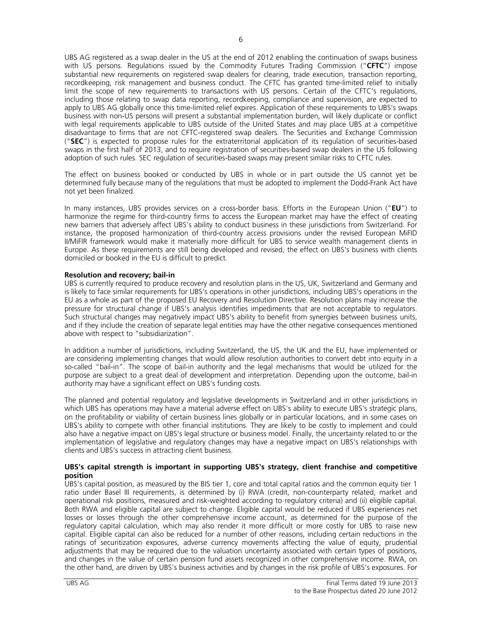UBS AG registered as a swap dealer in the US at the end of 2012 enabling the continuation of swaps business with US persons. Regulations issued by the Commodity Futures Trading Commission ("**CFTC**") impose substantial new requirements on registered swap dealers for clearing, trade execution, transaction reporting, recordkeeping, risk management and business conduct. The CFTC has granted time-limited relief to initially limit the scope of new requirements to transactions with US persons. Certain of the CFTC's regulations, including those relating to swap data reporting, recordkeeping, compliance and supervision, are expected to apply to UBS AG globally once this time-limited relief expires. Application of these requirements to UBS's swaps business with non-US persons will present a substantial implementation burden, will likely duplicate or conflict with legal requirements applicable to UBS outside of the United States and may place UBS at a competitive disadvantage to firms that are not CFTC-registered swap dealers. The Securities and Exchange Commission ("**SEC**") is expected to propose rules for the extraterritorial application of its regulation of securities-based swaps in the first half of 2013, and to require registration of securities-based swap dealers in the US following adoption of such rules. SEC regulation of securities-based swaps may present similar risks to CFTC rules.

The effect on business booked or conducted by UBS in whole or in part outside the US cannot yet be determined fully because many of the regulations that must be adopted to implement the Dodd-Frank Act have not yet been finalized.

In many instances, UBS provides services on a cross-border basis. Efforts in the European Union ("**EU**") to harmonize the regime for third-country firms to access the European market may have the effect of creating new barriers that adversely affect UBS's ability to conduct business in these jurisdictions from Switzerland. For instance, the proposed harmonization of third-country access provisions under the revised European MiFID II/MiFIR framework would make it materially more difficult for UBS to service wealth management clients in Europe. As these requirements are still being developed and revised, the effect on UBS's business with clients domiciled or booked in the EU is difficult to predict.

# **Resolution and recovery; bail-in**

UBS is currently required to produce recovery and resolution plans in the US, UK, Switzerland and Germany and is likely to face similar requirements for UBS's operations in other jurisdictions, including UBS's operations in the EU as a whole as part of the proposed EU Recovery and Resolution Directive. Resolution plans may increase the pressure for structural change if UBS's analysis identifies impediments that are not acceptable to regulators. Such structural changes may negatively impact UBS's ability to benefit from synergies between business units, and if they include the creation of separate legal entities may have the other negative consequences mentioned above with respect to "subsidiarization".

In addition a number of jurisdictions, including Switzerland, the US, the UK and the EU, have implemented or are considering implementing changes that would allow resolution authorities to convert debt into equity in a so-called "bail-in". The scope of bail-in authority and the legal mechanisms that would be utilized for the purpose are subject to a great deal of development and interpretation. Depending upon the outcome, bail-in authority may have a significant effect on UBS's funding costs.

The planned and potential regulatory and legislative developments in Switzerland and in other jurisdictions in which UBS has operations may have a material adverse effect on UBS's ability to execute UBS's strategic plans, on the profitability or viability of certain business lines globally or in particular locations, and in some cases on UBS's ability to compete with other financial institutions. They are likely to be costly to implement and could also have a negative impact on UBS's legal structure or business model. Finally, the uncertainty related to or the implementation of legislative and regulatory changes may have a negative impact on UBS's relationships with clients and UBS's success in attracting client business.

# **UBS's capital strength is important in supporting UBS's strategy, client franchise and competitive position**

UBS's capital position, as measured by the BIS tier 1, core and total capital ratios and the common equity tier 1 ratio under Basel III requirements, is determined by (i) RWA (credit, non-counterparty related, market and operational risk positions, measured and risk-weighted according to regulatory criteria) and (ii) eligible capital. Both RWA and eligible capital are subject to change. Eligible capital would be reduced if UBS experiences net losses or losses through the other comprehensive income account, as determined for the purpose of the regulatory capital calculation, which may also render it more difficult or more costly for UBS to raise new capital. Eligible capital can also be reduced for a number of other reasons, including certain reductions in the ratings of securitization exposures, adverse currency movements affecting the value of equity, prudential adjustments that may be required due to the valuation uncertainty associated with certain types of positions, and changes in the value of certain pension fund assets recognized in other comprehensive income. RWA, on the other hand, are driven by UBS's business activities and by changes in the risk profile of UBS's exposures. For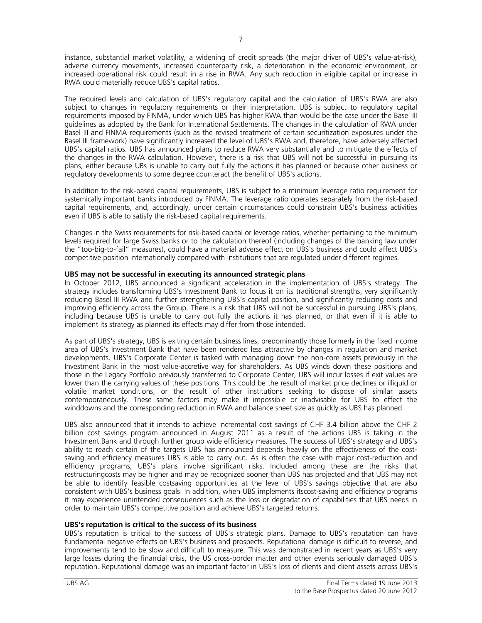instance, substantial market volatility, a widening of credit spreads (the major driver of UBS's value-at-risk), adverse currency movements, increased counterparty risk, a deterioration in the economic environment, or increased operational risk could result in a rise in RWA. Any such reduction in eligible capital or increase in RWA could materially reduce UBS's capital ratios.

The required levels and calculation of UBS's regulatory capital and the calculation of UBS's RWA are also subject to changes in regulatory requirements or their interpretation. UBS is subject to regulatory capital requirements imposed by FINMA, under which UBS has higher RWA than would be the case under the Basel III guidelines as adopted by the Bank for International Settlements. The changes in the calculation of RWA under Basel III and FINMA requirements (such as the revised treatment of certain securitization exposures under the Basel III framework) have significantly increased the level of UBS's RWA and, therefore, have adversely affected UBS's capital ratios. UBS has announced plans to reduce RWA very substantially and to mitigate the effects of the changes in the RWA calculation. However, there is a risk that UBS will not be successful in pursuing its plans, either because UBs is unable to carry out fully the actions it has planned or because other business or regulatory developments to some degree counteract the benefit of UBS's actions.

In addition to the risk-based capital requirements, UBS is subject to a minimum leverage ratio requirement for systemically important banks introduced by FINMA. The leverage ratio operates separately from the risk-based capital requirements, and, accordingly, under certain circumstances could constrain UBS's business activities even if UBS is able to satisfy the risk-based capital requirements.

Changes in the Swiss requirements for risk-based capital or leverage ratios, whether pertaining to the minimum levels required for large Swiss banks or to the calculation thereof (including changes of the banking law under the "too-big-to-fail" measures), could have a material adverse effect on UBS's business and could affect UBS's competitive position internationally compared with institutions that are regulated under different regimes.

# **UBS may not be successful in executing its announced strategic plans**

In October 2012, UBS announced a significant acceleration in the implementation of UBS's strategy. The strategy includes transforming UBS's Investment Bank to focus it on its traditional strengths, very significantly reducing Basel III RWA and further strengthening UBS's capital position, and significantly reducing costs and improving efficiency across the Group. There is a risk that UBS will not be successful in pursuing UBS's plans, including because UBS is unable to carry out fully the actions it has planned, or that even if it is able to implement its strategy as planned its effects may differ from those intended.

As part of UBS's strategy, UBS is exiting certain business lines, predominantly those formerly in the fixed income area of UBS's Investment Bank that have been rendered less attractive by changes in regulation and market developments. UBS's Corporate Center is tasked with managing down the non-core assets previously in the Investment Bank in the most value-accretive way for shareholders. As UBS winds down these positions and those in the Legacy Portfolio previously transferred to Corporate Center, UBS will incur losses if exit values are lower than the carrying values of these positions. This could be the result of market price declines or illiquid or volatile market conditions, or the result of other institutions seeking to dispose of similar assets contemporaneously. These same factors may make it impossible or inadvisable for UBS to effect the winddowns and the corresponding reduction in RWA and balance sheet size as quickly as UBS has planned.

UBS also announced that it intends to achieve incremental cost savings of CHF 3.4 billion above the CHF 2 billion cost savings program announced in August 2011 as a result of the actions UBS is taking in the Investment Bank and through further group wide efficiency measures. The success of UBS's strategy and UBS's ability to reach certain of the targets UBS has announced depends heavily on the effectiveness of the costsaving and efficiency measures UBS is able to carry out. As is often the case with major cost-reduction and efficiency programs, UBS's plans involve significant risks. Included among these are the risks that restructuringcosts may be higher and may be recognized sooner than UBS has projected and that UBS may not be able to identify feasible costsaving opportunities at the level of UBS's savings objective that are also consistent with UBS's business goals. In addition, when UBS implements itscost-saving and efficiency programs it may experience unintended consequences such as the loss or degradation of capabilities that UBS needs in order to maintain UBS's competitive position and achieve UBS's targeted returns.

# **UBS's reputation is critical to the success of its business**

UBS's reputation is critical to the success of UBS's strategic plans. Damage to UBS's reputation can have fundamental negative effects on UBS's business and prospects. Reputational damage is difficult to reverse, and improvements tend to be slow and difficult to measure. This was demonstrated in recent years as UBS's very large losses during the financial crisis, the US cross-border matter and other events seriously damaged UBS's reputation. Reputational damage was an important factor in UBS's loss of clients and client assets across UBS's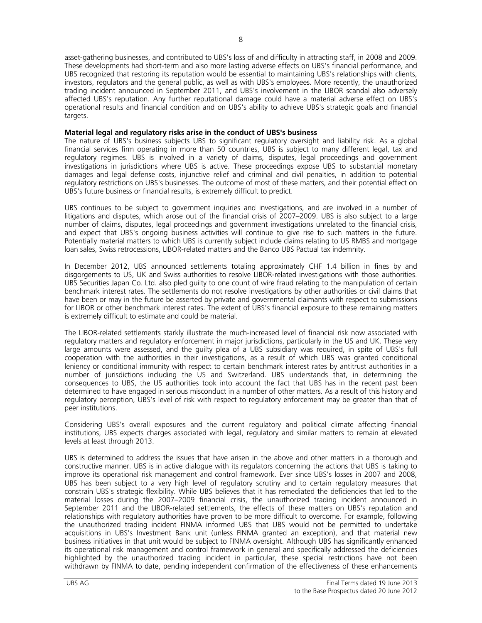asset-gathering businesses, and contributed to UBS's loss of and difficulty in attracting staff, in 2008 and 2009. These developments had short-term and also more lasting adverse effects on UBS's financial performance, and UBS recognized that restoring its reputation would be essential to maintaining UBS's relationships with clients, investors, regulators and the general public, as well as with UBS's employees. More recently, the unauthorized trading incident announced in September 2011, and UBS's involvement in the LIBOR scandal also adversely affected UBS's reputation. Any further reputational damage could have a material adverse effect on UBS's operational results and financial condition and on UBS's ability to achieve UBS's strategic goals and financial targets.

# **Material legal and regulatory risks arise in the conduct of UBS's business**

The nature of UBS's business subjects UBS to significant regulatory oversight and liability risk. As a global financial services firm operating in more than 50 countries, UBS is subject to many different legal, tax and regulatory regimes. UBS is involved in a variety of claims, disputes, legal proceedings and government investigations in jurisdictions where UBS is active. These proceedings expose UBS to substantial monetary damages and legal defense costs, injunctive relief and criminal and civil penalties, in addition to potential regulatory restrictions on UBS's businesses. The outcome of most of these matters, and their potential effect on UBS's future business or financial results, is extremely difficult to predict.

UBS continues to be subject to government inquiries and investigations, and are involved in a number of litigations and disputes, which arose out of the financial crisis of 2007–2009. UBS is also subject to a large number of claims, disputes, legal proceedings and government investigations unrelated to the financial crisis, and expect that UBS's ongoing business activities will continue to give rise to such matters in the future. Potentially material matters to which UBS is currently subject include claims relating to US RMBS and mortgage loan sales, Swiss retrocessions, LIBOR-related matters and the Banco UBS Pactual tax indemnity.

In December 2012, UBS announced settlements totaling approximately CHF 1.4 billion in fines by and disgorgements to US, UK and Swiss authorities to resolve LIBOR-related investigations with those authorities. UBS Securities Japan Co. Ltd. also pled guilty to one count of wire fraud relating to the manipulation of certain benchmark interest rates. The settlements do not resolve investigations by other authorities or civil claims that have been or may in the future be asserted by private and governmental claimants with respect to submissions for LIBOR or other benchmark interest rates. The extent of UBS's financial exposure to these remaining matters is extremely difficult to estimate and could be material.

The LIBOR-related settlements starkly illustrate the much-increased level of financial risk now associated with regulatory matters and regulatory enforcement in major jurisdictions, particularly in the US and UK. These very large amounts were assessed, and the guilty plea of a UBS subsidiary was required, in spite of UBS's full cooperation with the authorities in their investigations, as a result of which UBS was granted conditional leniency or conditional immunity with respect to certain benchmark interest rates by antitrust authorities in a number of jurisdictions including the US and Switzerland. UBS understands that, in determining the consequences to UBS, the US authorities took into account the fact that UBS has in the recent past been determined to have engaged in serious misconduct in a number of other matters. As a result of this history and regulatory perception, UBS's level of risk with respect to regulatory enforcement may be greater than that of peer institutions.

Considering UBS's overall exposures and the current regulatory and political climate affecting financial institutions, UBS expects charges associated with legal, regulatory and similar matters to remain at elevated levels at least through 2013.

UBS is determined to address the issues that have arisen in the above and other matters in a thorough and constructive manner. UBS is in active dialogue with its regulators concerning the actions that UBS is taking to improve its operational risk management and control framework. Ever since UBS's losses in 2007 and 2008, UBS has been subject to a very high level of regulatory scrutiny and to certain regulatory measures that constrain UBS's strategic flexibility. While UBS believes that it has remediated the deficiencies that led to the material losses during the 2007–2009 financial crisis, the unauthorized trading incident announced in September 2011 and the LIBOR-related settlements, the effects of these matters on UBS's reputation and relationships with regulatory authorities have proven to be more difficult to overcome. For example, following the unauthorized trading incident FINMA informed UBS that UBS would not be permitted to undertake acquisitions in UBS's Investment Bank unit (unless FINMA granted an exception), and that material new business initiatives in that unit would be subject to FINMA oversight. Although UBS has significantly enhanced its operational risk management and control framework in general and specifically addressed the deficiencies highlighted by the unauthorized trading incident in particular, these special restrictions have not been withdrawn by FINMA to date, pending independent confirmation of the effectiveness of these enhancements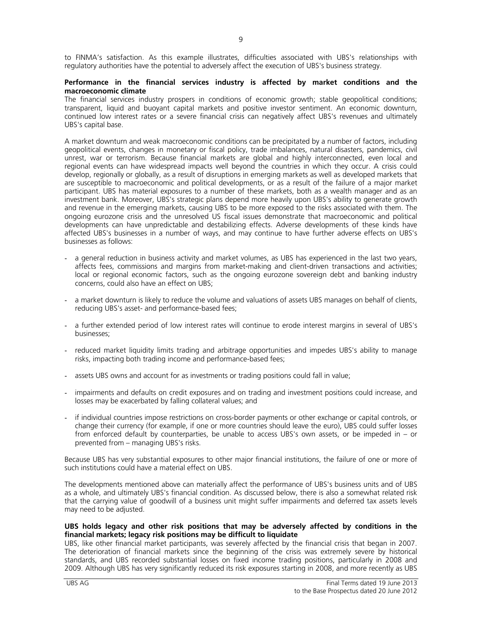to FINMA's satisfaction. As this example illustrates, difficulties associated with UBS's relationships with regulatory authorities have the potential to adversely affect the execution of UBS's business strategy.

# **Performance in the financial services industry is affected by market conditions and the macroeconomic climate**

The financial services industry prospers in conditions of economic growth; stable geopolitical conditions; transparent, liquid and buoyant capital markets and positive investor sentiment. An economic downturn, continued low interest rates or a severe financial crisis can negatively affect UBS's revenues and ultimately UBS's capital base.

A market downturn and weak macroeconomic conditions can be precipitated by a number of factors, including geopolitical events, changes in monetary or fiscal policy, trade imbalances, natural disasters, pandemics, civil unrest, war or terrorism. Because financial markets are global and highly interconnected, even local and regional events can have widespread impacts well beyond the countries in which they occur. A crisis could develop, regionally or globally, as a result of disruptions in emerging markets as well as developed markets that are susceptible to macroeconomic and political developments, or as a result of the failure of a major market participant. UBS has material exposures to a number of these markets, both as a wealth manager and as an investment bank. Moreover, UBS's strategic plans depend more heavily upon UBS's ability to generate growth and revenue in the emerging markets, causing UBS to be more exposed to the risks associated with them. The ongoing eurozone crisis and the unresolved US fiscal issues demonstrate that macroeconomic and political developments can have unpredictable and destabilizing effects. Adverse developments of these kinds have affected UBS's businesses in a number of ways, and may continue to have further adverse effects on UBS's businesses as follows:

- a general reduction in business activity and market volumes, as UBS has experienced in the last two years, affects fees, commissions and margins from market-making and client-driven transactions and activities; local or regional economic factors, such as the ongoing eurozone sovereign debt and banking industry concerns, could also have an effect on UBS;
- a market downturn is likely to reduce the volume and valuations of assets UBS manages on behalf of clients, reducing UBS's asset- and performance-based fees;
- a further extended period of low interest rates will continue to erode interest margins in several of UBS's businesses;
- reduced market liquidity limits trading and arbitrage opportunities and impedes UBS's ability to manage risks, impacting both trading income and performance-based fees;
- assets UBS owns and account for as investments or trading positions could fall in value;
- impairments and defaults on credit exposures and on trading and investment positions could increase, and losses may be exacerbated by falling collateral values; and
- if individual countries impose restrictions on cross-border payments or other exchange or capital controls, or change their currency (for example, if one or more countries should leave the euro), UBS could suffer losses from enforced default by counterparties, be unable to access UBS's own assets, or be impeded in – or prevented from – managing UBS's risks.

Because UBS has very substantial exposures to other major financial institutions, the failure of one or more of such institutions could have a material effect on UBS.

The developments mentioned above can materially affect the performance of UBS's business units and of UBS as a whole, and ultimately UBS's financial condition. As discussed below, there is also a somewhat related risk that the carrying value of goodwill of a business unit might suffer impairments and deferred tax assets levels may need to be adjusted.

## **UBS holds legacy and other risk positions that may be adversely affected by conditions in the financial markets; legacy risk positions may be difficult to liquidate**

UBS, like other financial market participants, was severely affected by the financial crisis that began in 2007. The deterioration of financial markets since the beginning of the crisis was extremely severe by historical standards, and UBS recorded substantial losses on fixed income trading positions, particularly in 2008 and 2009. Although UBS has very significantly reduced its risk exposures starting in 2008, and more recently as UBS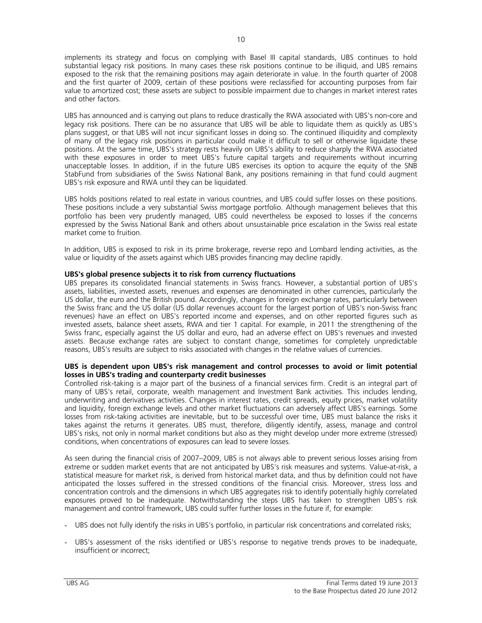implements its strategy and focus on complying with Basel III capital standards, UBS continues to hold substantial legacy risk positions. In many cases these risk positions continue to be illiquid, and UBS remains exposed to the risk that the remaining positions may again deteriorate in value. In the fourth quarter of 2008 and the first quarter of 2009, certain of these positions were reclassified for accounting purposes from fair value to amortized cost; these assets are subject to possible impairment due to changes in market interest rates and other factors.

UBS has announced and is carrying out plans to reduce drastically the RWA associated with UBS's non-core and legacy risk positions. There can be no assurance that UBS will be able to liquidate them as quickly as UBS's plans suggest, or that UBS will not incur significant losses in doing so. The continued illiquidity and complexity of many of the legacy risk positions in particular could make it difficult to sell or otherwise liquidate these positions. At the same time, UBS's strategy rests heavily on UBS's ability to reduce sharply the RWA associated with these exposures in order to meet UBS's future capital targets and requirements without incurring unacceptable losses. In addition, if in the future UBS exercises its option to acquire the equity of the SNB StabFund from subsidiaries of the Swiss National Bank, any positions remaining in that fund could augment UBS's risk exposure and RWA until they can be liquidated.

UBS holds positions related to real estate in various countries, and UBS could suffer losses on these positions. These positions include a very substantial Swiss mortgage portfolio. Although management believes that this portfolio has been very prudently managed, UBS could nevertheless be exposed to losses if the concerns expressed by the Swiss National Bank and others about unsustainable price escalation in the Swiss real estate market come to fruition.

In addition, UBS is exposed to risk in its prime brokerage, reverse repo and Lombard lending activities, as the value or liquidity of the assets against which UBS provides financing may decline rapidly.

# **UBS's global presence subjects it to risk from currency fluctuations**

UBS prepares its consolidated financial statements in Swiss francs. However, a substantial portion of UBS's assets, liabilities, invested assets, revenues and expenses are denominated in other currencies, particularly the US dollar, the euro and the British pound. Accordingly, changes in foreign exchange rates, particularly between the Swiss franc and the US dollar (US dollar revenues account for the largest portion of UBS's non-Swiss franc revenues) have an effect on UBS's reported income and expenses, and on other reported figures such as invested assets, balance sheet assets, RWA and tier 1 capital. For example, in 2011 the strengthening of the Swiss franc, especially against the US dollar and euro, had an adverse effect on UBS's revenues and invested assets. Because exchange rates are subject to constant change, sometimes for completely unpredictable reasons, UBS's results are subject to risks associated with changes in the relative values of currencies.

## **UBS is dependent upon UBS's risk management and control processes to avoid or limit potential losses in UBS's trading and counterparty credit businesses**

Controlled risk-taking is a major part of the business of a financial services firm. Credit is an integral part of many of UBS's retail, corporate, wealth management and Investment Bank activities. This includes lending, underwriting and derivatives activities. Changes in interest rates, credit spreads, equity prices, market volatility and liquidity, foreign exchange levels and other market fluctuations can adversely affect UBS's earnings. Some losses from risk-taking activities are inevitable, but to be successful over time, UBS must balance the risks it takes against the returns it generates. UBS must, therefore, diligently identify, assess, manage and control UBS's risks, not only in normal market conditions but also as they might develop under more extreme (stressed) conditions, when concentrations of exposures can lead to severe losses.

As seen during the financial crisis of 2007–2009, UBS is not always able to prevent serious losses arising from extreme or sudden market events that are not anticipated by UBS's risk measures and systems. Value-at-risk, a statistical measure for market risk, is derived from historical market data, and thus by definition could not have anticipated the losses suffered in the stressed conditions of the financial crisis. Moreover, stress loss and concentration controls and the dimensions in which UBS aggregates risk to identify potentially highly correlated exposures proved to be inadequate. Notwithstanding the steps UBS has taken to strengthen UBS's risk management and control framework, UBS could suffer further losses in the future if, for example:

- UBS does not fully identify the risks in UBS's portfolio, in particular risk concentrations and correlated risks;
- UBS's assessment of the risks identified or UBS's response to negative trends proves to be inadequate, insufficient or incorrect;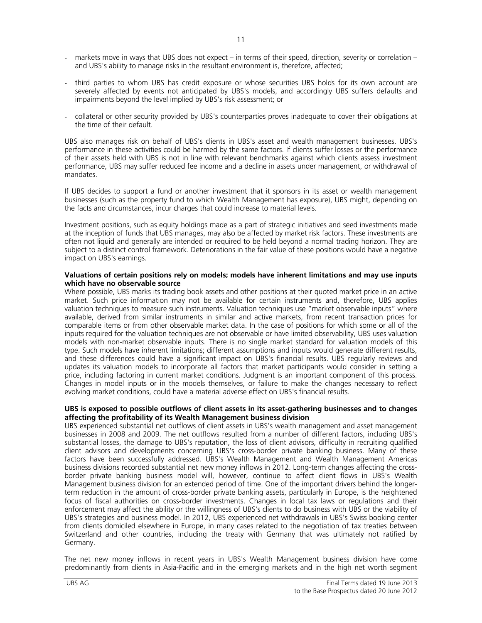- markets move in ways that UBS does not expect in terms of their speed, direction, severity or correlation and UBS's ability to manage risks in the resultant environment is, therefore, affected;
- third parties to whom UBS has credit exposure or whose securities UBS holds for its own account are severely affected by events not anticipated by UBS's models, and accordingly UBS suffers defaults and impairments beyond the level implied by UBS's risk assessment; or
- collateral or other security provided by UBS's counterparties proves inadequate to cover their obligations at the time of their default.

UBS also manages risk on behalf of UBS's clients in UBS's asset and wealth management businesses. UBS's performance in these activities could be harmed by the same factors. If clients suffer losses or the performance of their assets held with UBS is not in line with relevant benchmarks against which clients assess investment performance, UBS may suffer reduced fee income and a decline in assets under management, or withdrawal of mandates.

If UBS decides to support a fund or another investment that it sponsors in its asset or wealth management businesses (such as the property fund to which Wealth Management has exposure), UBS might, depending on the facts and circumstances, incur charges that could increase to material levels.

Investment positions, such as equity holdings made as a part of strategic initiatives and seed investments made at the inception of funds that UBS manages, may also be affected by market risk factors. These investments are often not liquid and generally are intended or required to be held beyond a normal trading horizon. They are subject to a distinct control framework. Deteriorations in the fair value of these positions would have a negative impact on UBS's earnings.

## **Valuations of certain positions rely on models; models have inherent limitations and may use inputs which have no observable source**

Where possible, UBS marks its trading book assets and other positions at their quoted market price in an active market. Such price information may not be available for certain instruments and, therefore, UBS applies valuation techniques to measure such instruments. Valuation techniques use "market observable inputs" where available, derived from similar instruments in similar and active markets, from recent transaction prices for comparable items or from other observable market data. In the case of positions for which some or all of the inputs required for the valuation techniques are not observable or have limited observability, UBS uses valuation models with non-market observable inputs. There is no single market standard for valuation models of this type. Such models have inherent limitations; different assumptions and inputs would generate different results, and these differences could have a significant impact on UBS's financial results. UBS regularly reviews and updates its valuation models to incorporate all factors that market participants would consider in setting a price, including factoring in current market conditions. Judgment is an important component of this process. Changes in model inputs or in the models themselves, or failure to make the changes necessary to reflect evolving market conditions, could have a material adverse effect on UBS's financial results.

# **UBS is exposed to possible outflows of client assets in its asset-gathering businesses and to changes affecting the profitability of its Wealth Management business division**

UBS experienced substantial net outflows of client assets in UBS's wealth management and asset management businesses in 2008 and 2009. The net outflows resulted from a number of different factors, including UBS's substantial losses, the damage to UBS's reputation, the loss of client advisors, difficulty in recruiting qualified client advisors and developments concerning UBS's cross-border private banking business. Many of these factors have been successfully addressed. UBS's Wealth Management and Wealth Management Americas business divisions recorded substantial net new money inflows in 2012. Long-term changes affecting the crossborder private banking business model will, however, continue to affect client flows in UBS's Wealth Management business division for an extended period of time. One of the important drivers behind the longerterm reduction in the amount of cross-border private banking assets, particularly in Europe, is the heightened focus of fiscal authorities on cross-border investments. Changes in local tax laws or regulations and their enforcement may affect the ability or the willingness of UBS's clients to do business with UBS or the viability of UBS's strategies and business model. In 2012, UBS experienced net withdrawals in UBS's Swiss booking center from clients domiciled elsewhere in Europe, in many cases related to the negotiation of tax treaties between Switzerland and other countries, including the treaty with Germany that was ultimately not ratified by Germany.

The net new money inflows in recent years in UBS's Wealth Management business division have come predominantly from clients in Asia-Pacific and in the emerging markets and in the high net worth segment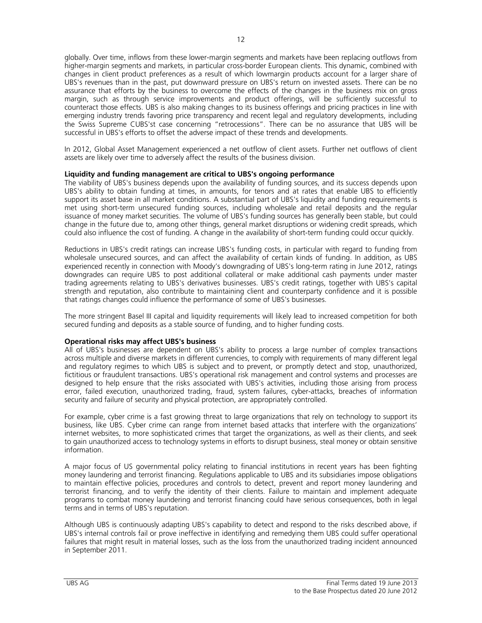globally. Over time, inflows from these lower-margin segments and markets have been replacing outflows from higher-margin segments and markets, in particular cross-border European clients. This dynamic, combined with changes in client product preferences as a result of which lowmargin products account for a larger share of UBS's revenues than in the past, put downward pressure on UBS's return on invested assets. There can be no assurance that efforts by the business to overcome the effects of the changes in the business mix on gross margin, such as through service improvements and product offerings, will be sufficiently successful to counteract those effects. UBS is also making changes to its business offerings and pricing practices in line with emerging industry trends favoring price transparency and recent legal and regulatory developments, including the Swiss Supreme CUBS'st case concerning "retrocessions". There can be no assurance that UBS will be successful in UBS's efforts to offset the adverse impact of these trends and developments.

In 2012, Global Asset Management experienced a net outflow of client assets. Further net outflows of client assets are likely over time to adversely affect the results of the business division.

## **Liquidity and funding management are critical to UBS's ongoing performance**

The viability of UBS's business depends upon the availability of funding sources, and its success depends upon UBS's ability to obtain funding at times, in amounts, for tenors and at rates that enable UBS to efficiently support its asset base in all market conditions. A substantial part of UBS's liquidity and funding requirements is met using short-term unsecured funding sources, including wholesale and retail deposits and the regular issuance of money market securities. The volume of UBS's funding sources has generally been stable, but could change in the future due to, among other things, general market disruptions or widening credit spreads, which could also influence the cost of funding. A change in the availability of short-term funding could occur quickly.

Reductions in UBS's credit ratings can increase UBS's funding costs, in particular with regard to funding from wholesale unsecured sources, and can affect the availability of certain kinds of funding. In addition, as UBS experienced recently in connection with Moody's downgrading of UBS's long-term rating in June 2012, ratings downgrades can require UBS to post additional collateral or make additional cash payments under master trading agreements relating to UBS's derivatives businesses. UBS's credit ratings, together with UBS's capital strength and reputation, also contribute to maintaining client and counterparty confidence and it is possible that ratings changes could influence the performance of some of UBS's businesses.

The more stringent Basel III capital and liquidity requirements will likely lead to increased competition for both secured funding and deposits as a stable source of funding, and to higher funding costs.

## **Operational risks may affect UBS's business**

All of UBS's businesses are dependent on UBS's ability to process a large number of complex transactions across multiple and diverse markets in different currencies, to comply with requirements of many different legal and regulatory regimes to which UBS is subject and to prevent, or promptly detect and stop, unauthorized, fictitious or fraudulent transactions. UBS's operational risk management and control systems and processes are designed to help ensure that the risks associated with UBS's activities, including those arising from process error, failed execution, unauthorized trading, fraud, system failures, cyber-attacks, breaches of information security and failure of security and physical protection, are appropriately controlled.

For example, cyber crime is a fast growing threat to large organizations that rely on technology to support its business, like UBS. Cyber crime can range from internet based attacks that interfere with the organizations' internet websites, to more sophisticated crimes that target the organizations, as well as their clients, and seek to gain unauthorized access to technology systems in efforts to disrupt business, steal money or obtain sensitive information.

A major focus of US governmental policy relating to financial institutions in recent years has been fighting money laundering and terrorist financing. Regulations applicable to UBS and its subsidiaries impose obligations to maintain effective policies, procedures and controls to detect, prevent and report money laundering and terrorist financing, and to verify the identity of their clients. Failure to maintain and implement adequate programs to combat money laundering and terrorist financing could have serious consequences, both in legal terms and in terms of UBS's reputation.

Although UBS is continuously adapting UBS's capability to detect and respond to the risks described above, if UBS's internal controls fail or prove ineffective in identifying and remedying them UBS could suffer operational failures that might result in material losses, such as the loss from the unauthorized trading incident announced in September 2011.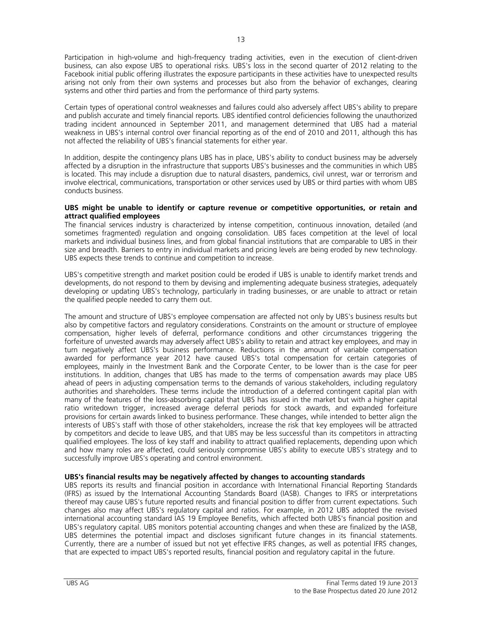Participation in high-volume and high-frequency trading activities, even in the execution of client-driven business, can also expose UBS to operational risks. UBS's loss in the second quarter of 2012 relating to the Facebook initial public offering illustrates the exposure participants in these activities have to unexpected results arising not only from their own systems and processes but also from the behavior of exchanges, clearing systems and other third parties and from the performance of third party systems.

Certain types of operational control weaknesses and failures could also adversely affect UBS's ability to prepare and publish accurate and timely financial reports. UBS identified control deficiencies following the unauthorized trading incident announced in September 2011, and management determined that UBS had a material weakness in UBS's internal control over financial reporting as of the end of 2010 and 2011, although this has not affected the reliability of UBS's financial statements for either year.

In addition, despite the contingency plans UBS has in place, UBS's ability to conduct business may be adversely affected by a disruption in the infrastructure that supports UBS's businesses and the communities in which UBS is located. This may include a disruption due to natural disasters, pandemics, civil unrest, war or terrorism and involve electrical, communications, transportation or other services used by UBS or third parties with whom UBS conducts business.

## **UBS might be unable to identify or capture revenue or competitive opportunities, or retain and attract qualified employees**

The financial services industry is characterized by intense competition, continuous innovation, detailed (and sometimes fragmented) regulation and ongoing consolidation. UBS faces competition at the level of local markets and individual business lines, and from global financial institutions that are comparable to UBS in their size and breadth. Barriers to entry in individual markets and pricing levels are being eroded by new technology. UBS expects these trends to continue and competition to increase.

UBS's competitive strength and market position could be eroded if UBS is unable to identify market trends and developments, do not respond to them by devising and implementing adequate business strategies, adequately developing or updating UBS's technology, particularly in trading businesses, or are unable to attract or retain the qualified people needed to carry them out.

The amount and structure of UBS's employee compensation are affected not only by UBS's business results but also by competitive factors and regulatory considerations. Constraints on the amount or structure of employee compensation, higher levels of deferral, performance conditions and other circumstances triggering the forfeiture of unvested awards may adversely affect UBS's ability to retain and attract key employees, and may in turn negatively affect UBS's business performance. Reductions in the amount of variable compensation awarded for performance year 2012 have caused UBS's total compensation for certain categories of employees, mainly in the Investment Bank and the Corporate Center, to be lower than is the case for peer institutions. In addition, changes that UBS has made to the terms of compensation awards may place UBS ahead of peers in adjusting compensation terms to the demands of various stakeholders, including regulatory authorities and shareholders. These terms include the introduction of a deferred contingent capital plan with many of the features of the loss-absorbing capital that UBS has issued in the market but with a higher capital ratio writedown trigger, increased average deferral periods for stock awards, and expanded forfeiture provisions for certain awards linked to business performance. These changes, while intended to better align the interests of UBS's staff with those of other stakeholders, increase the risk that key employees will be attracted by competitors and decide to leave UBS, and that UBS may be less successful than its competitors in attracting qualified employees. The loss of key staff and inability to attract qualified replacements, depending upon which and how many roles are affected, could seriously compromise UBS's ability to execute UBS's strategy and to successfully improve UBS's operating and control environment.

## **UBS's financial results may be negatively affected by changes to accounting standards**

UBS reports its results and financial position in accordance with International Financial Reporting Standards (IFRS) as issued by the International Accounting Standards Board (IASB). Changes to IFRS or interpretations thereof may cause UBS's future reported results and financial position to differ from current expectations. Such changes also may affect UBS's regulatory capital and ratios. For example, in 2012 UBS adopted the revised international accounting standard IAS 19 Employee Benefits, which affected both UBS's financial position and UBS's regulatory capital. UBS monitors potential accounting changes and when these are finalized by the IASB, UBS determines the potential impact and discloses significant future changes in its financial statements. Currently, there are a number of issued but not yet effective IFRS changes, as well as potential IFRS changes, that are expected to impact UBS's reported results, financial position and regulatory capital in the future.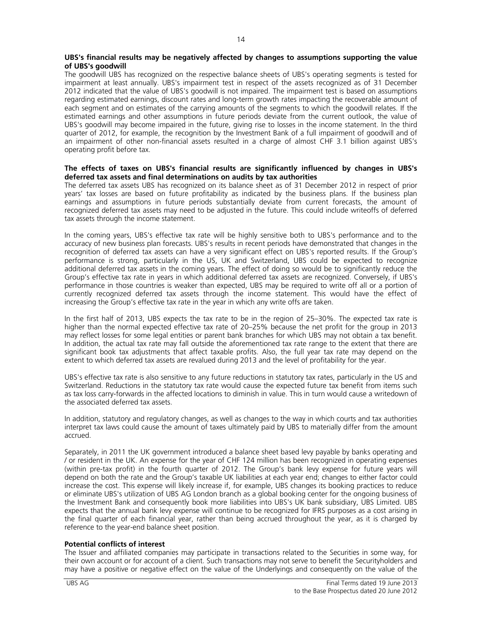## **UBS's financial results may be negatively affected by changes to assumptions supporting the value of UBS's goodwill**

The goodwill UBS has recognized on the respective balance sheets of UBS's operating segments is tested for impairment at least annually. UBS's impairment test in respect of the assets recognized as of 31 December 2012 indicated that the value of UBS's goodwill is not impaired. The impairment test is based on assumptions regarding estimated earnings, discount rates and long-term growth rates impacting the recoverable amount of each segment and on estimates of the carrying amounts of the segments to which the goodwill relates. If the estimated earnings and other assumptions in future periods deviate from the current outlook, the value of UBS's goodwill may become impaired in the future, giving rise to losses in the income statement. In the third quarter of 2012, for example, the recognition by the Investment Bank of a full impairment of goodwill and of an impairment of other non-financial assets resulted in a charge of almost CHF 3.1 billion against UBS's operating profit before tax.

## **The effects of taxes on UBS's financial results are significantly influenced by changes in UBS's deferred tax assets and final determinations on audits by tax authorities**

The deferred tax assets UBS has recognized on its balance sheet as of 31 December 2012 in respect of prior years' tax losses are based on future profitability as indicated by the business plans. If the business plan earnings and assumptions in future periods substantially deviate from current forecasts, the amount of recognized deferred tax assets may need to be adjusted in the future. This could include writeoffs of deferred tax assets through the income statement.

In the coming years, UBS's effective tax rate will be highly sensitive both to UBS's performance and to the accuracy of new business plan forecasts. UBS's results in recent periods have demonstrated that changes in the recognition of deferred tax assets can have a very significant effect on UBS's reported results. If the Group's performance is strong, particularly in the US, UK and Switzerland, UBS could be expected to recognize additional deferred tax assets in the coming years. The effect of doing so would be to significantly reduce the Group's effective tax rate in years in which additional deferred tax assets are recognized. Conversely, if UBS's performance in those countries is weaker than expected, UBS may be required to write off all or a portion of currently recognized deferred tax assets through the income statement. This would have the effect of increasing the Group's effective tax rate in the year in which any write offs are taken.

In the first half of 2013, UBS expects the tax rate to be in the region of 25–30%. The expected tax rate is higher than the normal expected effective tax rate of 20–25% because the net profit for the group in 2013 may reflect losses for some legal entities or parent bank branches for which UBS may not obtain a tax benefit. In addition, the actual tax rate may fall outside the aforementioned tax rate range to the extent that there are significant book tax adjustments that affect taxable profits. Also, the full year tax rate may depend on the extent to which deferred tax assets are revalued during 2013 and the level of profitability for the year.

UBS's effective tax rate is also sensitive to any future reductions in statutory tax rates, particularly in the US and Switzerland. Reductions in the statutory tax rate would cause the expected future tax benefit from items such as tax loss carry-forwards in the affected locations to diminish in value. This in turn would cause a writedown of the associated deferred tax assets.

In addition, statutory and regulatory changes, as well as changes to the way in which courts and tax authorities interpret tax laws could cause the amount of taxes ultimately paid by UBS to materially differ from the amount accrued.

Separately, in 2011 the UK government introduced a balance sheet based levy payable by banks operating and / or resident in the UK. An expense for the year of CHF 124 million has been recognized in operating expenses (within pre-tax profit) in the fourth quarter of 2012. The Group's bank levy expense for future years will depend on both the rate and the Group's taxable UK liabilities at each year end; changes to either factor could increase the cost. This expense will likely increase if, for example, UBS changes its booking practices to reduce or eliminate UBS's utilization of UBS AG London branch as a global booking center for the ongoing business of the Investment Bank and consequently book more liabilities into UBS's UK bank subsidiary, UBS Limited. UBS expects that the annual bank levy expense will continue to be recognized for IFRS purposes as a cost arising in the final quarter of each financial year, rather than being accrued throughout the year, as it is charged by reference to the year-end balance sheet position.

# **Potential conflicts of interest**

The Issuer and affiliated companies may participate in transactions related to the Securities in some way, for their own account or for account of a client. Such transactions may not serve to benefit the Securityholders and may have a positive or negative effect on the value of the Underlyings and consequently on the value of the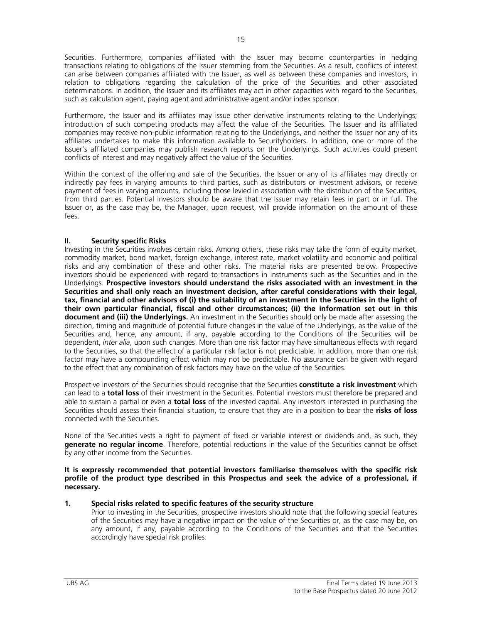Securities. Furthermore, companies affiliated with the Issuer may become counterparties in hedging transactions relating to obligations of the Issuer stemming from the Securities. As a result, conflicts of interest can arise between companies affiliated with the Issuer, as well as between these companies and investors, in relation to obligations regarding the calculation of the price of the Securities and other associated determinations. In addition, the Issuer and its affiliates may act in other capacities with regard to the Securities, such as calculation agent, paying agent and administrative agent and/or index sponsor.

Furthermore, the Issuer and its affiliates may issue other derivative instruments relating to the Underlyings; introduction of such competing products may affect the value of the Securities. The Issuer and its affiliated companies may receive non-public information relating to the Underlyings, and neither the Issuer nor any of its affiliates undertakes to make this information available to Securityholders. In addition, one or more of the Issuer's affiliated companies may publish research reports on the Underlyings. Such activities could present conflicts of interest and may negatively affect the value of the Securities.

Within the context of the offering and sale of the Securities, the Issuer or any of its affiliates may directly or indirectly pay fees in varying amounts to third parties, such as distributors or investment advisors, or receive payment of fees in varying amounts, including those levied in association with the distribution of the Securities, from third parties. Potential investors should be aware that the Issuer may retain fees in part or in full. The Issuer or, as the case may be, the Manager, upon request, will provide information on the amount of these  $f_{\mathsf{P}}$ 

# **II. Security specific Risks**

Investing in the Securities involves certain risks. Among others, these risks may take the form of equity market, commodity market, bond market, foreign exchange, interest rate, market volatility and economic and political risks and any combination of these and other risks. The material risks are presented below. Prospective investors should be experienced with regard to transactions in instruments such as the Securities and in the Underlyings. **Prospective investors should understand the risks associated with an investment in the Securities and shall only reach an investment decision, after careful considerations with their legal, tax, financial and other advisors of (i) the suitability of an investment in the Securities in the light of their own particular financial, fiscal and other circumstances; (ii) the information set out in this document and (iii) the Underlyings.** An investment in the Securities should only be made after assessing the direction, timing and magnitude of potential future changes in the value of the Underlyings, as the value of the Securities and, hence, any amount, if any, payable according to the Conditions of the Securities will be dependent, *inter alia*, upon such changes. More than one risk factor may have simultaneous effects with regard to the Securities, so that the effect of a particular risk factor is not predictable. In addition, more than one risk factor may have a compounding effect which may not be predictable. No assurance can be given with regard to the effect that any combination of risk factors may have on the value of the Securities.

Prospective investors of the Securities should recognise that the Securities **constitute a risk investment** which can lead to a **total loss** of their investment in the Securities. Potential investors must therefore be prepared and able to sustain a partial or even a **total loss** of the invested capital. Any investors interested in purchasing the Securities should assess their financial situation, to ensure that they are in a position to bear the **risks of loss** connected with the Securities.

None of the Securities vests a right to payment of fixed or variable interest or dividends and, as such, they **generate no regular income**. Therefore, potential reductions in the value of the Securities cannot be offset by any other income from the Securities.

**It is expressly recommended that potential investors familiarise themselves with the specific risk profile of the product type described in this Prospectus and seek the advice of a professional, if necessary.** 

# **1. Special risks related to specific features of the security structure**

Prior to investing in the Securities, prospective investors should note that the following special features of the Securities may have a negative impact on the value of the Securities or, as the case may be, on any amount, if any, payable according to the Conditions of the Securities and that the Securities accordingly have special risk profiles: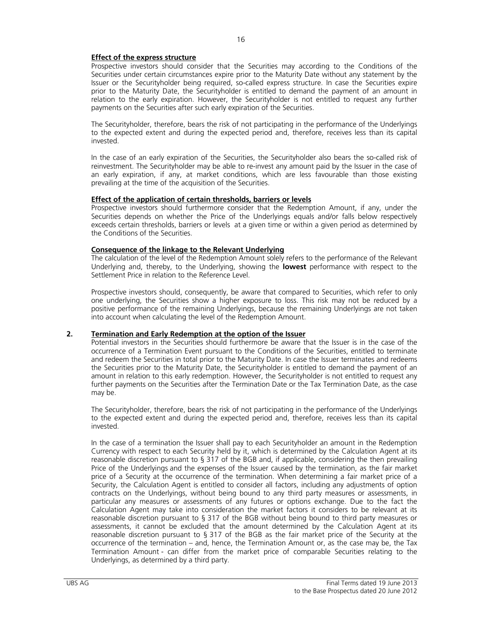Prospective investors should consider that the Securities may according to the Conditions of the Securities under certain circumstances expire prior to the Maturity Date without any statement by the Issuer or the Securityholder being required, so-called express structure. In case the Securities expire prior to the Maturity Date, the Securityholder is entitled to demand the payment of an amount in relation to the early expiration. However, the Securityholder is not entitled to request any further payments on the Securities after such early expiration of the Securities.

The Securityholder, therefore, bears the risk of not participating in the performance of the Underlyings to the expected extent and during the expected period and, therefore, receives less than its capital invested.

In the case of an early expiration of the Securities, the Securityholder also bears the so-called risk of reinvestment. The Securityholder may be able to re-invest any amount paid by the Issuer in the case of an early expiration, if any, at market conditions, which are less favourable than those existing prevailing at the time of the acquisition of the Securities.

# **Effect of the application of certain thresholds, barriers or levels**

 Prospective investors should furthermore consider that the Redemption Amount, if any, under the Securities depends on whether the Price of the Underlyings equals and/or falls below respectively exceeds certain thresholds, barriers or levels at a given time or within a given period as determined by the Conditions of the Securities.

# **Consequence of the linkage to the Relevant Underlying**

The calculation of the level of the Redemption Amount solely refers to the performance of the Relevant Underlying and, thereby, to the Underlying, showing the **lowest** performance with respect to the Settlement Price in relation to the Reference Level.

Prospective investors should, consequently, be aware that compared to Securities, which refer to only one underlying, the Securities show a higher exposure to loss. This risk may not be reduced by a positive performance of the remaining Underlyings, because the remaining Underlyings are not taken into account when calculating the level of the Redemption Amount.

# **2. Termination and Early Redemption at the option of the Issuer**

Potential investors in the Securities should furthermore be aware that the Issuer is in the case of the occurrence of a Termination Event pursuant to the Conditions of the Securities, entitled to terminate and redeem the Securities in total prior to the Maturity Date. In case the Issuer terminates and redeems the Securities prior to the Maturity Date, the Securityholder is entitled to demand the payment of an amount in relation to this early redemption. However, the Securityholder is not entitled to request any further payments on the Securities after the Termination Date or the Tax Termination Date, as the case may be.

The Securityholder, therefore, bears the risk of not participating in the performance of the Underlyings to the expected extent and during the expected period and, therefore, receives less than its capital invested.

In the case of a termination the Issuer shall pay to each Securityholder an amount in the Redemption Currency with respect to each Security held by it, which is determined by the Calculation Agent at its reasonable discretion pursuant to § 317 of the BGB and, if applicable, considering the then prevailing Price of the Underlyings and the expenses of the Issuer caused by the termination, as the fair market price of a Security at the occurrence of the termination. When determining a fair market price of a Security, the Calculation Agent is entitled to consider all factors, including any adjustments of option contracts on the Underlyings, without being bound to any third party measures or assessments, in particular any measures or assessments of any futures or options exchange. Due to the fact the Calculation Agent may take into consideration the market factors it considers to be relevant at its reasonable discretion pursuant to § 317 of the BGB without being bound to third party measures or assessments, it cannot be excluded that the amount determined by the Calculation Agent at its reasonable discretion pursuant to § 317 of the BGB as the fair market price of the Security at the occurrence of the termination – and, hence, the Termination Amount or, as the case may be, the Tax Termination Amount - can differ from the market price of comparable Securities relating to the Underlyings, as determined by a third party.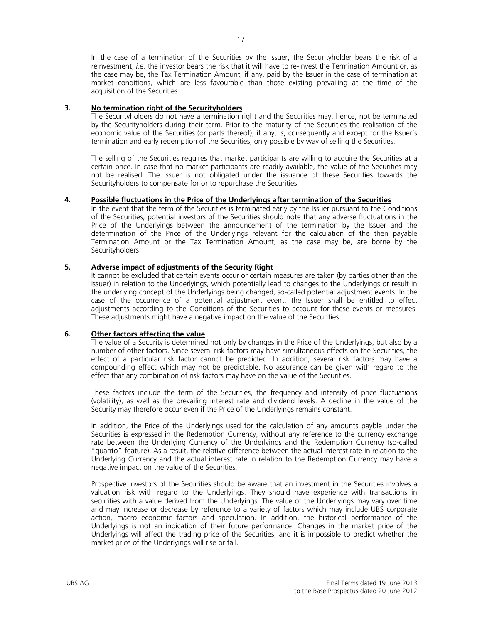In the case of a termination of the Securities by the Issuer, the Securityholder bears the risk of a reinvestment, *i.e.* the investor bears the risk that it will have to re-invest the Termination Amount or, as the case may be, the Tax Termination Amount, if any, paid by the Issuer in the case of termination at market conditions, which are less favourable than those existing prevailing at the time of the acquisition of the Securities.

# **3. No termination right of the Securityholders**

The Securityholders do not have a termination right and the Securities may, hence, not be terminated by the Securityholders during their term. Prior to the maturity of the Securities the realisation of the economic value of the Securities (or parts thereof), if any, is, consequently and except for the Issuer's termination and early redemption of the Securities, only possible by way of selling the Securities.

The selling of the Securities requires that market participants are willing to acquire the Securities at a certain price. In case that no market participants are readily available, the value of the Securities may not be realised. The Issuer is not obligated under the issuance of these Securities towards the Securityholders to compensate for or to repurchase the Securities.

# **4. Possible fluctuations in the Price of the Underlyings after termination of the Securities**

In the event that the term of the Securities is terminated early by the Issuer pursuant to the Conditions of the Securities, potential investors of the Securities should note that any adverse fluctuations in the Price of the Underlyings between the announcement of the termination by the Issuer and the determination of the Price of the Underlyings relevant for the calculation of the then payable Termination Amount or the Tax Termination Amount, as the case may be, are borne by the Securityholders.

# **5. Adverse impact of adjustments of the Security Right**

It cannot be excluded that certain events occur or certain measures are taken (by parties other than the Issuer) in relation to the Underlyings, which potentially lead to changes to the Underlyings or result in the underlying concept of the Underlyings being changed, so-called potential adjustment events. In the case of the occurrence of a potential adjustment event, the Issuer shall be entitled to effect adjustments according to the Conditions of the Securities to account for these events or measures. These adjustments might have a negative impact on the value of the Securities.

# **6. Other factors affecting the value**

The value of a Security is determined not only by changes in the Price of the Underlyings, but also by a number of other factors. Since several risk factors may have simultaneous effects on the Securities, the effect of a particular risk factor cannot be predicted. In addition, several risk factors may have a compounding effect which may not be predictable. No assurance can be given with regard to the effect that any combination of risk factors may have on the value of the Securities.

These factors include the term of the Securities, the frequency and intensity of price fluctuations (volatility), as well as the prevailing interest rate and dividend levels. A decline in the value of the Security may therefore occur even if the Price of the Underlyings remains constant.

In addition, the Price of the Underlyings used for the calculation of any amounts payble under the Securities is expressed in the Redemption Currency, without any reference to the currency exchange rate between the Underlying Currency of the Underlyings and the Redemption Currency (so-called "quanto"-feature). As a result, the relative difference between the actual interest rate in relation to the Underlying Currency and the actual interest rate in relation to the Redemption Currency may have a negative impact on the value of the Securities.

Prospective investors of the Securities should be aware that an investment in the Securities involves a valuation risk with regard to the Underlyings. They should have experience with transactions in securities with a value derived from the Underlyings. The value of the Underlyings may vary over time and may increase or decrease by reference to a variety of factors which may include UBS corporate action, macro economic factors and speculation. In addition, the historical performance of the Underlyings is not an indication of their future performance. Changes in the market price of the Underlyings will affect the trading price of the Securities, and it is impossible to predict whether the market price of the Underlyings will rise or fall.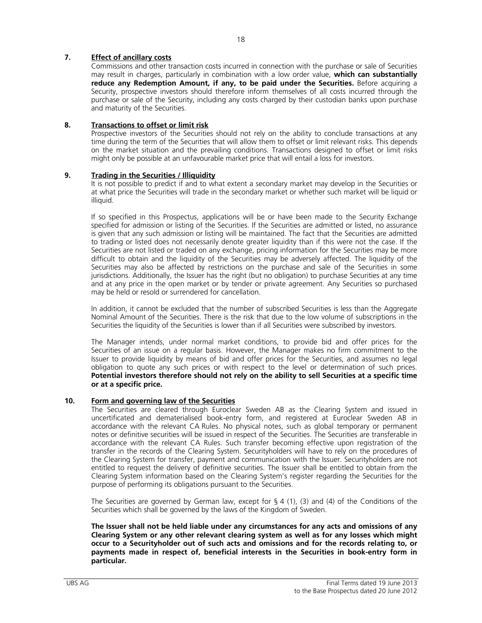# **7. Effect of ancillary costs**

Commissions and other transaction costs incurred in connection with the purchase or sale of Securities may result in charges, particularly in combination with a low order value, **which can substantially reduce any Redemption Amount, if any, to be paid under the Securities.** Before acquiring a Security, prospective investors should therefore inform themselves of all costs incurred through the purchase or sale of the Security, including any costs charged by their custodian banks upon purchase and maturity of the Securities.

# **8. Transactions to offset or limit risk**

Prospective investors of the Securities should not rely on the ability to conclude transactions at any time during the term of the Securities that will allow them to offset or limit relevant risks. This depends on the market situation and the prevailing conditions. Transactions designed to offset or limit risks might only be possible at an unfavourable market price that will entail a loss for investors.

# **9. Trading in the Securities / Illiquidity**

It is not possible to predict if and to what extent a secondary market may develop in the Securities or at what price the Securities will trade in the secondary market or whether such market will be liquid or illiquid.

If so specified in this Prospectus, applications will be or have been made to the Security Exchange specified for admission or listing of the Securities. If the Securities are admitted or listed, no assurance is given that any such admission or listing will be maintained. The fact that the Securities are admitted to trading or listed does not necessarily denote greater liquidity than if this were not the case. If the Securities are not listed or traded on any exchange, pricing information for the Securities may be more difficult to obtain and the liquidity of the Securities may be adversely affected. The liquidity of the Securities may also be affected by restrictions on the purchase and sale of the Securities in some jurisdictions. Additionally, the Issuer has the right (but no obligation) to purchase Securities at any time and at any price in the open market or by tender or private agreement. Any Securities so purchased may be held or resold or surrendered for cancellation.

In addition, it cannot be excluded that the number of subscribed Securities is less than the Aggregate Nominal Amount of the Securities. There is the risk that due to the low volume of subscriptions in the Securities the liquidity of the Securities is lower than if all Securities were subscribed by investors.

The Manager intends, under normal market conditions, to provide bid and offer prices for the Securities of an issue on a regular basis. However, the Manager makes no firm commitment to the Issuer to provide liquidity by means of bid and offer prices for the Securities, and assumes no legal obligation to quote any such prices or with respect to the level or determination of such prices. **Potential investors therefore should not rely on the ability to sell Securities at a specific time or at a specific price.**

# **10. Form and governing law of the Securities**

The Securities are cleared through Euroclear Sweden AB as the Clearing System and issued in uncertificated and dematerialised book-entry form, and registered at Euroclear Sweden AB in accordance with the relevant CA Rules. No physical notes, such as global temporary or permanent notes or definitive securities will be issued in respect of the Securities. The Securities are transferable in accordance with the relevant CA Rules. Such transfer becoming effective upon registration of the transfer in the records of the Clearing System. Securityholders will have to rely on the procedures of the Clearing System for transfer, payment and communication with the Issuer. Securityholders are not entitled to request the delivery of definitive securities. The Issuer shall be entitled to obtain from the Clearing System information based on the Clearing System's register regarding the Securities for the purpose of performing its obligations pursuant to the Securities.

The Securities are governed by German law, except for § 4 (1), (3) and (4) of the Conditions of the Securities which shall be governed by the laws of the Kingdom of Sweden.

**The Issuer shall not be held liable under any circumstances for any acts and omissions of any Clearing System or any other relevant clearing system as well as for any losses which might occur to a Securityholder out of such acts and omissions and for the records relating to, or payments made in respect of, beneficial interests in the Securities in book-entry form in particular.**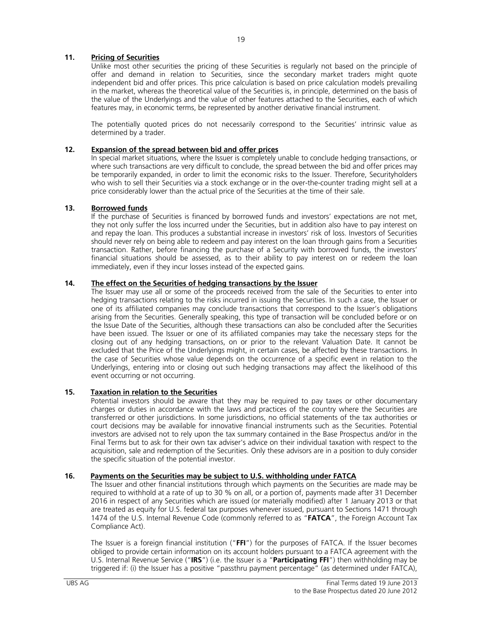# **11. Pricing of Securities**

Unlike most other securities the pricing of these Securities is regularly not based on the principle of offer and demand in relation to Securities, since the secondary market traders might quote independent bid and offer prices. This price calculation is based on price calculation models prevailing in the market, whereas the theoretical value of the Securities is, in principle, determined on the basis of the value of the Underlyings and the value of other features attached to the Securities, each of which features may, in economic terms, be represented by another derivative financial instrument.

The potentially quoted prices do not necessarily correspond to the Securities' intrinsic value as determined by a trader.

# **12. Expansion of the spread between bid and offer prices**

In special market situations, where the Issuer is completely unable to conclude hedging transactions, or where such transactions are very difficult to conclude, the spread between the bid and offer prices may be temporarily expanded, in order to limit the economic risks to the Issuer. Therefore, Securityholders who wish to sell their Securities via a stock exchange or in the over-the-counter trading might sell at a price considerably lower than the actual price of the Securities at the time of their sale.

## **13. Borrowed funds**

If the purchase of Securities is financed by borrowed funds and investors' expectations are not met, they not only suffer the loss incurred under the Securities, but in addition also have to pay interest on and repay the loan. This produces a substantial increase in investors' risk of loss. Investors of Securities should never rely on being able to redeem and pay interest on the loan through gains from a Securities transaction. Rather, before financing the purchase of a Security with borrowed funds, the investors' financial situations should be assessed, as to their ability to pay interest on or redeem the loan immediately, even if they incur losses instead of the expected gains.

## **14. The effect on the Securities of hedging transactions by the Issuer**

The Issuer may use all or some of the proceeds received from the sale of the Securities to enter into hedging transactions relating to the risks incurred in issuing the Securities. In such a case, the Issuer or one of its affiliated companies may conclude transactions that correspond to the Issuer's obligations arising from the Securities. Generally speaking, this type of transaction will be concluded before or on the Issue Date of the Securities, although these transactions can also be concluded after the Securities have been issued. The Issuer or one of its affiliated companies may take the necessary steps for the closing out of any hedging transactions, on or prior to the relevant Valuation Date. It cannot be excluded that the Price of the Underlyings might, in certain cases, be affected by these transactions. In the case of Securities whose value depends on the occurrence of a specific event in relation to the Underlyings, entering into or closing out such hedging transactions may affect the likelihood of this event occurring or not occurring.

# **15. Taxation in relation to the Securities**

Potential investors should be aware that they may be required to pay taxes or other documentary charges or duties in accordance with the laws and practices of the country where the Securities are transferred or other jurisdictions. In some jurisdictions, no official statements of the tax authorities or court decisions may be available for innovative financial instruments such as the Securities. Potential investors are advised not to rely upon the tax summary contained in the Base Prospectus and/or in the Final Terms but to ask for their own tax adviser's advice on their individual taxation with respect to the acquisition, sale and redemption of the Securities. Only these advisors are in a position to duly consider the specific situation of the potential investor.

# **16. Payments on the Securities may be subject to U.S. withholding under FATCA**

The Issuer and other financial institutions through which payments on the Securities are made may be required to withhold at a rate of up to 30 % on all, or a portion of, payments made after 31 December 2016 in respect of any Securities which are issued (or materially modified) after 1 January 2013 or that are treated as equity for U.S. federal tax purposes whenever issued, pursuant to Sections 1471 through 1474 of the U.S. Internal Revenue Code (commonly referred to as "**FATCA**", the Foreign Account Tax Compliance Act).

The Issuer is a foreign financial institution ("**FFI**") for the purposes of FATCA. If the Issuer becomes obliged to provide certain information on its account holders pursuant to a FATCA agreement with the U.S. Internal Revenue Service ("**IRS**") (i.e. the Issuer is a "**Participating FFI**") then withholding may be triggered if: (i) the Issuer has a positive "passthru payment percentage" (as determined under FATCA),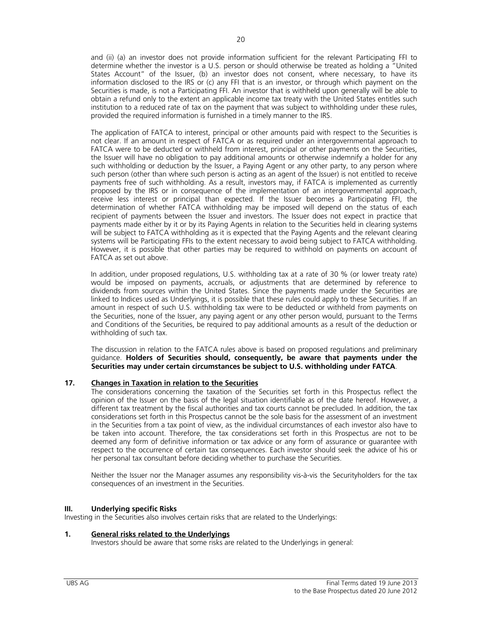and (ii) (a) an investor does not provide information sufficient for the relevant Participating FFI to determine whether the investor is a U.S. person or should otherwise be treated as holding a "United States Account" of the Issuer, (b) an investor does not consent, where necessary, to have its information disclosed to the IRS or (c) any FFI that is an investor, or through which payment on the Securities is made, is not a Participating FFI. An investor that is withheld upon generally will be able to obtain a refund only to the extent an applicable income tax treaty with the United States entitles such institution to a reduced rate of tax on the payment that was subject to withholding under these rules, provided the required information is furnished in a timely manner to the IRS.

The application of FATCA to interest, principal or other amounts paid with respect to the Securities is not clear. If an amount in respect of FATCA or as required under an intergovernmental approach to FATCA were to be deducted or withheld from interest, principal or other payments on the Securities, the Issuer will have no obligation to pay additional amounts or otherwise indemnify a holder for any such withholding or deduction by the Issuer, a Paying Agent or any other party, to any person where such person (other than where such person is acting as an agent of the Issuer) is not entitled to receive payments free of such withholding. As a result, investors may, if FATCA is implemented as currently proposed by the IRS or in consequence of the implementation of an intergovernmental approach, receive less interest or principal than expected. If the Issuer becomes a Participating FFI, the determination of whether FATCA withholding may be imposed will depend on the status of each recipient of payments between the Issuer and investors. The Issuer does not expect in practice that payments made either by it or by its Paying Agents in relation to the Securities held in clearing systems will be subject to FATCA withholding as it is expected that the Paying Agents and the relevant clearing systems will be Participating FFIs to the extent necessary to avoid being subject to FATCA withholding. However, it is possible that other parties may be required to withhold on payments on account of FATCA as set out above.

In addition, under proposed regulations, U.S. withholding tax at a rate of 30 % (or lower treaty rate) would be imposed on payments, accruals, or adjustments that are determined by reference to dividends from sources within the United States. Since the payments made under the Securities are linked to Indices used as Underlyings, it is possible that these rules could apply to these Securities. If an amount in respect of such U.S. withholding tax were to be deducted or withheld from payments on the Securities, none of the Issuer, any paying agent or any other person would, pursuant to the Terms and Conditions of the Securities, be required to pay additional amounts as a result of the deduction or withholding of such tax.

The discussion in relation to the FATCA rules above is based on proposed regulations and preliminary guidance. **Holders of Securities should, consequently, be aware that payments under the Securities may under certain circumstances be subject to U.S. withholding under FATCA**.

# **17. Changes in Taxation in relation to the Securities**

The considerations concerning the taxation of the Securities set forth in this Prospectus reflect the opinion of the Issuer on the basis of the legal situation identifiable as of the date hereof. However, a different tax treatment by the fiscal authorities and tax courts cannot be precluded. In addition, the tax considerations set forth in this Prospectus cannot be the sole basis for the assessment of an investment in the Securities from a tax point of view, as the individual circumstances of each investor also have to be taken into account. Therefore, the tax considerations set forth in this Prospectus are not to be deemed any form of definitive information or tax advice or any form of assurance or guarantee with respect to the occurrence of certain tax consequences. Each investor should seek the advice of his or her personal tax consultant before deciding whether to purchase the Securities.

Neither the Issuer nor the Manager assumes any responsibility vis-à-vis the Securityholders for the tax consequences of an investment in the Securities.

## **III. Underlying specific Risks**

Investing in the Securities also involves certain risks that are related to the Underlyings:

## **1. General risks related to the Underlyings**

Investors should be aware that some risks are related to the Underlyings in general: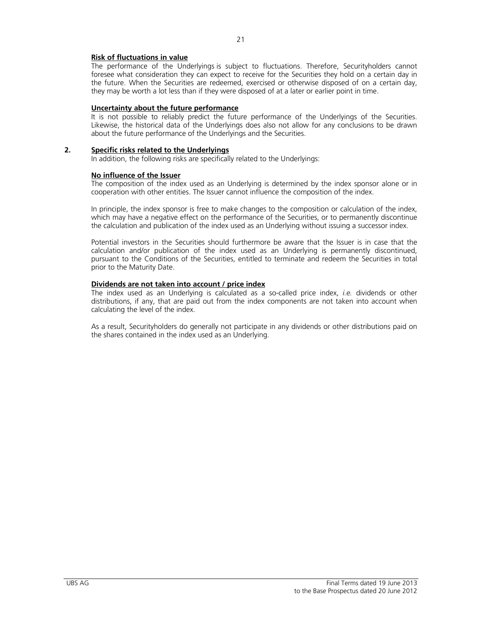# **Risk of fluctuations in value**

The performance of the Underlyings is subject to fluctuations. Therefore, Securityholders cannot foresee what consideration they can expect to receive for the Securities they hold on a certain day in the future. When the Securities are redeemed, exercised or otherwise disposed of on a certain day, they may be worth a lot less than if they were disposed of at a later or earlier point in time.

# **Uncertainty about the future performance**

It is not possible to reliably predict the future performance of the Underlyings of the Securities. Likewise, the historical data of the Underlyings does also not allow for any conclusions to be drawn about the future performance of the Underlyings and the Securities.

# **2. Specific risks related to the Underlyings**

In addition, the following risks are specifically related to the Underlyings:

# **No influence of the Issuer**

The composition of the index used as an Underlying is determined by the index sponsor alone or in cooperation with other entities. The Issuer cannot influence the composition of the index.

In principle, the index sponsor is free to make changes to the composition or calculation of the index, which may have a negative effect on the performance of the Securities, or to permanently discontinue the calculation and publication of the index used as an Underlying without issuing a successor index.

Potential investors in the Securities should furthermore be aware that the Issuer is in case that the calculation and/or publication of the index used as an Underlying is permanently discontinued, pursuant to the Conditions of the Securities, entitled to terminate and redeem the Securities in total prior to the Maturity Date.

## **Dividends are not taken into account / price index**

The index used as an Underlying is calculated as a so-called price index, *i.e.* dividends or other distributions, if any, that are paid out from the index components are not taken into account when calculating the level of the index.

As a result, Securityholders do generally not participate in any dividends or other distributions paid on the shares contained in the index used as an Underlying.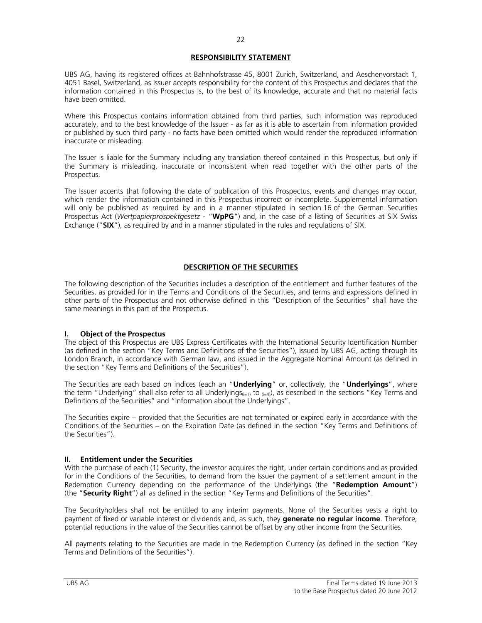# **RESPONSIBILITY STATEMENT**

UBS AG, having its registered offices at Bahnhofstrasse 45, 8001 Zurich, Switzerland, and Aeschenvorstadt 1, 4051 Basel, Switzerland, as Issuer accepts responsibility for the content of this Prospectus and declares that the information contained in this Prospectus is, to the best of its knowledge, accurate and that no material facts have been omitted.

Where this Prospectus contains information obtained from third parties, such information was reproduced accurately, and to the best knowledge of the Issuer - as far as it is able to ascertain from information provided or published by such third party - no facts have been omitted which would render the reproduced information inaccurate or misleading.

The Issuer is liable for the Summary including any translation thereof contained in this Prospectus, but only if the Summary is misleading, inaccurate or inconsistent when read together with the other parts of the Prospectus.

The Issuer accents that following the date of publication of this Prospectus, events and changes may occur, which render the information contained in this Prospectus incorrect or incomplete. Supplemental information will only be published as required by and in a manner stipulated in section 16 of the German Securities Prospectus Act (*Wertpapierprospektgesetz* - "**WpPG**") and, in the case of a listing of Securities at SIX Swiss Exchange ("**SIX**"), as required by and in a manner stipulated in the rules and regulations of SIX.

# **DESCRIPTION OF THE SECURITIES**

The following description of the Securities includes a description of the entitlement and further features of the Securities, as provided for in the Terms and Conditions of the Securities, and terms and expressions defined in other parts of the Prospectus and not otherwise defined in this "Description of the Securities" shall have the same meanings in this part of the Prospectus.

## **I. Object of the Prospectus**

The object of this Prospectus are UBS Express Certificates with the International Security Identification Number (as defined in the section "Key Terms and Definitions of the Securities"), issued by UBS AG, acting through its London Branch, in accordance with German law, and issued in the Aggregate Nominal Amount (as defined in the section "Key Terms and Definitions of the Securities").

The Securities are each based on indices (each an "**Underlying**" or, collectively, the "**Underlyings**", where the term "Underlying" shall also refer to all Underlyings<sub>(i=1)</sub> to  $_{(i=4)}$ ), as described in the sections "Key Terms and Definitions of the Securities" and "Information about the Underlyings".

The Securities expire – provided that the Securities are not terminated or expired early in accordance with the Conditions of the Securities – on the Expiration Date (as defined in the section "Key Terms and Definitions of the Securities").

# **II. Entitlement under the Securities**

With the purchase of each (1) Security, the investor acquires the right, under certain conditions and as provided for in the Conditions of the Securities, to demand from the Issuer the payment of a settlement amount in the Redemption Currency depending on the performance of the Underlyings (the "**Redemption Amount**") (the "**Security Right**") all as defined in the section "Key Terms and Definitions of the Securities".

The Securityholders shall not be entitled to any interim payments. None of the Securities vests a right to payment of fixed or variable interest or dividends and, as such, they **generate no regular income**. Therefore, potential reductions in the value of the Securities cannot be offset by any other income from the Securities.

All payments relating to the Securities are made in the Redemption Currency (as defined in the section "Key Terms and Definitions of the Securities").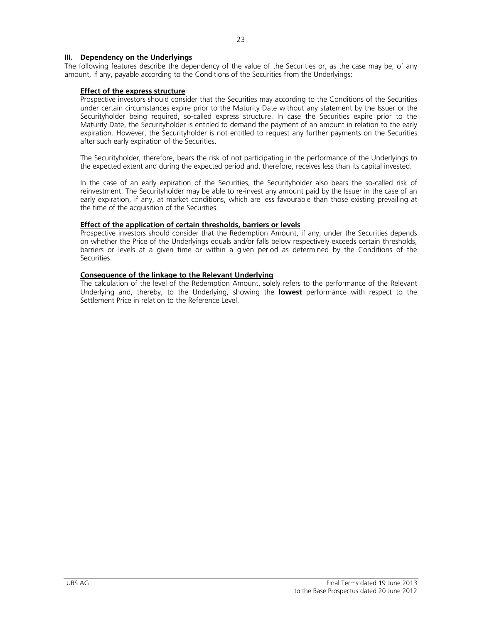## **III. Dependency on the Underlyings**

The following features describe the dependency of the value of the Securities or, as the case may be, of any amount, if any, payable according to the Conditions of the Securities from the Underlyings:

## **Effect of the express structure**

 Prospective investors should consider that the Securities may according to the Conditions of the Securities under certain circumstances expire prior to the Maturity Date without any statement by the Issuer or the Securityholder being required, so-called express structure. In case the Securities expire prior to the Maturity Date, the Securityholder is entitled to demand the payment of an amount in relation to the early expiration. However, the Securityholder is not entitled to request any further payments on the Securities after such early expiration of the Securities.

The Securityholder, therefore, bears the risk of not participating in the performance of the Underlyings to the expected extent and during the expected period and, therefore, receives less than its capital invested.

 In the case of an early expiration of the Securities, the Securityholder also bears the so-called risk of reinvestment. The Securityholder may be able to re-invest any amount paid by the Issuer in the case of an early expiration, if any, at market conditions, which are less favourable than those existing prevailing at the time of the acquisition of the Securities.

## **Effect of the application of certain thresholds, barriers or levels**

 Prospective investors should consider that the Redemption Amount, if any, under the Securities depends on whether the Price of the Underlyings equals and/or falls below respectively exceeds certain thresholds, barriers or levels at a given time or within a given period as determined by the Conditions of the Securities.

## **Consequence of the linkage to the Relevant Underlying**

 The calculation of the level of the Redemption Amount, solely refers to the performance of the Relevant Underlying and, thereby, to the Underlying, showing the **lowest** performance with respect to the Settlement Price in relation to the Reference Level.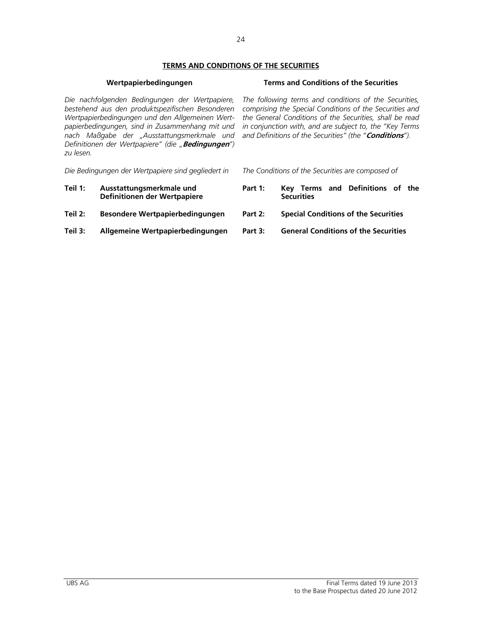# **TERMS AND CONDITIONS OF THE SECURITIES**

# **Wertpapierbedingungen Terms and Conditions of the Securities**

*Die nachfolgenden Bedingungen der Wertpapiere, bestehend aus den produktspezifischen Besonderen Wertpapierbedingungen und den Allgemeinen Wertpapierbedingungen, sind in Zusammenhang mit und nach Maßgabe der "Ausstattungsmerkmale und Definitionen der Wertpapiere" (die "***Bedingungen***") zu lesen.* 

*Die Bedingungen der Wertpapiere sind gegliedert in The Conditions of the Securities are composed of* 

- **Teil 1: Ausstattungsmerkmale und Definitionen der Wertpapiere**
- 
- **Teil 3: Allgemeine Wertpapierbedingungen Part 3: General Conditions of the Securities**

*The following terms and conditions of the Securities, comprising the Special Conditions of the Securities and the General Conditions of the Securities, shall be read in conjunction with, and are subject to, the "Key Terms and Definitions of the Securities" (the "***Conditions***").* 

- 
- **Part 1: Key Terms and Definitions of the Securities**
- **Teil 2: Besondere Wertpapierbedingungen Part 2: Special Conditions of the Securities**
	-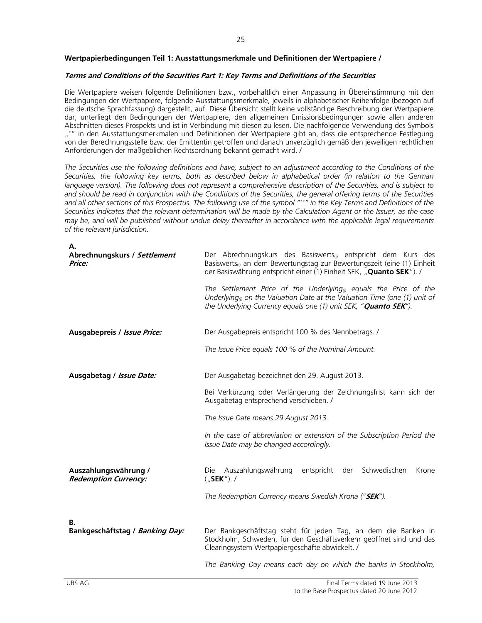# **Wertpapierbedingungen Teil 1: Ausstattungsmerkmale und Definitionen der Wertpapiere /**

# **Terms and Conditions of the Securities Part 1: Key Terms and Definitions of the Securities**

Die Wertpapiere weisen folgende Definitionen bzw., vorbehaltlich einer Anpassung in Übereinstimmung mit den Bedingungen der Wertpapiere, folgende Ausstattungsmerkmale, jeweils in alphabetischer Reihenfolge (bezogen auf die deutsche Sprachfassung) dargestellt, auf. Diese Übersicht stellt keine vollständige Beschreibung der Wertpapiere dar, unterliegt den Bedingungen der Wertpapiere, den allgemeinen Emissionsbedingungen sowie allen anderen Abschnitten dieses Prospekts und ist in Verbindung mit diesen zu lesen. Die nachfolgende Verwendung des Symbols "\*" in den Ausstattungsmerkmalen und Definitionen der Wertpapiere gibt an, dass die entsprechende Festlegung von der Berechnungsstelle bzw. der Emittentin getroffen und danach unverzüglich gemäß den jeweiligen rechtlichen Anforderungen der maßgeblichen Rechtsordnung bekannt gemacht wird. /

*The Securities use the following definitions and have, subject to an adjustment according to the Conditions of the Securities, the following key terms, both as described below in alphabetical order (in relation to the German language version). The following does not represent a comprehensive description of the Securities, and is subject to and should be read in conjunction with the Conditions of the Securities, the general offering terms of the Securities and all other sections of this Prospectus. The following use of the symbol "\*\*" in the Key Terms and Definitions of the Securities indicates that the relevant determination will be made by the Calculation Agent or the Issuer, as the case may be, and will be published without undue delay thereafter in accordance with the applicable legal requirements of the relevant jurisdiction.* 

| А.<br>Abrechnungskurs / Settlement<br>Price:        | Der Abrechnungskurs des Basiswerts <sub>(i)</sub> entspricht dem Kurs des<br>Basiswerts <sub>(i)</sub> an dem Bewertungstag zur Bewertungszeit (eine (1) Einheit<br>der Basiswährung entspricht einer (1) Einheit SEK, "Quanto SEK"). /<br>The Settlement Price of the Underlying <sub>(i)</sub> equals the Price of the<br>Underlying <sub>(i)</sub> on the Valuation Date at the Valuation Time (one (1) unit of<br>the Underlying Currency equals one (1) unit SEK, " <b>Quanto SEK</b> "). |  |  |  |
|-----------------------------------------------------|------------------------------------------------------------------------------------------------------------------------------------------------------------------------------------------------------------------------------------------------------------------------------------------------------------------------------------------------------------------------------------------------------------------------------------------------------------------------------------------------|--|--|--|
| Ausgabepreis / Issue Price:                         | Der Ausgabepreis entspricht 100 % des Nennbetrags. /                                                                                                                                                                                                                                                                                                                                                                                                                                           |  |  |  |
|                                                     | The Issue Price equals 100 % of the Nominal Amount.                                                                                                                                                                                                                                                                                                                                                                                                                                            |  |  |  |
| Ausgabetag / Issue Date:                            | Der Ausgabetag bezeichnet den 29. August 2013.                                                                                                                                                                                                                                                                                                                                                                                                                                                 |  |  |  |
|                                                     | Bei Verkürzung oder Verlängerung der Zeichnungsfrist kann sich der<br>Ausgabetag entsprechend verschieben. /                                                                                                                                                                                                                                                                                                                                                                                   |  |  |  |
|                                                     | The Issue Date means 29 August 2013.                                                                                                                                                                                                                                                                                                                                                                                                                                                           |  |  |  |
|                                                     | In the case of abbreviation or extension of the Subscription Period the<br>Issue Date may be changed accordingly.                                                                                                                                                                                                                                                                                                                                                                              |  |  |  |
| Auszahlungswährung /<br><b>Redemption Currency:</b> | entspricht<br>Schwedischen<br>Die Auszahlungswährung<br>der<br>Krone<br>$($ "SEK"). /                                                                                                                                                                                                                                                                                                                                                                                                          |  |  |  |
|                                                     | The Redemption Currency means Swedish Krona ("SEK").                                                                                                                                                                                                                                                                                                                                                                                                                                           |  |  |  |
| В.<br>Bankgeschäftstag / Banking Day:               | Der Bankgeschäftstag steht für jeden Tag, an dem die Banken in<br>Stockholm, Schweden, für den Geschäftsverkehr geöffnet sind und das<br>Clearingsystem Wertpapiergeschäfte abwickelt. /                                                                                                                                                                                                                                                                                                       |  |  |  |
|                                                     | The Banking Day means each day on which the banks in Stockholm,                                                                                                                                                                                                                                                                                                                                                                                                                                |  |  |  |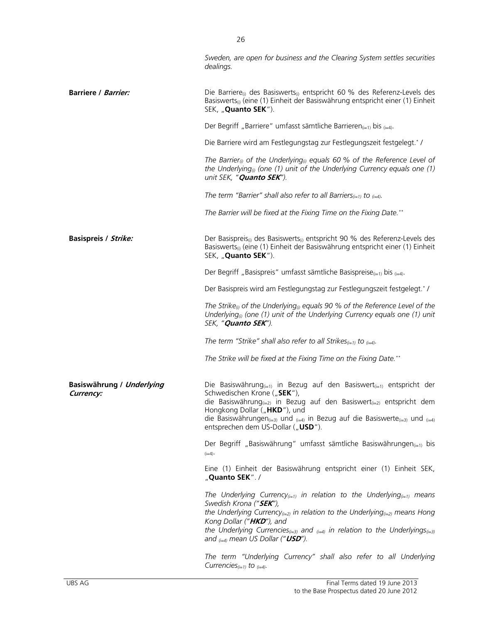|                                        | Sweden, are open for business and the Clearing System settles securities<br>dealings.                                                                                                                                                                                                                                                                                                                   |
|----------------------------------------|---------------------------------------------------------------------------------------------------------------------------------------------------------------------------------------------------------------------------------------------------------------------------------------------------------------------------------------------------------------------------------------------------------|
| <b>Barriere / Barrier:</b>             | Die Barriere <sub>(i)</sub> des Basiswerts <sub>(i)</sub> entspricht 60 % des Referenz-Levels des<br>Basiswerts <sub>(i)</sub> (eine (1) Einheit der Basiswährung entspricht einer (1) Einheit<br>SEK, "Quanto SEK").                                                                                                                                                                                   |
|                                        | Der Begriff "Barriere" umfasst sämtliche Barrieren $_{(i=1)}$ bis $_{(i=4)}$ .                                                                                                                                                                                                                                                                                                                          |
|                                        | Die Barriere wird am Festlegungstag zur Festlegungszeit festgelegt.* /                                                                                                                                                                                                                                                                                                                                  |
|                                        | The Barrier <sub>(i)</sub> of the Underlying <sub>(i)</sub> equals 60 % of the Reference Level of<br>the Underlying <sub>(<math>0</math></sub> (one (1) unit of the Underlying Currency equals one (1)<br>unit SEK, " <b>Quanto SEK</b> ").                                                                                                                                                             |
|                                        | The term "Barrier" shall also refer to all Barriers $_{(i=1)}$ to $_{(i=4)}$ .                                                                                                                                                                                                                                                                                                                          |
|                                        | The Barrier will be fixed at the Fixing Time on the Fixing Date.**                                                                                                                                                                                                                                                                                                                                      |
| <b>Basispreis / Strike:</b>            | Der Basispreis <sub>(i)</sub> des Basiswerts <sub>(i)</sub> entspricht 90 % des Referenz-Levels des<br>Basiswerts <sub>(i)</sub> (eine (1) Einheit der Basiswährung entspricht einer (1) Einheit<br>SEK, "Quanto SEK").                                                                                                                                                                                 |
|                                        | Der Begriff "Basispreis" umfasst sämtliche Basispreise $_{(i=1)}$ bis $_{(i=4)}$ .                                                                                                                                                                                                                                                                                                                      |
|                                        | Der Basispreis wird am Festlegungstag zur Festlegungszeit festgelegt.*/                                                                                                                                                                                                                                                                                                                                 |
|                                        | The Strike <sub>®</sub> of the Underlying <sub>®</sub> equals 90 % of the Reference Level of the<br>Underlying <sub>(i)</sub> (one (1) unit of the Underlying Currency equals one (1) unit<br>SEK, "Quanto SEK").                                                                                                                                                                                       |
|                                        | The term "Strike" shall also refer to all Strikes $_{(i=1)}$ to $_{(i=4)}$ .                                                                                                                                                                                                                                                                                                                            |
|                                        | The Strike will be fixed at the Fixing Time on the Fixing Date.**                                                                                                                                                                                                                                                                                                                                       |
| Basiswährung / Underlying<br>Currency: | Die Basiswährung $_{(i=1)}$ in Bezug auf den Basiswert $_{(i=1)}$ entspricht der<br>Schwedischen Krone ("SEK"),<br>die Basiswährung $_{(i=2)}$ in Bezug auf den Basiswert $_{(i=2)}$ entspricht dem<br>Hongkong Dollar ("HKD"), und<br>die Basiswährungen (i=3) und (i=4) in Bezug auf die Basiswerte (i=3) und (i=4)<br>entsprechen dem US-Dollar ("USD").                                             |
|                                        | Der Begriff "Basiswährung" umfasst sämtliche Basiswährungen <sub>(i=1)</sub> bis<br>$(i=4)$                                                                                                                                                                                                                                                                                                             |
|                                        | Eine (1) Einheit der Basiswährung entspricht einer (1) Einheit SEK,<br>"Quanto SEK"./                                                                                                                                                                                                                                                                                                                   |
|                                        | The Underlying Currency <sub>(i=1)</sub> in relation to the Underlying <sub>(i=1)</sub> means<br>Swedish Krona (" <b>SEK</b> "),<br>the Underlying Currency $(i=2)$ in relation to the Underlying $(i=2)$ means Hong<br>Kong Dollar ("HKD"), and<br>the Underlying Currencies <sub>(i=3)</sub> and $_{(i=4)}$ in relation to the Underlyings <sub>(i=3)</sub><br>and $_{(i=4)}$ mean US Dollar ("USD"). |
|                                        | The term "Underlying Currency" shall also refer to all Underlying<br>Currencies $_{(i=1)}$ to $_{(i=4)}$ .                                                                                                                                                                                                                                                                                              |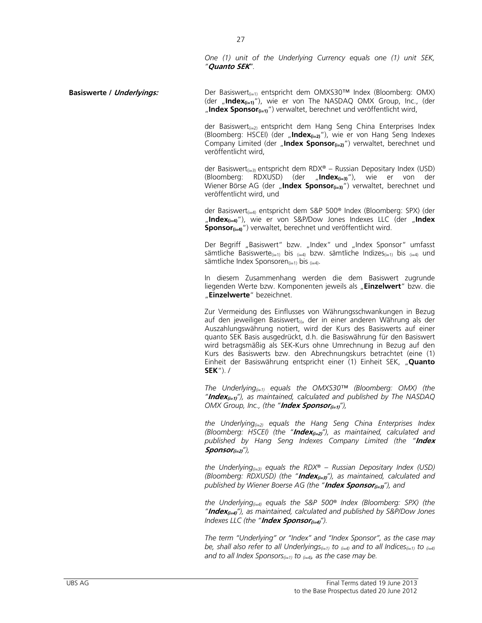*One (1) unit of the Underlying Currency equals one (1) unit SEK, "***Quanto SEK***".* 

**Basiswerte / Underlyings:** Der Basiswert<sub>(i=1)</sub> entspricht dem OMXS30™ Index (Bloomberg: OMX) (der "Index<sub>(i=1)</sub>"), wie er von The NASDAQ OMX Group, Inc., (der "Index Sponsor<sub>(i=1)</sub>") verwaltet, berechnet und veröffentlicht wird,

> der Basiswert $_{(i=2)}$  entspricht dem Hang Seng China Enterprises Index (Bloomberg: HSCEI) (der "**Index(i=2)**"), wie er von Hang Seng Indexes Company Limited (der "Index Sponsor<sub>(i=2)</sub>") verwaltet, berechnet und veröffentlicht wird,

> der Basiswert<sub>(i=3)</sub> entspricht dem RDX® – Russian Depositary Index (USD) (Bloomberg: RDXUSD) (der "**Index(i=3)**"), wie er von der Wiener Börse AG (der "Index Sponsor<sub>(i=3)</sub>") verwaltet, berechnet und veröffentlicht wird, und

> der Basiswert<sub>(i=4)</sub> entspricht dem S&P 500® Index (Bloomberg: SPX) (der "**Index(i=4)**"), wie er von S&P/Dow Jones Indexes LLC (der "**Index Sponsor**(i=4)<sup>"</sup>) verwaltet, berechnet und veröffentlicht wird.

> Der Begriff "Basiswert" bzw. "Index" und "Index Sponsor" umfasst sämtliche Basiswerte<sub>(i=1)</sub> bis <sub>(i=4)</sub> bzw. sämtliche Indizes<sub>(i=1)</sub> bis <sub>(i=4)</sub> und sämtliche Index Sponsoren $(i=1)$  bis  $(i=4)$ .

> In diesem Zusammenhang werden die dem Basiswert zugrunde liegenden Werte bzw. Komponenten jeweils als "**Einzelwert**" bzw. die "**Einzelwerte**" bezeichnet.

> Zur Vermeidung des Einflusses von Währungsschwankungen in Bezug auf den jeweiligen Basiswert<sub>(i)</sub>, der in einer anderen Währung als der Auszahlungswährung notiert, wird der Kurs des Basiswerts auf einer quanto SEK Basis ausgedrückt, d.h. die Basiswährung für den Basiswert wird betragsmäßig als SEK-Kurs ohne Umrechnung in Bezug auf den Kurs des Basiswerts bzw. den Abrechnungskurs betrachtet (eine (1) Einheit der Basiswährung entspricht einer (1) Einheit SEK, "**Quanto SEK**"). /

> *The Underlying(i=1) equals the OMXS30™ (Bloomberg: OMX) (the "***Index(i=1)***"), as maintained, calculated and published by The NASDAQ OMX Group, Inc., (the "Index Sponsor<sub>(i=1)</sub>"),*

> *the Underlying(i=2) equals the Hang Seng China Enterprises Index (Bloomberg: HSCEI) (the "***Index(i=2)***"), as maintained, calculated and published by Hang Seng Indexes Company Limited (the "***Index Sponsor(i=2)***"),*

> *the Underlying*<sub> $(i=3)$ </sub> equals the RDX<sup>®</sup> – Russian Depositary Index (USD) *(Bloomberg: RDXUSD) (the "***Index(i=3)***"), as maintained, calculated and published by Wiener Boerse AG (the "***Index Sponsor(i=3)***"), and*

> *the Underlying(i=4) equals the S&P 500® Index (Bloomberg: SPX) (the "***Index(i=4)***"), as maintained, calculated and published by S&P/Dow Jones Indexes LLC (the "Index Sponsor<sub>(i=4)</sub>").*

> *The term "Underlying" or "Index" and "Index Sponsor", as the case may be, shall also refer to all Underlyings(i=1) to (i=4) and to all Indices(i=1) to (i=4) and to all Index Sponsors(i=1) to (i=4), as the case may be.*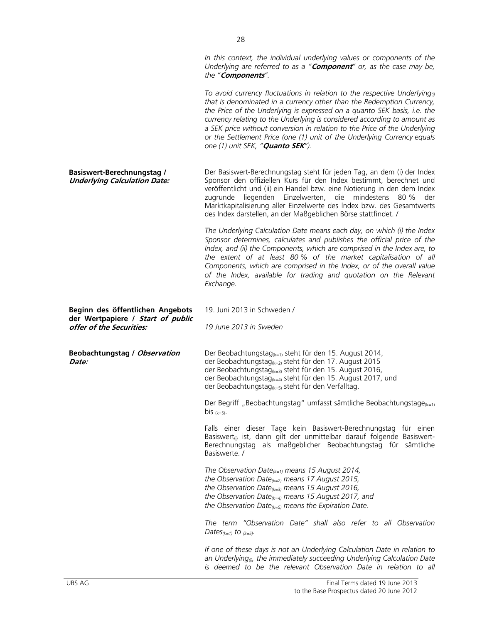*In this context, the individual underlying values or components of the Underlying are referred to as a "***Component***" or, as the case may be, the "***Components***". To avoid currency fluctuations in relation to the respective Underlying(i) that is denominated in a currency other than the Redemption Currency, the Price of the Underlying is expressed on a quanto SEK basis, i.e. the currency relating to the Underlying is considered according to amount as a SEK price without conversion in relation to the Price of the Underlying or the Settlement Price (one (1) unit of the Underlying Currency equals one (1) unit SEK, "***Quanto SEK***").* **Basiswert-Berechnungstag / Underlying Calculation Date:** Der Basiswert-Berechnungstag steht für jeden Tag, an dem (i) der Index Sponsor den offiziellen Kurs für den Index bestimmt, berechnet und veröffentlicht und (ii) ein Handel bzw. eine Notierung in den dem Index zugrunde liegenden Einzelwerten, die mindestens 80 % der Marktkapitalisierung aller Einzelwerte des lndex bzw. des Gesamtwerts des Index darstellen, an der Maßgeblichen Börse stattfindet. /  *The Underlying Calculation Date means each day, on which (i) the Index Sponsor determines, calculates and publishes the official price of the Index, and (ii) the Components, which are comprised in the Index are, to the extent of at least 80 % of the market capitalisation of all Components, which are comprised in the Index, or of the overall value of the Index, available for trading and quotation on the Relevant Exchange.*  **Beginn des öffentlichen Angebots der Wertpapiere / Start of public offer of the Securities:**  19. Juni 2013 in Schweden / *19 June 2013 in Sweden*  **Beobachtungstag / Observation Date:** Der Beobachtungstag<sub>(k=1)</sub> steht für den 15. August 2014, der Beobachtungstag $_{k=2}$  steht für den 17. August 2015 der Beobachtungstag $(k=3)$  steht für den 15. August 2016, der Beobachtungstag(k=4) steht für den 15. August 2017, und der Beobachtungstag $(k=5)$  steht für den Verfalltag. Der Begriff "Beobachtungstag" umfasst sämtliche Beobachtungstage $(k=1)$ bis  $(k=5)$ . Falls einer dieser Tage kein Basiswert-Berechnungstag für einen Basiswert<sub>(i)</sub> ist, dann gilt der unmittelbar darauf folgende Basiswert-Berechnungstag als maßgeblicher Beobachtungstag für sämtliche Basiswerte. / *The Observation Date(k=1) means 15 August 2014, the Observation Date(k=2) means 17 August 2015, the Observation Date(k=3) means 15 August 2016, the Observation Date(k=4) means 15 August 2017, and the Observation Date(k=5) means the Expiration Date. The term "Observation Date" shall also refer to all Observation Dates(k=1) to (k=5). If one of these days is not an Underlying Calculation Date in relation to* 

*an Underlying(i), the immediately succeeding Underlying Calculation Date is deemed to be the relevant Observation Date in relation to all*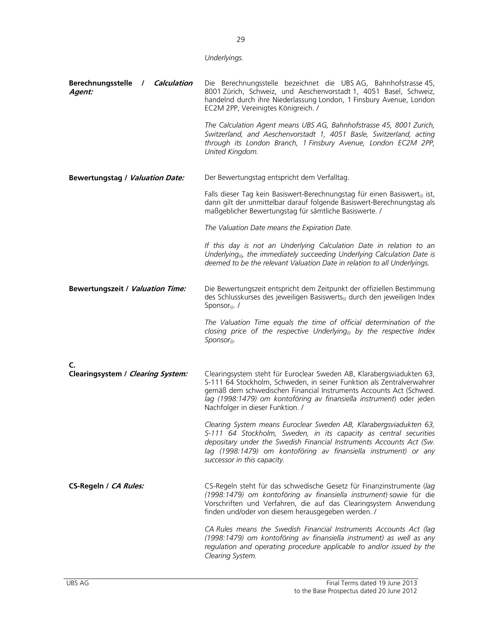|                                                                     | Underlyings.                                                                                                                                                                                                                                                                                                                     |  |  |
|---------------------------------------------------------------------|----------------------------------------------------------------------------------------------------------------------------------------------------------------------------------------------------------------------------------------------------------------------------------------------------------------------------------|--|--|
| <b>Berechnungsstelle</b><br>Calculation<br>$\overline{1}$<br>Agent: | Die Berechnungsstelle bezeichnet die UBS AG, Bahnhofstrasse 45,<br>8001 Zürich, Schweiz, und Aeschenvorstadt 1, 4051 Basel, Schweiz,<br>handelnd durch ihre Niederlassung London, 1 Finsbury Avenue, London<br>EC2M 2PP, Vereinigtes Königreich. /                                                                               |  |  |
|                                                                     | The Calculation Agent means UBS AG, Bahnhofstrasse 45, 8001 Zurich,<br>Switzerland, and Aeschenvorstadt 1, 4051 Basle, Switzerland, acting<br>through its London Branch, 1 Finsbury Avenue, London EC2M 2PP,<br>United Kingdom.                                                                                                  |  |  |
| <b>Bewertungstag / Valuation Date:</b>                              | Der Bewertungstag entspricht dem Verfalltag.                                                                                                                                                                                                                                                                                     |  |  |
|                                                                     | Falls dieser Tag kein Basiswert-Berechnungstag für einen Basiswert <sub>(i)</sub> ist,<br>dann gilt der unmittelbar darauf folgende Basiswert-Berechnungstag als<br>maßgeblicher Bewertungstag für sämtliche Basiswerte. /                                                                                                       |  |  |
|                                                                     | The Valuation Date means the Expiration Date.                                                                                                                                                                                                                                                                                    |  |  |
|                                                                     | If this day is not an Underlying Calculation Date in relation to an<br>Underlying <sub>®</sub> , the immediately succeeding Underlying Calculation Date is<br>deemed to be the relevant Valuation Date in relation to all Underlyings.                                                                                           |  |  |
| <b>Bewertungszeit / Valuation Time:</b>                             | Die Bewertungszeit entspricht dem Zeitpunkt der offiziellen Bestimmung<br>des Schlusskurses des jeweiligen Basiswerts <sub>(i)</sub> durch den jeweiligen Index<br>Sponsor <sub>(i)</sub> . /                                                                                                                                    |  |  |
|                                                                     | The Valuation Time equals the time of official determination of the<br>closing price of the respective Underlying <sub>(i)</sub> by the respective Index<br>$S$ <i>ponsor</i> <sub>(i)</sub> .                                                                                                                                   |  |  |
| C.                                                                  |                                                                                                                                                                                                                                                                                                                                  |  |  |
| Clearingsystem / Clearing System:                                   | Clearingsystem steht für Euroclear Sweden AB, Klarabergsviadukten 63,<br>S-111 64 Stockholm, Schweden, in seiner Funktion als Zentralverwahrer<br>gemäß dem schwedischen Financial Instruments Accounts Act (Schwed.<br>lag (1998:1479) om kontoföring av finansiella instrument) oder jeden<br>Nachfolger in dieser Funktion. / |  |  |
|                                                                     | Clearing System means Euroclear Sweden AB, Klarabergsviadukten 63,<br>S-111 64 Stockholm, Sweden, in its capacity as central securities<br>depositary under the Swedish Financial Instruments Accounts Act (Sw.<br>lag (1998:1479) om kontoföring av finansiella instrument) or any<br>successor in this capacity.               |  |  |
| CS-Regeln / CA Rules:                                               | CS-Regeln steht für das schwedische Gesetz für Finanzinstrumente (lag<br>(1998:1479) om kontoföring av finansiella instrument) sowie für die<br>Vorschriften und Verfahren, die auf das Clearingsystem Anwendung<br>finden und/oder von diesem herausgegeben werden. /                                                           |  |  |
|                                                                     | CA Rules means the Swedish Financial Instruments Accounts Act (lag<br>(1998:1479) om kontoföring av finansiella instrument) as well as any<br>regulation and operating procedure applicable to and/or issued by the<br>Clearing System.                                                                                          |  |  |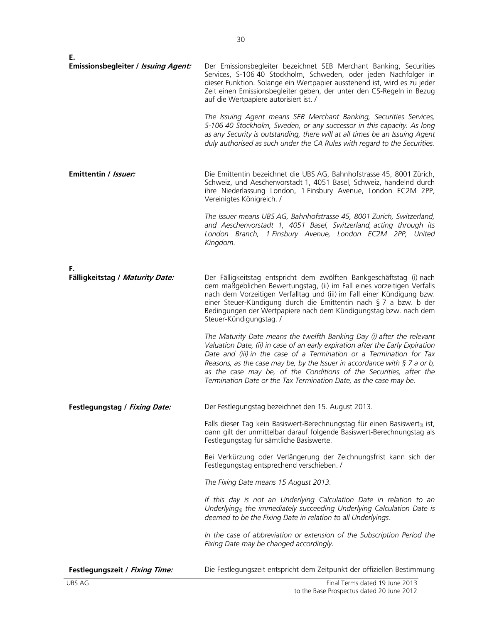| Е.                                  |                                                                                                                                                                                                                                                                                                                                                                                                                                                                                                                                                                                                                                                   |
|-------------------------------------|---------------------------------------------------------------------------------------------------------------------------------------------------------------------------------------------------------------------------------------------------------------------------------------------------------------------------------------------------------------------------------------------------------------------------------------------------------------------------------------------------------------------------------------------------------------------------------------------------------------------------------------------------|
| Emissionsbegleiter / Issuing Agent: | Der Emissionsbegleiter bezeichnet SEB Merchant Banking, Securities<br>Services, S-106 40 Stockholm, Schweden, oder jeden Nachfolger in<br>dieser Funktion. Solange ein Wertpapier ausstehend ist, wird es zu jeder<br>Zeit einen Emissionsbegleiter geben, der unter den CS-Regeln in Bezug<br>auf die Wertpapiere autorisiert ist. /<br>The Issuing Agent means SEB Merchant Banking, Securities Services,<br>S-106 40 Stockholm, Sweden, or any successor in this capacity. As long<br>as any Security is outstanding, there will at all times be an Issuing Agent<br>duly authorised as such under the CA Rules with regard to the Securities. |
|                                     |                                                                                                                                                                                                                                                                                                                                                                                                                                                                                                                                                                                                                                                   |
| Emittentin / Issuer:                | Die Emittentin bezeichnet die UBS AG, Bahnhofstrasse 45, 8001 Zürich,<br>Schweiz, und Aeschenvorstadt 1, 4051 Basel, Schweiz, handelnd durch<br>ihre Niederlassung London, 1 Finsbury Avenue, London EC2M 2PP,<br>Vereinigtes Königreich. /                                                                                                                                                                                                                                                                                                                                                                                                       |
|                                     | The Issuer means UBS AG, Bahnhofstrasse 45, 8001 Zurich, Switzerland,<br>and Aeschenvorstadt 1, 4051 Basel, Switzerland, acting through its<br>London Branch, 1 Finsbury Avenue, London EC2M 2PP, United<br>Kingdom.                                                                                                                                                                                                                                                                                                                                                                                                                              |
| F.                                  |                                                                                                                                                                                                                                                                                                                                                                                                                                                                                                                                                                                                                                                   |
| Fälligkeitstag / Maturity Date:     | Der Fälligkeitstag entspricht dem zwölften Bankgeschäftstag (i) nach<br>dem maßgeblichen Bewertungstag, (ii) im Fall eines vorzeitigen Verfalls<br>nach dem Vorzeitigen Verfalltag und (iii) im Fall einer Kündigung bzw.<br>einer Steuer-Kündigung durch die Emittentin nach § 7 a bzw. b der<br>Bedingungen der Wertpapiere nach dem Kündigungstag bzw. nach dem<br>Steuer-Kündigungstag. /                                                                                                                                                                                                                                                     |
|                                     | The Maturity Date means the twelfth Banking Day (i) after the relevant<br>Valuation Date, (ii) in case of an early expiration after the Early Expiration<br>Date and (iii) in the case of a Termination or a Termination for Tax<br>Reasons, as the case may be, by the Issuer in accordance with $\S$ 7 a or b,<br>as the case may be, of the Conditions of the Securities, after the<br>Termination Date or the Tax Termination Date, as the case may be.                                                                                                                                                                                       |
| Festlegungstag / Fixing Date:       | Der Festlegungstag bezeichnet den 15. August 2013.                                                                                                                                                                                                                                                                                                                                                                                                                                                                                                                                                                                                |
|                                     | Falls dieser Tag kein Basiswert-Berechnungstag für einen Basiswert <sub>(i)</sub> ist,<br>dann gilt der unmittelbar darauf folgende Basiswert-Berechnungstag als<br>Festlegungstag für sämtliche Basiswerte.                                                                                                                                                                                                                                                                                                                                                                                                                                      |
|                                     | Bei Verkürzung oder Verlängerung der Zeichnungsfrist kann sich der<br>Festlegungstag entsprechend verschieben. /                                                                                                                                                                                                                                                                                                                                                                                                                                                                                                                                  |
|                                     | The Fixing Date means 15 August 2013.                                                                                                                                                                                                                                                                                                                                                                                                                                                                                                                                                                                                             |
|                                     | If this day is not an Underlying Calculation Date in relation to an<br>Underlying <sub>®</sub> the immediately succeeding Underlying Calculation Date is<br>deemed to be the Fixing Date in relation to all Underlyings.                                                                                                                                                                                                                                                                                                                                                                                                                          |
|                                     | In the case of abbreviation or extension of the Subscription Period the<br>Fixing Date may be changed accordingly.                                                                                                                                                                                                                                                                                                                                                                                                                                                                                                                                |
| Festlegungszeit / Fixing Time:      | Die Festlegungszeit entspricht dem Zeitpunkt der offiziellen Bestimmung                                                                                                                                                                                                                                                                                                                                                                                                                                                                                                                                                                           |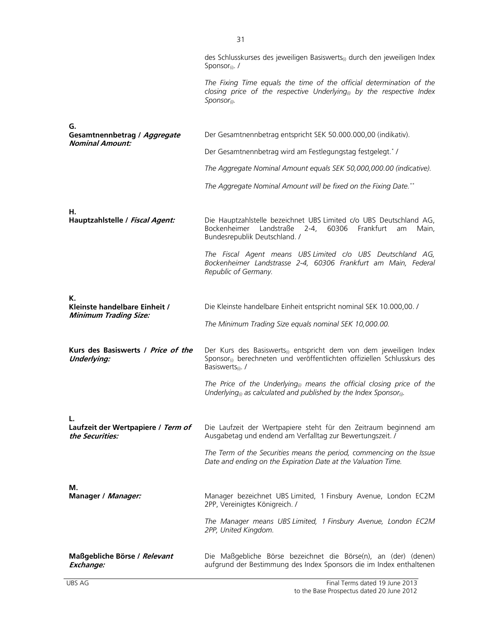|                                                               | des Schlusskurses des jeweiligen Basiswerts <sub>0</sub> durch den jeweiligen Index<br>Sponsor <sub>(i)</sub> . /                                                                                      |
|---------------------------------------------------------------|--------------------------------------------------------------------------------------------------------------------------------------------------------------------------------------------------------|
|                                                               | The Fixing Time equals the time of the official determination of the<br>closing price of the respective Underlying <sup>®</sup> by the respective Index<br>$S$ <i>ponsor</i> <sub>(i)</sub> .          |
| G.                                                            |                                                                                                                                                                                                        |
| Gesamtnennbetrag / Aggregate<br><b>Nominal Amount:</b>        | Der Gesamtnennbetrag entspricht SEK 50.000.000,00 (indikativ).                                                                                                                                         |
|                                                               | Der Gesamtnennbetrag wird am Festlegungstag festgelegt.*/                                                                                                                                              |
|                                                               | The Aggregate Nominal Amount equals SEK 50,000,000.00 (indicative).                                                                                                                                    |
|                                                               | The Aggregate Nominal Amount will be fixed on the Fixing Date.**                                                                                                                                       |
| Н.<br>Hauptzahlstelle / Fiscal Agent:                         | Die Hauptzahlstelle bezeichnet UBS Limited c/o UBS Deutschland AG,<br>Bockenheimer Landstraße<br>$2 - 4,$<br>60306<br>Frankfurt<br>Main,<br>am<br>Bundesrepublik Deutschland. /                        |
|                                                               | The Fiscal Agent means UBS Limited c/o UBS Deutschland AG,<br>Bockenheimer Landstrasse 2-4, 60306 Frankfurt am Main, Federal<br>Republic of Germany.                                                   |
| К.                                                            |                                                                                                                                                                                                        |
| Kleinste handelbare Einheit /<br><b>Minimum Trading Size:</b> | Die Kleinste handelbare Einheit entspricht nominal SEK 10.000,00. /                                                                                                                                    |
|                                                               | The Minimum Trading Size equals nominal SEK 10,000.00.                                                                                                                                                 |
| Kurs des Basiswerts / Price of the<br><b>Underlying:</b>      | Der Kurs des Basiswerts <sub>(i)</sub> entspricht dem von dem jeweiligen Index<br>Sponsor <sub>(i)</sub> berechneten und veröffentlichten offiziellen Schlusskurs des<br>Basiswerts <sub>(i)</sub> . / |
|                                                               | The Price of the Underlying <sub>®</sub> means the official closing price of the<br>Underlying <sub>(i)</sub> as calculated and published by the Index Sponsor <sub>(i)</sub> .                        |
| Laufzeit der Wertpapiere / Term of<br>the Securities:         | Die Laufzeit der Wertpapiere steht für den Zeitraum beginnend am<br>Ausgabetag und endend am Verfalltag zur Bewertungszeit. /                                                                          |
|                                                               | The Term of the Securities means the period, commencing on the Issue<br>Date and ending on the Expiration Date at the Valuation Time.                                                                  |
| М.<br>Manager / Manager:                                      | Manager bezeichnet UBS Limited, 1 Finsbury Avenue, London EC2M<br>2PP, Vereinigtes Königreich. /                                                                                                       |
|                                                               | The Manager means UBS Limited, 1 Finsbury Avenue, London EC2M<br>2PP, United Kingdom.                                                                                                                  |
| Maßgebliche Börse / Relevant<br>Exchange:                     | Die Maßgebliche Börse bezeichnet die Börse(n), an (der) (denen)<br>aufgrund der Bestimmung des Index Sponsors die im Index enthaltenen                                                                 |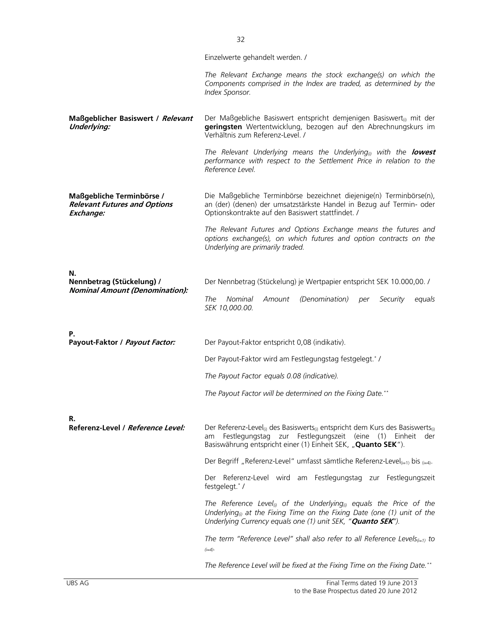|                                                                               | Einzelwerte gehandelt werden. /                                                                                                                                                                                                                      |  |  |  |
|-------------------------------------------------------------------------------|------------------------------------------------------------------------------------------------------------------------------------------------------------------------------------------------------------------------------------------------------|--|--|--|
|                                                                               | The Relevant Exchange means the stock exchange(s) on which the<br>Components comprised in the Index are traded, as determined by the<br>Index Sponsor.                                                                                               |  |  |  |
| Maßgeblicher Basiswert / Relevant<br><b>Underlying:</b>                       | Der Maßgebliche Basiswert entspricht demjenigen Basiswert <sub>(i)</sub> mit der<br>geringsten Wertentwicklung, bezogen auf den Abrechnungskurs im<br>Verhältnis zum Referenz-Level. /                                                               |  |  |  |
|                                                                               | The Relevant Underlying means the Underlying <sub>®</sub> with the <b>lowest</b><br>performance with respect to the Settlement Price in relation to the<br>Reference Level.                                                                          |  |  |  |
| Maßgebliche Terminbörse /<br><b>Relevant Futures and Options</b><br>Exchange: | Die Maßgebliche Terminbörse bezeichnet diejenige(n) Terminbörse(n),<br>an (der) (denen) der umsatzstärkste Handel in Bezug auf Termin- oder<br>Optionskontrakte auf den Basiswert stattfindet. /                                                     |  |  |  |
|                                                                               | The Relevant Futures and Options Exchange means the futures and<br>options exchange(s), on which futures and option contracts on the<br>Underlying are primarily traded.                                                                             |  |  |  |
| N.                                                                            |                                                                                                                                                                                                                                                      |  |  |  |
| Nennbetrag (Stückelung) /<br><b>Nominal Amount (Denomination):</b>            | Der Nennbetrag (Stückelung) je Wertpapier entspricht SEK 10.000,00. /                                                                                                                                                                                |  |  |  |
|                                                                               | The<br>Nominal<br>Amount<br>(Denomination) per<br>Security<br>equals<br>SEK 10,000.00.                                                                                                                                                               |  |  |  |
| Ρ.<br>Payout-Faktor / Payout Factor:                                          | Der Payout-Faktor entspricht 0,08 (indikativ).                                                                                                                                                                                                       |  |  |  |
|                                                                               | Der Payout-Faktor wird am Festlegungstag festgelegt.*/                                                                                                                                                                                               |  |  |  |
|                                                                               | The Payout Factor equals 0.08 (indicative).                                                                                                                                                                                                          |  |  |  |
|                                                                               | The Payout Factor will be determined on the Fixing Date.**                                                                                                                                                                                           |  |  |  |
| R.                                                                            |                                                                                                                                                                                                                                                      |  |  |  |
| Referenz-Level / Reference Level:                                             | Der Referenz-Level <sub>(i)</sub> des Basiswerts <sub>(i)</sub> entspricht dem Kurs des Basiswerts <sub>(i)</sub><br>Festlegungstag zur Festlegungszeit (eine (1) Einheit der<br>am<br>Basiswährung entspricht einer (1) Einheit SEK, "Quanto SEK"). |  |  |  |
|                                                                               | Der Begriff "Referenz-Level" umfasst sämtliche Referenz-Level $_{(i=1)}$ bis $_{(i=4)}$ .                                                                                                                                                            |  |  |  |
|                                                                               | Der Referenz-Level wird am Festlegungstag zur Festlegungszeit<br>festgelegt.*/                                                                                                                                                                       |  |  |  |
|                                                                               | The Reference Level <sub>(i)</sub> of the Underlying <sub>(i)</sub> equals the Price of the<br>Underlying <sub>(i)</sub> at the Fixing Time on the Fixing Date (one (1) unit of the<br>Underlying Currency equals one (1) unit SEK, "Quanto SEK").   |  |  |  |
|                                                                               | The term "Reference Level" shall also refer to all Reference Levels $_{(i=1)}$ to<br>$(i=4)$ .                                                                                                                                                       |  |  |  |
|                                                                               | The Reference Level will be fixed at the Fixing Time on the Fixing Date.**                                                                                                                                                                           |  |  |  |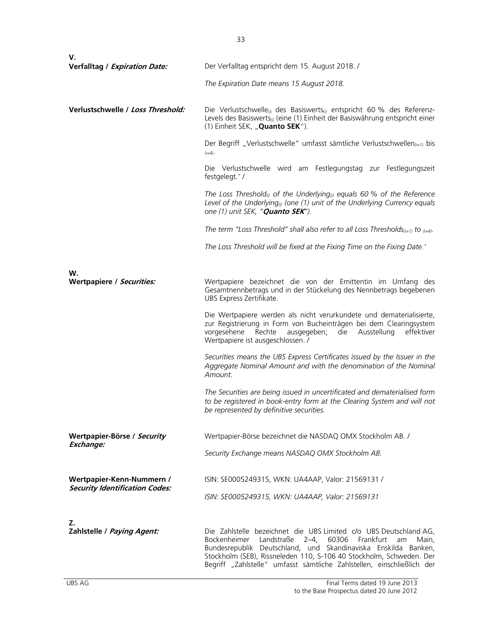| V.                                                                 |                                                                                                                                                                                                                                                             |  |  |
|--------------------------------------------------------------------|-------------------------------------------------------------------------------------------------------------------------------------------------------------------------------------------------------------------------------------------------------------|--|--|
| Verfalltag / Expiration Date:                                      | Der Verfalltag entspricht dem 15. August 2018. /                                                                                                                                                                                                            |  |  |
|                                                                    | The Expiration Date means 15 August 2018.                                                                                                                                                                                                                   |  |  |
| Verlustschwelle / Loss Threshold:                                  | Die Verlustschwelle <sub>(i)</sub> des Basiswerts <sub>(i)</sub> entspricht 60 % des Referenz-<br>Levels des Basiswerts <sub>(i)</sub> (eine (1) Einheit der Basiswährung entspricht einer<br>(1) Einheit SEK, "Quanto SEK").                               |  |  |
|                                                                    | Der Begriff "Verlustschwelle" umfasst sämtliche Verlustschwellen <sub>(i=1)</sub> bis<br>$(i=4)$ .                                                                                                                                                          |  |  |
|                                                                    | Die Verlustschwelle wird am Festlegungstag zur Festlegungszeit<br>festgelegt.*/                                                                                                                                                                             |  |  |
|                                                                    | The Loss Threshold <sub>(i)</sub> of the Underlying <sub>(i)</sub> equals 60 % of the Reference<br>Level of the Underlying <sub>®</sub> (one (1) unit of the Underlying Currency equals<br>one (1) unit SEK, " <b>Quanto SEK</b> ").                        |  |  |
|                                                                    | The term "Loss Threshold" shall also refer to all Loss Thresholds <sub>(i=1)</sub> to $_{(i=4)}$ .                                                                                                                                                          |  |  |
|                                                                    | The Loss Threshold will be fixed at the Fixing Time on the Fixing Date.*                                                                                                                                                                                    |  |  |
|                                                                    |                                                                                                                                                                                                                                                             |  |  |
| W.<br>Wertpapiere / Securities:                                    | Wertpapiere bezeichnet die von der Emittentin im Umfang des<br>Gesamtnennbetrags und in der Stückelung des Nennbetrags begebenen<br>UBS Express Zertifikate.                                                                                                |  |  |
|                                                                    | Die Wertpapiere werden als nicht verurkundete und dematerialisierte,<br>zur Registrierung in Form von Bucheinträgen bei dem Clearingsystem<br>vorgesehene<br>Rechte<br>ausgegeben;<br>die<br>Ausstellung<br>effektiver<br>Wertpapiere ist ausgeschlossen. / |  |  |
|                                                                    | Securities means the UBS Express Certificates issued by the Issuer in the<br>Aggregate Nominal Amount and with the denomination of the Nominal<br>Amount.                                                                                                   |  |  |
|                                                                    | The Securities are being issued in uncertificated and dematerialised form<br>to be registered in book-entry form at the Clearing System and will not<br>be represented by definitive securities.                                                            |  |  |
| Wertpapier-Börse / Security                                        | Wertpapier-Börse bezeichnet die NASDAQ OMX Stockholm AB. /                                                                                                                                                                                                  |  |  |
| Exchange:                                                          | Security Exchange means NASDAQ OMX Stockholm AB.                                                                                                                                                                                                            |  |  |
| Wertpapier-Kenn-Nummern /<br><b>Security Identification Codes:</b> | ISIN: SE0005249315, WKN: UA4AAP, Valor: 21569131 /                                                                                                                                                                                                          |  |  |
|                                                                    | ISIN: SE0005249315, WKN: UA4AAP, Valor: 21569131                                                                                                                                                                                                            |  |  |
| Z.<br>Zahlstelle / Paying Agent:                                   | Die Zahlstelle bezeichnet die UBS Limited c/o UBS Deutschland AG,<br>Landstraße<br>Bockenheimer<br>$2 - 4$<br>60306<br>Frankfurt<br>Main.<br>am<br>Bundesrepublik Deutschland, und Skandinaviska Enskilda Banken,                                           |  |  |
|                                                                    | Stockholm (SEB), Rissneleden 110, S-106 40 Stockholm, Schweden. Der                                                                                                                                                                                         |  |  |

Begriff "Zahlstelle" umfasst sämtliche Zahlstellen, einschließlich der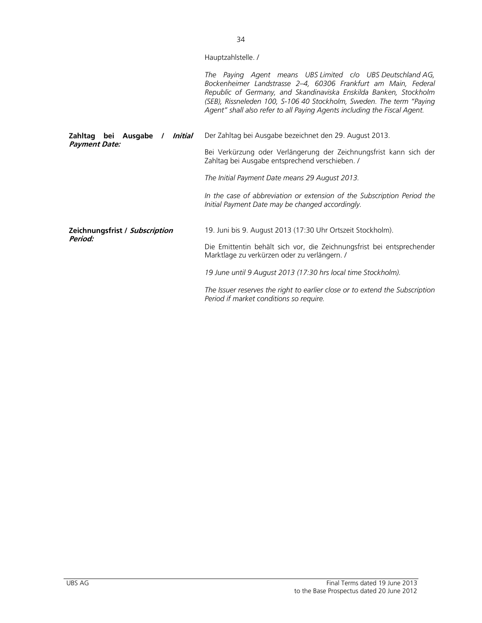|                                            | Hauptzahlstelle. /                                                                                                                                                                                                                                                                                                                                    |  |  |
|--------------------------------------------|-------------------------------------------------------------------------------------------------------------------------------------------------------------------------------------------------------------------------------------------------------------------------------------------------------------------------------------------------------|--|--|
|                                            | The Paying Agent means UBS Limited c/o UBS Deutschland AG,<br>Bockenheimer Landstrasse 2-4, 60306 Frankfurt am Main, Federal<br>Republic of Germany, and Skandinaviska Enskilda Banken, Stockholm<br>(SEB), Rissneleden 100, S-106 40 Stockholm, Sweden. The term "Paying<br>Agent" shall also refer to all Paying Agents including the Fiscal Agent. |  |  |
| Zahltag bei Ausgabe<br>Initial<br>$\prime$ | Der Zahltag bei Ausgabe bezeichnet den 29. August 2013.                                                                                                                                                                                                                                                                                               |  |  |
| <b>Payment Date:</b>                       | Bei Verkürzung oder Verlängerung der Zeichnungsfrist kann sich der<br>Zahltag bei Ausgabe entsprechend verschieben. /                                                                                                                                                                                                                                 |  |  |
|                                            | The Initial Payment Date means 29 August 2013.                                                                                                                                                                                                                                                                                                        |  |  |
|                                            | In the case of abbreviation or extension of the Subscription Period the<br>Initial Payment Date may be changed accordingly.                                                                                                                                                                                                                           |  |  |
| Zeichnungsfrist / Subscription             | 19. Juni bis 9. August 2013 (17:30 Uhr Ortszeit Stockholm).                                                                                                                                                                                                                                                                                           |  |  |
| Period:                                    | Die Emittentin behält sich vor, die Zeichnungsfrist bei entsprechender<br>Marktlage zu verkürzen oder zu verlängern. /                                                                                                                                                                                                                                |  |  |
|                                            | 19 June until 9 August 2013 (17:30 hrs local time Stockholm).                                                                                                                                                                                                                                                                                         |  |  |
|                                            | The Issuer reserves the right to earlier close or to extend the Subscription<br>Period if market conditions so require.                                                                                                                                                                                                                               |  |  |

34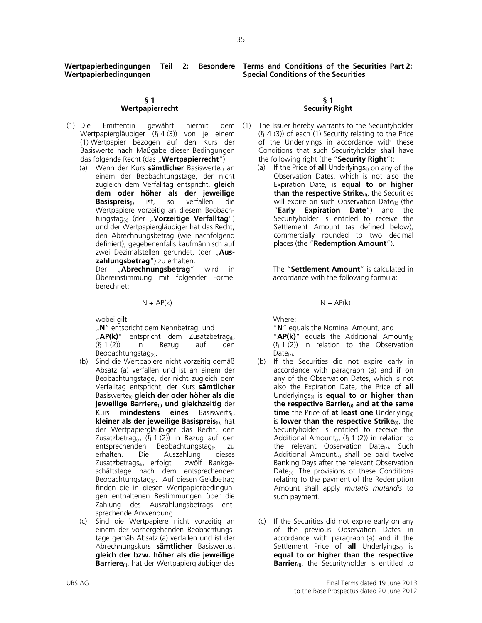**Wertpapierbedingungen Teil 2: Wertpapierbedingungen** 

## **§ 1 Wertpapierrecht**

- (1) Die Emittentin gewährt hiermit dem Wertpapiergläubiger (§ 4 (3)) von je einem (1) Wertpapier bezogen auf den Kurs der Basiswerte nach Maßgabe dieser Bedingungen das folgende Recht (das "**Wertpapierrecht**"):
	- (a) Wenn der Kurs **sämtlicher** Basiswerte<sub>(i)</sub> an einem der Beobachtungstage, der nicht zugleich dem Verfalltag entspricht, **gleich dem oder höher als der jeweilige Basispreis(i)** ist, so verfallen die Wertpapiere vorzeitig an diesem Beobachtungstag(k) (der "**Vorzeitige Verfalltag**") und der Wertpapiergläubiger hat das Recht, den Abrechnungsbetrag (wie nachfolgend definiert), gegebenenfalls kaufmännisch auf zwei Dezimalstellen gerundet, (der "Aus**zahlungsbetrag**") zu erhalten.

Der "**Abrechnungsbetrag**" wird in Übereinstimmung mit folgender Formel berechnet:

 $N + AP(k)$   $N + AP(k)$ 

wobei gilt:

"**N**" entspricht dem Nennbetrag, und

"**AP(k)**" entspricht dem Zusatzbetrag<sub>(k)</sub> (§ 1 (2)) in Bezug auf den Beobachtungstag<sub>(k)</sub>.

- (b) Sind die Wertpapiere nicht vorzeitig gemäß Absatz (a) verfallen und ist an einem der Beobachtungstage, der nicht zugleich dem Verfalltag entspricht, der Kurs **sämtlicher** Basiswerte(i) **gleich der oder höher als die jeweilige Barriere(i) und gleichzeitig** der Kurs **mindestens eines** Basiswerts(i) **kleiner als der jeweilige Basispreis(i)**, hat der Wertpapiergläubiger das Recht, den Zusatzbetrag<sub>(k)</sub> (§ 1 (2)) in Bezug auf den entsprechenden Beobachtungstag<sub>(k)</sub> zu erhalten. Die Auszahlung dieses Zusatzbetrags(k) erfolgt zwölf Bankgeschäftstage nach dem entsprechenden Beobachtungstag(k). Auf diesen Geldbetrag finden die in diesen Wertpapierbedingungen enthaltenen Bestimmungen über die Zahlung des Auszahlungsbetrags entsprechende Anwendung.
- (c) Sind die Wertpapiere nicht vorzeitig an einem der vorhergehenden Beobachtungstage gemäß Absatz (a) verfallen und ist der Abrechnungskurs **sämtlicher** Basiswerte(i) **gleich der bzw. höher als die jeweilige Barriere(i)**, hat der Wertpapiergläubiger das

**Terms and Conditions of the Securities Part 2: Special Conditions of the Securities** 

### **§ 1 Security Right**

- The Issuer hereby warrants to the Securityholder (§ 4 (3)) of each (1) Security relating to the Price of the Underlyings in accordance with these Conditions that such Securityholder shall have the following right (the "**Security Right**"):
	- (a) If the Price of **all** Underlyings<sub>(i)</sub> on any of the Observation Dates, which is not also the Expiration Date, is **equal to or higher than the respective Strike(i)**, the Securities will expire on such Observation Date $\omega$  (the "**Early Expiration Date**") and the Securityholder is entitled to receive the Settlement Amount (as defined below), commercially rounded to two decimal places (the "**Redemption Amount**").

The "**Settlement Amount**" is calculated in accordance with the following formula:

Where:

"**N**" equals the Nominal Amount, and

 "**AP(k)**" equals the Additional Amount(k)  $(§ 1 (2))$  in relation to the Observation  $Date_{(k)}$ .

- (b) If the Securities did not expire early in accordance with paragraph (a) and if on any of the Observation Dates, which is not also the Expiration Date, the Price of **all** Underlyings(i) is **equal to or higher than the respective Barrier(i) and at the same time** the Price of **at least one** Underlying<sub>(i)</sub> is **lower than the respective Strike<sub>(i)</sub>, the** Securityholder is entitled to receive the Additional Amount<sub>(k)</sub> (§ 1 (2)) in relation to the relevant Observation Date<sub>(k)</sub>. Such Additional Amount<sub>(k)</sub> shall be paid twelve Banking Days after the relevant Observation Date $(k)$ . The provisions of these Conditions relating to the payment of the Redemption Amount shall apply *mutatis mutandis* to such payment.
- (c) If the Securities did not expire early on any of the previous Observation Dates in accordance with paragraph (a) and if the Settlement Price of **all** Underlyings<sub>(i)</sub> is **equal to or higher than the respective Barrier<sub>(i)</sub>**, the Securityholder is entitled to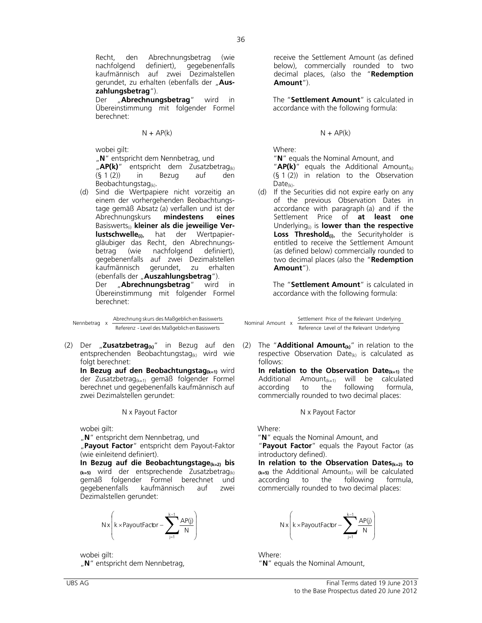Recht, den Abrechnungsbetrag (wie nachfolgend definiert), gegebenenfalls kaufmännisch auf zwei Dezimalstellen gerundet, zu erhalten (ebenfalls der "Aus**zahlungsbetrag**").

Der "**Abrechnungsbetrag**" wird in Übereinstimmung mit folgender Formel berechnet:

wobei ailt:

"**N**" entspricht dem Nennbetrag, und

"**AP(k)**" entspricht dem Zusatzbetrag<sub>(k)</sub>  $(§ 1(2))$  in Bezug auf den Beobachtungstag<sub>(k)</sub>.

(d) Sind die Wertpapiere nicht vorzeitig an einem der vorhergehenden Beobachtungstage gemäß Absatz (a) verfallen und ist der<br>Abrechnungskurs **mindestens eines** Abrechnungskurs **mindestens eines** Basiswerts<sub>(i)</sub> kleiner als die jeweilige Ver**lustschwelle(i)**, hat der Wertpapiergläubiger das Recht, den Abrechnungsbetrag (wie nachfolgend definiert), gegebenenfalls auf zwei Dezimalstellen kaufmännisch gerundet, zu erhalten (ebenfalls der "Auszahlungsbetrag"). Der "**Abrechnungsbetrag**" wird in Übereinstimmung mit folgender Formel berechnet:

```
Referenz - Level des Maßgeblichen Basiswerts
```
(2) Der "**Zusatzbetrag(k)**" in Bezug auf den entsprechenden Beobachtungstag<sub>(k)</sub> wird wie folgt berechnet:

In Bezug auf den Beobachtungstag<sub>(k=1)</sub> wird der Zusatzbetrag(k=1) gemäß folgender Formel berechnet und gegebenenfalls kaufmännisch auf zwei Dezimalstellen gerundet:

N x Payout Factor N x Payout Factor

wobei gilt:

"N" entspricht dem Nennbetrag, und

 "**Payout Factor**" entspricht dem Payout-Faktor (wie einleitend definiert).

**In Bezug auf die Beobachtungstage(k=2) bis (k=5)** wird der entsprechende Zusatzbetrag(k) gemäß folgender Formel berechnet und<br>gegebenenfalls kaufmännisch auf zwei kaufmännisch auf zwei Dezimalstellen gerundet:



wobei gilt:

"**N**" entspricht dem Nennbetrag,

receive the Settlement Amount (as defined below), commercially rounded to two decimal places, (also the "**Redemption Amount**").

The "**Settlement Amount**" is calculated in accordance with the following formula:

## $N + AP(k)$   $N + AP(k)$

Where:

"**N**" equals the Nominal Amount, and

"**AP(k)**" equals the Additional Amount(k) (§ 1 (2)) in relation to the Observation  $Date_{(k)}$ .

(d) If the Securities did not expire early on any of the previous Observation Dates in accordance with paragraph (a) and if the Settlement Price of **at least one** Underlying(i) is **lower than the respective**  Loss Threshold<sub>(i)</sub>, the Securityholder is entitled to receive the Settlement Amount (as defined below) commercially rounded to two decimal places (also the "**Redemption Amount**").

The "**Settlement Amount**" is calculated in accordance with the following formula:

Nennbetrag x Abrechnung skurs des Maßgeblichen Basiswerts Nenninal Amount x Settlement Price of the Relevant Underlying<br>Reference Level of the Relevant Underlying Settlement Price of the Relevant Underlying

> (2) The "**Additional Amount(k)**" in relation to the respective Observation Date $(k)$  is calculated as follows:

**In relation to the Observation Date<sub>(k=1)</sub> the** Additional Amount<sub>(k=1)</sub> will be calculated<br>according to the following formula, according to the following commercially rounded to two decimal places:

Where:

"**N**" equals the Nominal Amount, and

"**Payout Factor**" equals the Payout Factor (as introductory defined).

**In relation to the Observation Dates(k=2) to**   $(k=5)$  the Additional Amount<sub>(k)</sub> will be calculated according to the following formula, the following commercially rounded to two decimal places:

$$
Nx\left(k\times PayoutFactor-\sum_{j=1}^{k-1}\frac{AP(j)}{N}\right)
$$

 Where: "**N**" equals the Nominal Amount,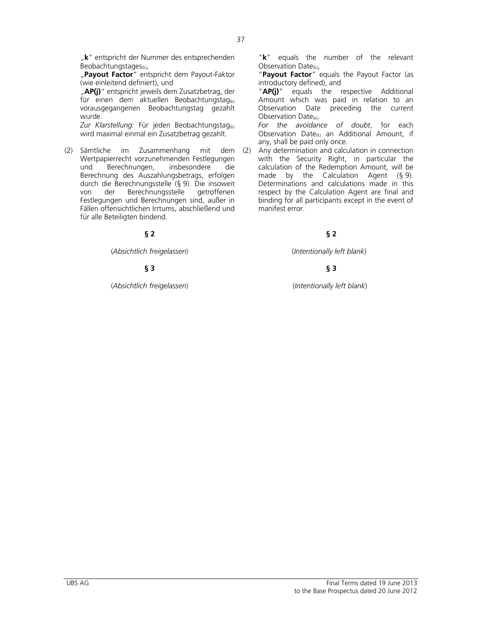"k" entspricht der Nummer des entsprechenden Beobachtungstages $_{(k)}$ ,

 "**Payout Factor**" entspricht dem Payout-Faktor (wie einleitend definiert), und

"AP(j)" entspricht jeweils dem Zusatzbetrag, der für einen dem aktuellen Beobachtungstag $_{(k)}$ vorausgegangenen Beobachtungstag gezahlt wurde.

*Zur Klarstellung:* Für jeden Beobachtungstag(k) wird maximal einmal ein Zusatzbetrag gezahlt.

(2) Sämtliche im Zusammenhang mit dem Wertpapierrecht vorzunehmenden Festlegungen und Berechnungen, insbesondere die Berechnung des Auszahlungsbetrags, erfolgen durch die Berechnungsstelle (§ 9). Die insoweit von der Berechnungsstelle Festlegungen und Berechnungen sind, außer in Fällen offensichtlichen Irrtums, abschließend und für alle Beteiligten bindend.

(*Absichtlich freigelassen*)(*Intentionally left blank*)

# **§ 3 § 3**

(*Absichtlich freigelassen*) (*Intentionally left blank*)

 "**k**" equals the number of the relevant Observation Date $(k)$ ,

 "**Payout Factor**" equals the Payout Factor (as introductory defined), and

 "**AP(j)**" equals the respective Additional Amount which was paid in relation to an Observation Date preceding the current Observation Date(k).

*For the avoidance of doubt*, for each Observation Date $(k)$  an Additional Amount, if any, shall be paid only once.

(2) Any determination and calculation in connection with the Security Right, in particular the calculation of the Redemption Amount, will be made by the Calculation Agent (§ 9). Determinations and calculations made in this respect by the Calculation Agent are final and binding for all participants except in the event of manifest error.

# **§ 2 § 2**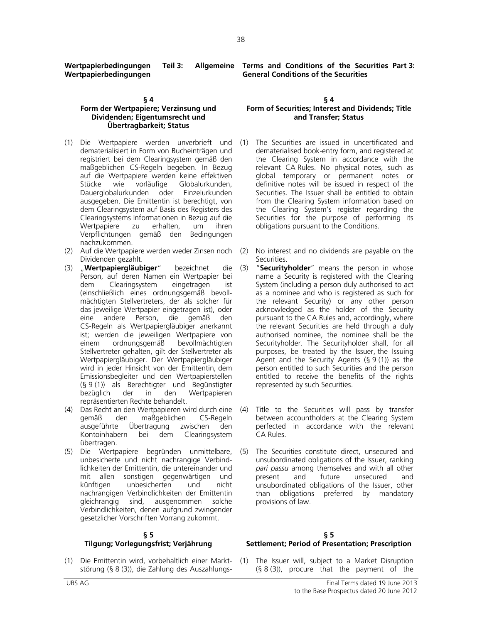**Wertpapierbedingungen Teil 3: Wertpapierbedingungen** 

## **§ 4**

# **Form der Wertpapiere; Verzinsung und Dividenden; Eigentumsrecht und Übertragbarkeit; Status**

- (1) Die Wertpapiere werden unverbrieft und dematerialisiert in Form von Bucheinträgen und registriert bei dem Clearingsystem gemäß den maßgeblichen CS-Regeln begeben. In Bezug auf die Wertpapiere werden keine effektiven Stücke wie vorläufige Globalurkunden, Dauerglobalurkunden oder Einzelurkunden ausgegeben. Die Emittentin ist berechtigt, von dem Clearingsystem auf Basis des Registers des Clearingsystems Informationen in Bezug auf die Wertpapiere zu erhalten, um ihren Verpflichtungen gemäß den Bedingungen nachzukommen.
- (2) Auf die Wertpapiere werden weder Zinsen noch Dividenden gezahlt.
- (3) "**Wertpapiergläubiger**" bezeichnet die Person, auf deren Namen ein Wertpapier bei<br>dem Clearingsystem eingetragen ist dem Clearingsystem eingetragen ist (einschließlich eines ordnungsgemäß bevollmächtigten Stellvertreters, der als solcher für das jeweilige Wertpapier eingetragen ist), oder eine andere Person, die gemäß den CS-Regeln als Wertpapiergläubiger anerkannt ist; werden die jeweiligen Wertpapiere von<br>einem ordnungsgemäß bevollmächtigten einem ordnungsgemäß bevollmächtigten Stellvertreter gehalten, gilt der Stellvertreter als Wertpapiergläubiger. Der Wertpapiergläubiger wird in jeder Hinsicht von der Emittentin, dem Emissionsbegleiter und den Wertpapierstellen (§ 9 (1)) als Berechtigter und Begünstigter bezüglich der in den Wertpapieren repräsentierten Rechte behandelt.
- (4) Das Recht an den Wertpapieren wird durch eine den maßgeblichen CS-Regeln ausgeführte Übertragung zwischen den Kontoinhabern bei dem Clearingsystem übertragen.
- (5) Die Wertpapiere begründen unmittelbare, unbesicherte und nicht nachrangige Verbindlichkeiten der Emittentin, die untereinander und mit allen sonstigen gegenwärtigen und<br>künftigen unbesicherten und nicht unbesicherten nachrangigen Verbindlichkeiten der Emittentin gleichrangig sind, ausgenommen solche Verbindlichkeiten, denen aufgrund zwingender gesetzlicher Vorschriften Vorrang zukommt.

## **§ 5 Tilgung; Vorlegungsfrist; Verjährung**

(1) Die Emittentin wird, vorbehaltlich einer Marktstörung (§ 8 (3)), die Zahlung des Auszahlungs-

**Terms and Conditions of the Securities Part 3: General Conditions of the Securities** 

## **§ 4 Form of Securities; Interest and Dividends; Title and Transfer; Status**

- The Securities are issued in uncertificated and dematerialised book-entry form, and registered at the Clearing System in accordance with the relevant CA Rules. No physical notes, such as global temporary or permanent notes or definitive notes will be issued in respect of the Securities. The Issuer shall be entitled to obtain from the Clearing System information based on the Clearing System's register regarding the Securities for the purpose of performing its obligations pursuant to the Conditions.
- (2) No interest and no dividends are payable on the Securities.
- (3) "**Securityholder**" means the person in whose name a Security is registered with the Clearing System (including a person duly authorised to act as a nominee and who is registered as such for the relevant Security) or any other person acknowledged as the holder of the Security pursuant to the CA Rules and, accordingly, where the relevant Securities are held through a duly authorised nominee, the nominee shall be the Securityholder. The Securityholder shall, for all purposes, be treated by the Issuer, the Issuing Agent and the Security Agents  $(§ 9(1))$  as the person entitled to such Securities and the person entitled to receive the benefits of the rights represented by such Securities.
- Title to the Securities will pass by transfer between accountholders at the Clearing System perfected in accordance with the relevant CA Rules.
- (5) The Securities constitute direct, unsecured and unsubordinated obligations of the Issuer, ranking *pari passu* among themselves and with all other present and future unsecured and unsubordinated obligations of the Issuer, other than obligations preferred by mandatory provisions of law.

## **§ 5 Settlement; Period of Presentation; Prescription**

The Issuer will, subject to a Market Disruption  $(§ 8 (3))$ , procure that the payment of the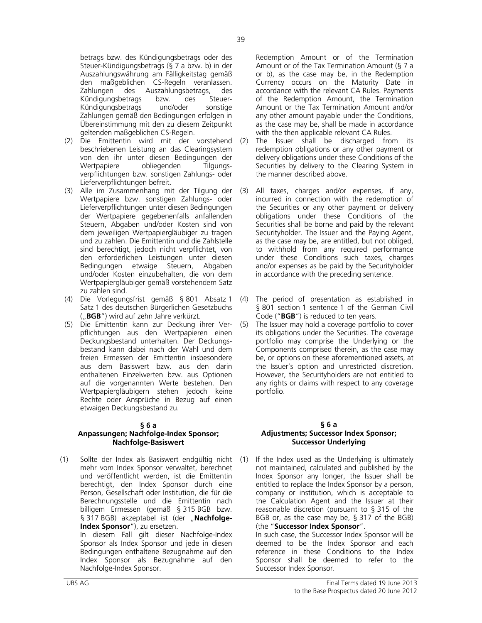betrags bzw. des Kündigungsbetrags oder des Steuer-Kündigungsbetrags (§ 7 a bzw. b) in der Auszahlungswährung am Fälligkeitstag gemäß den maßgeblichen CS-Regeln veranlassen. Zahlungen des Auszahlungsbetrags, des Kündigungsbetrags bzw. des Steuer-Kündigungsbetrags und/oder sonstige Zahlungen gemäß den Bedingungen erfolgen in Übereinstimmung mit den zu diesem Zeitpunkt geltenden maßgeblichen CS-Regeln.

- (2) Die Emittentin wird mit der vorstehend beschriebenen Leistung an das Clearingsystem von den ihr unter diesen Bedingungen der Wertpapiere obliegenden Tilgungsverpflichtungen bzw. sonstigen Zahlungs- oder Lieferverpflichtungen befreit.
- (3) Alle im Zusammenhang mit der Tilgung der Wertpapiere bzw. sonstigen Zahlungs- oder Lieferverpflichtungen unter diesen Bedingungen der Wertpapiere gegebenenfalls anfallenden Steuern, Abgaben und/oder Kosten sind von dem jeweiligen Wertpapiergläubiger zu tragen und zu zahlen. Die Emittentin und die Zahlstelle sind berechtigt, jedoch nicht verpflichtet, von den erforderlichen Leistungen unter diesen Bedingungen etwaige Steuern, Abgaben und/oder Kosten einzubehalten, die von dem Wertpapiergläubiger gemäß vorstehendem Satz zu zahlen sind.
- (4) Die Vorlegungsfrist gemäß § 801 Absatz 1 Satz 1 des deutschen Bürgerlichen Gesetzbuchs ("**BGB**") wird auf zehn Jahre verkürzt.
- (5) Die Emittentin kann zur Deckung ihrer Verpflichtungen aus den Wertpapieren einen Deckungsbestand unterhalten. Der Deckungsbestand kann dabei nach der Wahl und dem freien Ermessen der Emittentin insbesondere aus dem Basiswert bzw. aus den darin enthaltenen Einzelwerten bzw. aus Optionen auf die vorgenannten Werte bestehen. Den Wertpapiergläubigern stehen jedoch keine Rechte oder Ansprüche in Bezug auf einen etwaigen Deckungsbestand zu.

## **§ 6 a**

## **Anpassungen; Nachfolge-Index Sponsor; Nachfolge-Basiswert**

(1) Sollte der Index als Basiswert endgültig nicht mehr vom Index Sponsor verwaltet, berechnet und veröffentlicht werden, ist die Emittentin berechtigt, den Index Sponsor durch eine Person, Gesellschaft oder Institution, die für die Berechnungsstelle und die Emittentin nach billigem Ermessen (gemäß § 315 BGB bzw. § 317 BGB) akzeptabel ist (der "Nachfolge-**Index Sponsor**"), zu ersetzen. In diesem Fall gilt dieser Nachfolge-Index

Sponsor als Index Sponsor und jede in diesen Bedingungen enthaltene Bezugnahme auf den Index Sponsor als Bezugnahme auf den Nachfolge-Index Sponsor.

Redemption Amount or of the Termination Amount or of the Tax Termination Amount (§ 7 a or b), as the case may be, in the Redemption Currency occurs on the Maturity Date in accordance with the relevant CA Rules. Payments of the Redemption Amount, the Termination Amount or the Tax Termination Amount and/or any other amount payable under the Conditions, as the case may be, shall be made in accordance with the then applicable relevant CA Rules.

- (2) The Issuer shall be discharged from its redemption obligations or any other payment or delivery obligations under these Conditions of the Securities by delivery to the Clearing System in the manner described above.
- (3) All taxes, charges and/or expenses, if any, incurred in connection with the redemption of the Securities or any other payment or delivery obligations under these Conditions of the Securities shall be borne and paid by the relevant Securityholder. The Issuer and the Paying Agent, as the case may be, are entitled, but not obliged, to withhold from any required performance under these Conditions such taxes, charges and/or expenses as be paid by the Securityholder in accordance with the preceding sentence.
- (4) The period of presentation as established in § 801 section 1 sentence 1 of the German Civil Code ("**BGB**") is reduced to ten years.
- (5) The Issuer may hold a coverage portfolio to cover its obligations under the Securities. The coverage portfolio may comprise the Underlying or the Components comprised therein, as the case may be, or options on these aforementioned assets, at the Issuer's option and unrestricted discretion. However, the Securityholders are not entitled to any rights or claims with respect to any coverage portfolio.

## **§ 6 a Adjustments; Successor Index Sponsor; Successor Underlying**

If the Index used as the Underlying is ultimately not maintained, calculated and published by the Index Sponsor any longer, the Issuer shall be entitled to replace the Index Sponsor by a person, company or institution, which is acceptable to the Calculation Agent and the Issuer at their reasonable discretion (pursuant to § 315 of the BGB or, as the case may be, § 317 of the BGB) (the "**Successor Index Sponsor**".

 In such case, the Successor Index Sponsor will be deemed to be the Index Sponsor and each reference in these Conditions to the Index Sponsor shall be deemed to refer to the Successor Index Sponsor.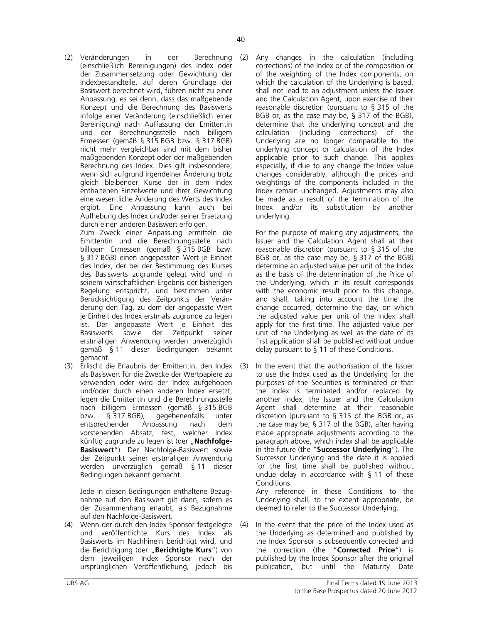(2) Veränderungen in der Berechnung (einschließlich Bereinigungen) des Index oder der Zusammensetzung oder Gewichtung der Indexbestandteile, auf deren Grundlage der Basiswert berechnet wird, führen nicht zu einer Anpassung, es sei denn, dass das maßgebende Konzept und die Berechnung des Basiswerts infolge einer Veränderung (einschließlich einer Bereinigung) nach Auffassung der Emittentin und der Berechnungsstelle nach billigem Ermessen (gemäß § 315 BGB bzw. § 317 BGB) nicht mehr vergleichbar sind mit dem bisher maßgebenden Konzept oder der maßgebenden Berechnung des Index. Dies gilt insbesondere, wenn sich aufgrund irgendeiner Änderung trotz gleich bleibender Kurse der in dem Index enthaltenen Einzelwerte und ihrer Gewichtung eine wesentliche Änderung des Werts des Index ergibt. Eine Anpassung kann auch bei Aufhebung des Index und/oder seiner Ersetzung durch einen anderen Basiswert erfolgen.

 Zum Zweck einer Anpassung ermitteln die Emittentin und die Berechnungsstelle nach billigem Ermessen (gemäß § 315 BGB bzw. § 317 BGB) einen angepassten Wert je Einheit des Index, der bei der Bestimmung des Kurses des Basiswerts zugrunde gelegt wird und in seinem wirtschaftlichen Ergebnis der bisherigen Regelung entspricht, und bestimmen unter Berücksichtigung des Zeitpunkts der Veränderung den Tag, zu dem der angepasste Wert je Einheit des Index erstmals zugrunde zu legen ist. Der angepasste Wert je Einheit des<br>Basiswerts sowie der Zeitpunkt seiner der Zeitpunkt seiner erstmaligen Anwendung werden unverzüglich gemäß § 11 dieser Bedingungen bekannt gemacht.

(3) Erlischt die Erlaubnis der Emittentin, den Index als Basiswert für die Zwecke der Wertpapiere zu verwenden oder wird der Index aufgehoben und/oder durch einen anderen Index ersetzt, legen die Emittentin und die Berechnungsstelle nach billigem Ermessen (gemäß § 315 BGB<br>bzw. § 317 BGB), gegebenenfalls unter bzw. § 317 BGB), gegebenenfalls unter entsprechender Anpassung nach dem vorstehenden Absatz, fest, welcher Index künftig zugrunde zu legen ist (der "Nachfolge-**Basiswert**"). Der Nachfolge-Basiswert sowie der Zeitpunkt seiner erstmaligen Anwendung werden unverzüglich gemäß § 11 dieser Bedingungen bekannt gemacht.

 Jede in diesen Bedingungen enthaltene Bezugnahme auf den Basiswert gilt dann, sofern es der Zusammenhang erlaubt, als Bezugnahme auf den Nachfolge-Basiswert.

(4) Wenn der durch den Index Sponsor festgelegte und veröffentlichte Kurs des Index als Basiswerts im Nachhinein berichtigt wird, und die Berichtigung (der "**Berichtigte Kurs**") von dem jeweiligen Index Sponsor nach der ursprünglichen Veröffentlichung, jedoch bis

Any changes in the calculation (including corrections) of the Index or of the composition or of the weighting of the Index components, on which the calculation of the Underlying is based, shall not lead to an adjustment unless the Issuer and the Calculation Agent, upon exercise of their reasonable discretion (pursuant to § 315 of the BGB or, as the case may be, § 317 of the BGB), determine that the underlying concept and the calculation (including corrections) of the Underlying are no longer comparable to the underlying concept or calculation of the Index applicable prior to such change. This applies especially, if due to any change the Index value changes considerably, although the prices and weightings of the components included in the Index remain unchanged. Adjustments may also be made as a result of the termination of the Index and/or its substitution by another underlying.

 For the purpose of making any adjustments, the Issuer and the Calculation Agent shall at their reasonable discretion (pursuant to § 315 of the BGB or, as the case may be, § 317 of the BGB) determine an adjusted value per unit of the Index as the basis of the determination of the Price of the Underlying, which in its result corresponds with the economic result prior to this change, and shall, taking into account the time the change occurred, determine the day, on which the adjusted value per unit of the Index shall apply for the first time. The adjusted value per unit of the Underlying as well as the date of its first application shall be published without undue delay pursuant to § 11 of these Conditions.

In the event that the authorisation of the Issuer to use the Index used as the Underlying for the purposes of the Securities is terminated or that the Index is terminated and/or replaced by another index, the Issuer and the Calculation Agent shall determine at their reasonable discretion (pursuant to § 315 of the BGB or, as the case may be, § 317 of the BGB), after having made appropriate adjustments according to the paragraph above, which index shall be applicable in the future (the "**Successor Underlying**"). The Successor Underlying and the date it is applied for the first time shall be published without undue delay in accordance with § 11 of these Conditions. Any reference in these Conditions to the

Underlying shall, to the extent appropriate, be deemed to refer to the Successor Underlying.

In the event that the price of the Index used as the Underlying as determined and published by the Index Sponsor is subsequently corrected and the correction (the "**Corrected Price**") is published by the Index Sponsor after the original publication, but until the Maturity Date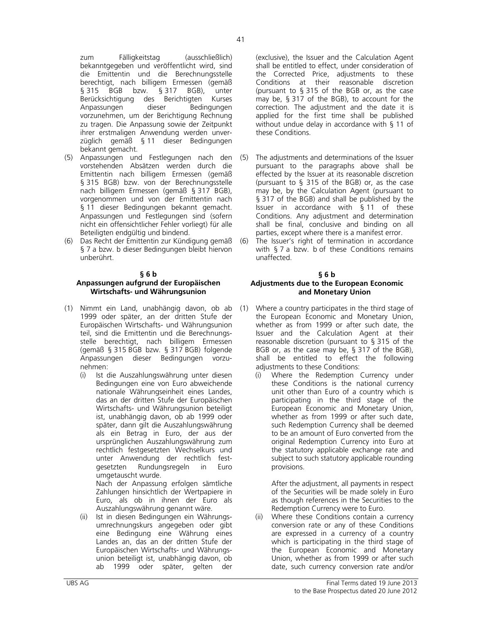zum Fälligkeitstag (ausschließlich) bekanntgegeben und veröffentlicht wird, sind die Emittentin und die Berechnungsstelle berechtigt, nach billigem Ermessen (gemäß<br>§ 315 BGB bzw. § 317 BGB), unter § 315 BGB bzw. § 317 Berücksichtigung des Berichtigten Kurses Anpassungen dieser Bedingungen vorzunehmen, um der Berichtigung Rechnung zu tragen. Die Anpassung sowie der Zeitpunkt ihrer erstmaligen Anwendung werden unverzüglich gemäß § 11 dieser Bedingungen bekannt gemacht.

- (5) Anpassungen und Festlegungen nach den vorstehenden Absätzen werden durch die Emittentin nach billigem Ermessen (gemäß § 315 BGB) bzw. von der Berechnungsstelle nach billigem Ermessen (gemäß § 317 BGB), vorgenommen und von der Emittentin nach § 11 dieser Bedingungen bekannt gemacht. Anpassungen und Festlegungen sind (sofern nicht ein offensichtlicher Fehler vorliegt) für alle Beteiligten endgültig und bindend.
- (6) Das Recht der Emittentin zur Kündigung gemäß § 7 a bzw. b dieser Bedingungen bleibt hiervon unberührt.

## **§ 6 b**

# **Anpassungen aufgrund der Europäischen Wirtschafts- und Währungsunion**

- (1) Nimmt ein Land, unabhängig davon, ob ab 1999 oder später, an der dritten Stufe der Europäischen Wirtschafts- und Währungsunion teil, sind die Emittentin und die Berechnungsstelle berechtigt, nach billigem Ermessen (gemäß § 315 BGB bzw. § 317 BGB) folgende Anpassungen dieser Bedingungen vorzunehmen:
	- (i) Ist die Auszahlungswährung unter diesen Bedingungen eine von Euro abweichende nationale Währungseinheit eines Landes, das an der dritten Stufe der Europäischen Wirtschafts- und Währungsunion beteiligt ist, unabhängig davon, ob ab 1999 oder später, dann gilt die Auszahlungswährung als ein Betrag in Euro, der aus der ursprünglichen Auszahlungswährung zum rechtlich festgesetzten Wechselkurs und unter Anwendung der rechtlich festgesetzten Rundungsregeln in Euro umgetauscht wurde.

Nach der Anpassung erfolgen sämtliche Zahlungen hinsichtlich der Wertpapiere in Euro, als ob in ihnen der Euro als Auszahlungswährung genannt wäre.

(ii) Ist in diesen Bedingungen ein Währungsumrechnungskurs angegeben oder gibt eine Bedingung eine Währung eines Landes an, das an der dritten Stufe der Europäischen Wirtschafts- und Währungsunion beteiligt ist, unabhängig davon, ob ab 1999 oder später, gelten der

(exclusive), the Issuer and the Calculation Agent shall be entitled to effect, under consideration of the Corrected Price, adjustments to these Conditions at their reasonable discretion (pursuant to § 315 of the BGB or, as the case may be, § 317 of the BGB), to account for the correction. The adjustment and the date it is applied for the first time shall be published without undue delay in accordance with § 11 of these Conditions.

- (5) The adjustments and determinations of the Issuer pursuant to the paragraphs above shall be effected by the Issuer at its reasonable discretion (pursuant to § 315 of the BGB) or, as the case may be, by the Calculation Agent (pursuant to § 317 of the BGB) and shall be published by the Issuer in accordance with § 11 of these Conditions. Any adjustment and determination shall be final, conclusive and binding on all parties, except where there is a manifest error.
- (6) The Issuer's right of termination in accordance with § 7 a bzw. b of these Conditions remains unaffected.

### **§ 6 b Adjustments due to the European Economic and Monetary Union**

- (1) Where a country participates in the third stage of the European Economic and Monetary Union, whether as from 1999 or after such date, the Issuer and the Calculation Agent at their reasonable discretion (pursuant to § 315 of the BGB or, as the case may be, § 317 of the BGB), shall be entitled to effect the following adjustments to these Conditions:
	- (i) Where the Redemption Currency under these Conditions is the national currency unit other than Euro of a country which is participating in the third stage of the European Economic and Monetary Union, whether as from 1999 or after such date, such Redemption Currency shall be deemed to be an amount of Euro converted from the original Redemption Currency into Euro at the statutory applicable exchange rate and subject to such statutory applicable rounding provisions.

After the adjustment, all payments in respect of the Securities will be made solely in Euro as though references in the Securities to the Redemption Currency were to Euro.

(ii) Where these Conditions contain a currency conversion rate or any of these Conditions are expressed in a currency of a country which is participating in the third stage of the European Economic and Monetary Union, whether as from 1999 or after such date, such currency conversion rate and/or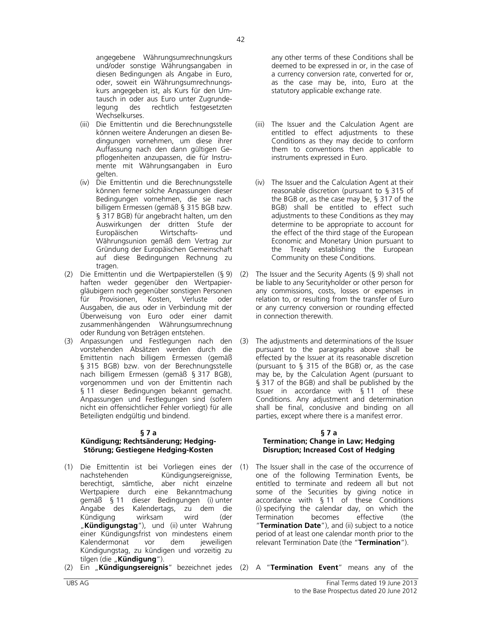angegebene Währungsumrechnungskurs und/oder sonstige Währungsangaben in diesen Bedingungen als Angabe in Euro, oder, soweit ein Währungsumrechnungskurs angegeben ist, als Kurs für den Umtausch in oder aus Euro unter Zugrundelegung des rechtlich festgesetzten Wechselkurses.

- (iii) Die Emittentin und die Berechnungsstelle können weitere Änderungen an diesen Bedingungen vornehmen, um diese ihrer Auffassung nach den dann gültigen Gepflogenheiten anzupassen, die für Instrumente mit Währungsangaben in Euro gelten.
- (iv) Die Emittentin und die Berechnungsstelle können ferner solche Anpassungen dieser Bedingungen vornehmen, die sie nach billigem Ermessen (gemäß § 315 BGB bzw. § 317 BGB) für angebracht halten, um den Auswirkungen der dritten Stufe der Europäischen Wirtschafts- und Währungsunion gemäß dem Vertrag zur Gründung der Europäischen Gemeinschaft auf diese Bedingungen Rechnung zu tragen.
- (2) Die Emittentin und die Wertpapierstellen (§ 9) haften weder gegenüber den Wertpapiergläubigern noch gegenüber sonstigen Personen für Provisionen, Kosten, Verluste oder Ausgaben, die aus oder in Verbindung mit der Überweisung von Euro oder einer damit zusammenhängenden Währungsumrechnung oder Rundung von Beträgen entstehen.
- (3) Anpassungen und Festlegungen nach den vorstehenden Absätzen werden durch die Emittentin nach billigem Ermessen (gemäß § 315 BGB) bzw. von der Berechnungsstelle nach billigem Ermessen (gemäß § 317 BGB), vorgenommen und von der Emittentin nach § 11 dieser Bedingungen bekannt gemacht. Anpassungen und Festlegungen sind (sofern nicht ein offensichtlicher Fehler vorliegt) für alle Beteiligten endgültig und bindend.

## **§ 7 a**

## **Kündigung; Rechtsänderung; Hedging-Störung; Gestiegene Hedging-Kosten**

- (1) Die Emittentin ist bei Vorliegen eines der nachstehenden Kündigungsereignisse, berechtigt, sämtliche, aber nicht einzelne Wertpapiere durch eine Bekanntmachung gemäß § 11 dieser Bedingungen (i) unter Angabe des Kalendertags, zu dem die Kündigung wirksam wird (der "**Kündigungstag**"), und (ii) unter Wahrung einer Kündigungsfrist von mindestens einem Kalendermonat vor dem jeweiligen Kündigungstag, zu kündigen und vorzeitig zu tilgen (die "**Kündigung**").
- (2) Ein "**Kündigungsereignis**" bezeichnet jedes (2) A "**Termination Event**" means any of the

any other terms of these Conditions shall be deemed to be expressed in or, in the case of a currency conversion rate, converted for or, as the case may be, into, Euro at the statutory applicable exchange rate.

- (iii) The Issuer and the Calculation Agent are entitled to effect adjustments to these Conditions as they may decide to conform them to conventions then applicable to instruments expressed in Euro.
- (iv) The Issuer and the Calculation Agent at their reasonable discretion (pursuant to § 315 of the BGB or, as the case may be, § 317 of the BGB) shall be entitled to effect such adjustments to these Conditions as they may determine to be appropriate to account for the effect of the third stage of the European Economic and Monetary Union pursuant to the Treaty establishing the European Community on these Conditions.
- (2) The Issuer and the Security Agents (§ 9) shall not be liable to any Securityholder or other person for any commissions, costs, losses or expenses in relation to, or resulting from the transfer of Euro or any currency conversion or rounding effected in connection therewith.
- (3) The adjustments and determinations of the Issuer pursuant to the paragraphs above shall be effected by the Issuer at its reasonable discretion (pursuant to § 315 of the BGB) or, as the case may be, by the Calculation Agent (pursuant to § 317 of the BGB) and shall be published by the Issuer in accordance with § 11 of these Conditions. Any adjustment and determination shall be final, conclusive and binding on all parties, except where there is a manifest error.

## **§ 7 a Termination; Change in Law; Hedging Disruption; Increased Cost of Hedging**

(1) The Issuer shall in the case of the occurrence of one of the following Termination Events, be entitled to terminate and redeem all but not some of the Securities by giving notice in accordance with § 11 of these Conditions (i) specifying the calendar day, on which the Termination becomes effective (the "**Termination Date**"), and (ii) subject to a notice period of at least one calendar month prior to the relevant Termination Date (the "**Termination**").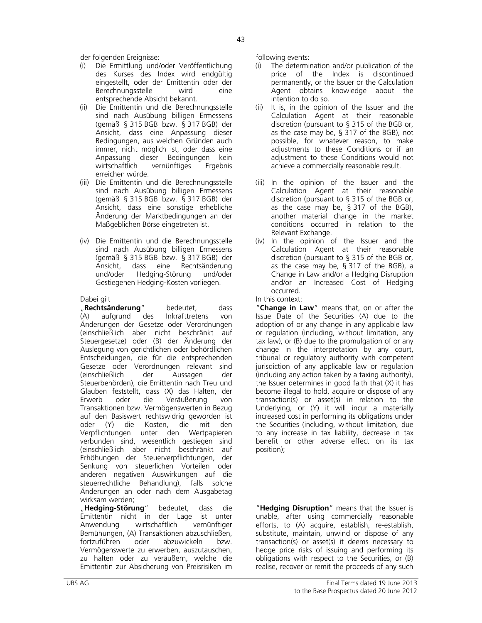der folgenden Ereignisse: following events:

- (i) Die Ermittlung und/oder Veröffentlichung des Kurses des Index wird endgültig eingestellt, oder der Emittentin oder der Berechnungsstelle wird eine entsprechende Absicht bekannt.
- (ii) Die Emittentin und die Berechnungsstelle sind nach Ausübung billigen Ermessens (gemäß § 315 BGB bzw. § 317 BGB) der Ansicht, dass eine Anpassung dieser Bedingungen, aus welchen Gründen auch immer, nicht möglich ist, oder dass eine Anpassung dieser Bedingungen kein wirtschaftlich vernünftiges Ergebnis erreichen würde.
- (iii) Die Emittentin und die Berechnungsstelle sind nach Ausübung billigen Ermessens (gemäß § 315 BGB bzw. § 317 BGB) der Ansicht, dass eine sonstige erhebliche Änderung der Marktbedingungen an der Maßgeblichen Börse eingetreten ist.
- (iv) Die Emittentin und die Berechnungsstelle sind nach Ausübung billigen Ermessens (gemäß § 315 BGB bzw. § 317 BGB) der Ansicht, dass eine Rechtsänderung und/oder Hedging-Störung und/oder Gestiegenen Hedging-Kosten vorliegen.

**Rechtsänderung**" bedeutet, dass<br>(A) aufgrund des Inkrafttretens von (A) aufgrund des Inkrafttretens von Änderungen der Gesetze oder Verordnungen (einschließlich aber nicht beschränkt auf Steuergesetze) oder (B) der Änderung der Auslegung von gerichtlichen oder behördlichen Entscheidungen, die für die entsprechenden Gesetze oder Verordnungen relevant sind (einschließlich der Aussagen der Steuerbehörden), die Emittentin nach Treu und Glauben feststellt, dass (X) das Halten, der Erwerb oder die Veräußerung von Transaktionen bzw. Vermögenswerten in Bezug auf den Basiswert rechtswidrig geworden ist oder (Y) die Kosten, die mit den Verpflichtungen unter den Wertpapieren verbunden sind, wesentlich gestiegen sind (einschließlich aber nicht beschränkt auf Erhöhungen der Steuerverpflichtungen, der Senkung von steuerlichen Vorteilen oder anderen negativen Auswirkungen auf die steuerrechtliche Behandlung), falls solche Änderungen an oder nach dem Ausgabetag wirksam werden;

 "**Hedging-Störung**" bedeutet, dass die Emittentin nicht in der Lage ist unter Anwendung wirtschaftlich vernünftiger Bemühungen, (A) Transaktionen abzuschließen, fortzuführen oder abzuwickeln bzw. Vermögenswerte zu erwerben, auszutauschen, zu halten oder zu veräußern, welche die Emittentin zur Absicherung von Preisrisiken im

- (i) The determination and/or publication of the price of the Index is discontinued permanently, or the Issuer or the Calculation Agent obtains knowledge about the intention to do so.
- (ii) It is, in the opinion of the Issuer and the Calculation Agent at their reasonable discretion (pursuant to § 315 of the BGB or, as the case may be, § 317 of the BGB), not possible, for whatever reason, to make adjustments to these Conditions or if an adjustment to these Conditions would not achieve a commercially reasonable result.
- (iii) In the opinion of the Issuer and the Calculation Agent at their reasonable discretion (pursuant to § 315 of the BGB or, as the case may be, § 317 of the BGB), another material change in the market conditions occurred in relation to the Relevant Exchange.
- (iv) In the opinion of the Issuer and the Calculation Agent at their reasonable discretion (pursuant to § 315 of the BGB or, as the case may be, § 317 of the BGB), a Change in Law and/or a Hedging Disruption and/or an Increased Cost of Hedging occurred.

# Dabei gilt **In this context:**

 "**Change in Law**" means that, on or after the Issue Date of the Securities (A) due to the adoption of or any change in any applicable law or regulation (including, without limitation, any tax law), or (B) due to the promulgation of or any change in the interpretation by any court, tribunal or regulatory authority with competent jurisdiction of any applicable law or regulation (including any action taken by a taxing authority), the Issuer determines in good faith that (X) it has become illegal to hold, acquire or dispose of any transaction(s) or asset(s) in relation to the Underlying, or (Y) it will incur a materially increased cost in performing its obligations under the Securities (including, without limitation, due to any increase in tax liability, decrease in tax benefit or other adverse effect on its tax position);

 "**Hedging Disruption**" means that the Issuer is unable, after using commercially reasonable efforts, to (A) acquire, establish, re-establish, substitute, maintain, unwind or dispose of any transaction(s) or asset(s) it deems necessary to hedge price risks of issuing and performing its obligations with respect to the Securities, or (B) realise, recover or remit the proceeds of any such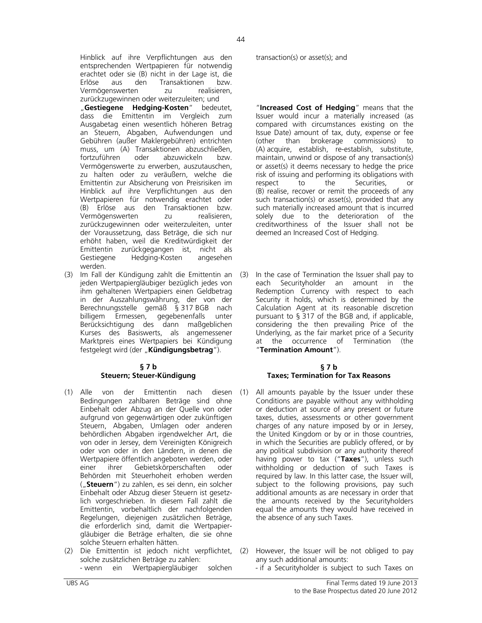Hinblick auf ihre Verpflichtungen aus den entsprechenden Wertpapieren für notwendig erachtet oder sie (B) nicht in der Lage ist, die Erlöse aus den Transaktionen bzw. Vermögenswerten zu realisieren, zurückzugewinnen oder weiterzuleiten; und "Gestiegene Hedging-Kosten" bedeutet, dass die Emittentin im Vergleich zum Ausgabetag einen wesentlich höheren Betrag an Steuern, Abgaben, Aufwendungen und Gebühren (außer Maklergebühren) entrichten muss, um (A) Transaktionen abzuschließen, fortzuführen oder abzuwickeln bzw. Vermögenswerte zu erwerben, auszutauschen, zu halten oder zu veräußern, welche die Emittentin zur Absicherung von Preisrisiken im Hinblick auf ihre Verpflichtungen aus den Wertpapieren für notwendig erachtet oder (B) Erlöse aus den Transaktionen bzw. Vermögenswerten zu realisieren, zurückzugewinnen oder weiterzuleiten, unter der Voraussetzung, dass Beträge, die sich nur erhöht haben, weil die Kreditwürdigkeit der Emittentin zurückgegangen ist, nicht als Gestiegene Hedging-Kosten angesehen werden.

(3) Im Fall der Kündigung zahlt die Emittentin an jeden Wertpapiergläubiger bezüglich jedes von ihm gehaltenen Wertpapiers einen Geldbetrag in der Auszahlungswährung, der von der Berechnungsstelle gemäß § 317 BGB nach billigem Ermessen, gegebenenfalls unter Berücksichtigung des dann maßgeblichen Kurses des Basiswerts, als angemessener Marktpreis eines Wertpapiers bei Kündigung festgelegt wird (der "**Kündigungsbetrag**").

## **§ 7 b Steuern; Steuer-Kündigung**

- (1) Alle von der Emittentin nach Bedingungen zahlbaren Beträge sind ohne Einbehalt oder Abzug an der Quelle von oder aufgrund von gegenwärtigen oder zukünftigen Steuern, Abgaben, Umlagen oder anderen behördlichen Abgaben irgendwelcher Art, die von oder in Jersey, dem Vereinigten Königreich oder von oder in den Ländern, in denen die Wertpapiere öffentlich angeboten werden, oder einer ihrer Gebietskörperschaften oder Behörden mit Steuerhoheit erhoben werden ("**Steuern**") zu zahlen, es sei denn, ein solcher Einbehalt oder Abzug dieser Steuern ist gesetzlich vorgeschrieben. In diesem Fall zahlt die Emittentin, vorbehaltlich der nachfolgenden Regelungen, diejenigen zusätzlichen Beträge, die erforderlich sind, damit die Wertpapiergläubiger die Beträge erhalten, die sie ohne solche Steuern erhalten hätten.
- (2) Die Emittentin ist jedoch nicht verpflichtet, solche zusätzlichen Beträge zu zahlen:

transaction(s) or asset(s); and

 "**Increased Cost of Hedging**" means that the Issuer would incur a materially increased (as compared with circumstances existing on the Issue Date) amount of tax, duty, expense or fee (other than brokerage commissions) to (A) acquire, establish, re-establish, substitute, maintain, unwind or dispose of any transaction(s) or asset(s) it deems necessary to hedge the price risk of issuing and performing its obligations with respect to the Securities, or (B) realise, recover or remit the proceeds of any such transaction(s) or asset(s), provided that any such materially increased amount that is incurred solely due to the deterioration of the creditworthiness of the Issuer shall not be deemed an Increased Cost of Hedging.

In the case of Termination the Issuer shall pay to each Securityholder an amount in the Redemption Currency with respect to each Security it holds, which is determined by the Calculation Agent at its reasonable discretion pursuant to § 317 of the BGB and, if applicable, considering the then prevailing Price of the Underlying, as the fair market price of a Security at the occurrence of Termination (the "**Termination Amount**").

## **§ 7 b Taxes; Termination for Tax Reasons**

- diesen (1) All amounts payable by the Issuer under these Conditions are payable without any withholding or deduction at source of any present or future taxes, duties, assessments or other government charges of any nature imposed by or in Jersey, the United Kingdom or by or in those countries, in which the Securities are publicly offered, or by any political subdivision or any authority thereof having power to tax ("**Taxes**"), unless such withholding or deduction of such Taxes is required by law. In this latter case, the Issuer will, subject to the following provisions, pay such additional amounts as are necessary in order that the amounts received by the Securityholders equal the amounts they would have received in the absence of any such Taxes.
	- (2) However, the Issuer will be not obliged to pay any such additional amounts:
- wenn ein Wertpapiergläubiger solchen if a Securityholder is subject to such Taxes on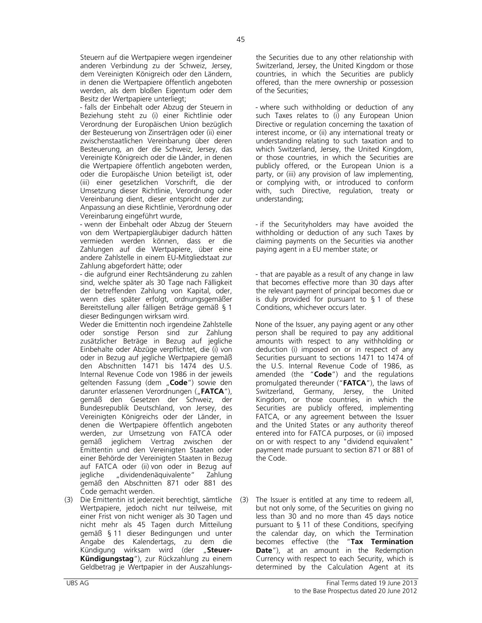Steuern auf die Wertpapiere wegen irgendeiner anderen Verbindung zu der Schweiz, Jersey, dem Vereinigten Königreich oder den Ländern, in denen die Wertpapiere öffentlich angeboten werden, als dem bloßen Eigentum oder dem Besitz der Wertpapiere unterliegt;

- falls der Einbehalt oder Abzug der Steuern in Beziehung steht zu (i) einer Richtlinie oder Verordnung der Europäischen Union bezüglich der Besteuerung von Zinserträgen oder (ii) einer zwischenstaatlichen Vereinbarung über deren Besteuerung, an der die Schweiz, Jersey, das Vereinigte Königreich oder die Länder, in denen die Wertpapiere öffentlich angeboten werden, oder die Europäische Union beteiligt ist, oder (iii) einer gesetzlichen Vorschrift, die der Umsetzung dieser Richtlinie, Verordnung oder Vereinbarung dient, dieser entspricht oder zur Anpassung an diese Richtlinie, Verordnung oder Vereinbarung eingeführt wurde,

- wenn der Einbehalt oder Abzug der Steuern von dem Wertpapiergläubiger dadurch hätten vermieden werden können, dass er die Zahlungen auf die Wertpapiere, über eine andere Zahlstelle in einem EU-Mitgliedstaat zur Zahlung abgefordert hätte; oder

- die aufgrund einer Rechtsänderung zu zahlen sind, welche später als 30 Tage nach Fälligkeit der betreffenden Zahlung von Kapital, oder, wenn dies später erfolgt, ordnungsgemäßer Bereitstellung aller fälligen Beträge gemäß § 1 dieser Bedingungen wirksam wird.

Weder die Emittentin noch irgendeine Zahlstelle oder sonstige Person sind zur Zahlung zusätzlicher Beträge in Bezug auf jegliche Einbehalte oder Abzüge verpflichtet, die (i) von oder in Bezug auf jegliche Wertpapiere gemäß den Abschnitten 1471 bis 1474 des U.S. Internal Revenue Code von 1986 in der jeweils geltenden Fassung (dem "Code") sowie den darunter erlassenen Verordnungen ("FATCA"), gemäß den Gesetzen der Schweiz, der Bundesrepublik Deutschland, von Jersey, des Vereinigten Königreichs oder der Länder, in denen die Wertpapiere öffentlich angeboten werden, zur Umsetzung von FATCA oder gemäß jeglichem Vertrag zwischen der Emittentin und den Vereinigten Staaten oder einer Behörde der Vereinigten Staaten in Bezug auf FATCA oder (ii) von oder in Bezug auf jegliche "dividendenäquivalente" Zahlung gemäß den Abschnitten 871 oder 881 des Code gemacht werden.

(3) Die Emittentin ist jederzeit berechtigt, sämtliche Wertpapiere, jedoch nicht nur teilweise, mit einer Frist von nicht weniger als 30 Tagen und nicht mehr als 45 Tagen durch Mitteilung gemäß § 11 dieser Bedingungen und unter Angabe des Kalendertags, zu dem die Kündigung wirksam wird (der "**Steuer-Kündigungstag**"), zur Rückzahlung zu einem Geldbetrag je Wertpapier in der Auszahlungsthe Securities due to any other relationship with Switzerland, Jersey, the United Kingdom or those countries, in which the Securities are publicly offered, than the mere ownership or possession of the Securities;

- where such withholding or deduction of any such Taxes relates to (i) any European Union Directive or regulation concerning the taxation of interest income, or (ii) any international treaty or understanding relating to such taxation and to which Switzerland, Jersey, the United Kingdom, or those countries, in which the Securities are publicly offered, or the European Union is a party, or (iii) any provision of law implementing, or complying with, or introduced to conform with, such Directive, regulation, treaty or understanding;

- if the Securityholders may have avoided the withholding or deduction of any such Taxes by claiming payments on the Securities via another paying agent in a EU member state; or

- that are payable as a result of any change in law that becomes effective more than 30 days after the relevant payment of principal becomes due or is duly provided for pursuant to § 1 of these Conditions, whichever occurs later.

None of the Issuer, any paying agent or any other person shall be required to pay any additional amounts with respect to any withholding or deduction (i) imposed on or in respect of any Securities pursuant to sections 1471 to 1474 of the U.S. Internal Revenue Code of 1986, as amended (the "**Code**") and the regulations promulgated thereunder ("**FATCA**"), the laws of Switzerland, Germany, Jersey, the United Kingdom, or those countries, in which the Securities are publicly offered, implementing FATCA, or any agreement between the Issuer and the United States or any authority thereof entered into for FATCA purposes, or (ii) imposed on or with respect to any "dividend equivalent" payment made pursuant to section 871 or 881 of the Code.

(3) The Issuer is entitled at any time to redeem all, but not only some, of the Securities on giving no less than 30 and no more than 45 days notice pursuant to § 11 of these Conditions, specifying the calendar day, on which the Termination becomes effective (the "**Tax Termination Date**"), at an amount in the Redemption Currency with respect to each Security, which is determined by the Calculation Agent at its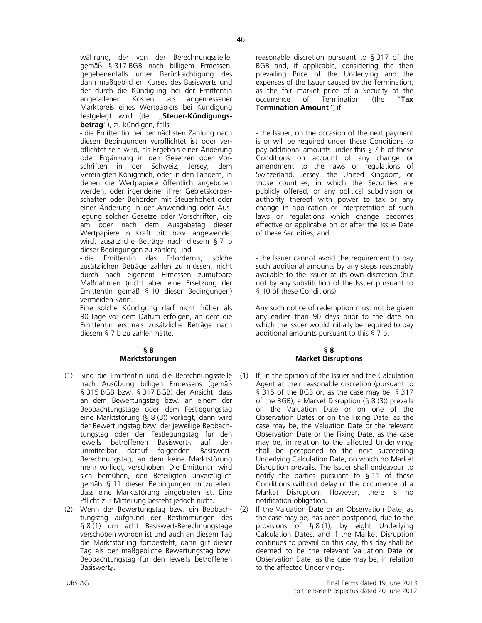währung, der von der Berechnungsstelle, gemäß § 317 BGB nach billigem Ermessen, gegebenenfalls unter Berücksichtigung des dann maßgeblichen Kurses des Basiswerts und der durch die Kündigung bei der Emittentin angefallenen Kosten, als angemessener Marktpreis eines Wertpapiers bei Kündigung festgelegt wird (der "Steuer-Kündigungs**betrag**"), zu kündigen, falls:

- die Emittentin bei der nächsten Zahlung nach diesen Bedingungen verpflichtet ist oder verpflichtet sein wird, als Ergebnis einer Änderung oder Ergänzung in den Gesetzen oder Vorschriften in der Schweiz, Jersey, dem Vereinigten Königreich, oder in den Ländern, in denen die Wertpapiere öffentlich angeboten werden, oder irgendeiner ihrer Gebietskörperschaften oder Behörden mit Steuerhoheit oder einer Änderung in der Anwendung oder Auslegung solcher Gesetze oder Vorschriften, die am oder nach dem Ausgabetag dieser Wertpapiere in Kraft tritt bzw. angewendet wird, zusätzliche Beträge nach diesem § 7 b dieser Bedingungen zu zahlen; und

- die Emittentin das Erfordernis, solche zusätzlichen Beträge zahlen zu müssen, nicht durch nach eigenem Ermessen zumutbare Maßnahmen (nicht aber eine Ersetzung der Emittentin gemäß § 10 dieser Bedingungen) vermeiden kann.

Eine solche Kündigung darf nicht früher als 90 Tage vor dem Datum erfolgen, an dem die Emittentin erstmals zusätzliche Beträge nach diesem § 7 b zu zahlen hätte.

# **§ 8 Marktstörungen**

- (1) Sind die Emittentin und die Berechnungsstelle nach Ausübung billigen Ermessens (gemäß § 315 BGB bzw. § 317 BGB) der Ansicht, dass an dem Bewertungstag bzw. an einem der Beobachtungstage oder dem Festlegungstag eine Marktstörung (§ 8 (3)) vorliegt, dann wird der Bewertungstag bzw. der jeweilige Beobachtungstag oder der Festlegungstag für den jeweils betroffenen Basiswert $_{\text{ii}}$  auf den unmittelbar darauf folgenden Basiswert-Berechnungstag, an dem keine Marktstörung mehr vorliegt, verschoben. Die Emittentin wird sich bemühen, den Beteiligten unverzüglich gemäß § 11 dieser Bedingungen mitzuteilen, dass eine Marktstörung eingetreten ist. Eine Pflicht zur Mitteilung besteht jedoch nicht.
- (2) Wenn der Bewertungstag bzw. ein Beobachtungstag aufgrund der Bestimmungen des § 8 (1) um acht Basiswert-Berechnungstage verschoben worden ist und auch an diesem Tag die Marktstörung fortbesteht, dann gilt dieser Tag als der maßgebliche Bewertungstag bzw. Beobachtungstag für den jeweils betroffenen Basiswert<sub>(i)</sub>.

reasonable discretion pursuant to § 317 of the BGB and, if applicable, considering the then prevailing Price of the Underlying and the expenses of the Issuer caused by the Termination, as the fair market price of a Security at the occurrence of Termination (the "**Tax Termination Amount**") if:

- the Issuer, on the occasion of the next payment is or will be required under these Conditions to pay additional amounts under this  $\S$  7 b of these Conditions on account of any change or amendment to the laws or regulations of Switzerland, Jersey, the United Kingdom, or those countries, in which the Securities are publicly offered, or any political subdivision or authority thereof with power to tax or any change in application or interpretation of such laws or regulations which change becomes effective or applicable on or after the Issue Date of these Securities; and

- the Issuer cannot avoid the requirement to pay such additional amounts by any steps reasonably available to the Issuer at its own discretion (but not by any substitution of the Issuer pursuant to § 10 of these Conditions).

Any such notice of redemption must not be given any earlier than 90 days prior to the date on which the Issuer would initially be required to pay additional amounts pursuant to this § 7 b.

# **§ 8 Market Disruptions**

- If, in the opinion of the Issuer and the Calculation Agent at their reasonable discretion (pursuant to § 315 of the BGB or, as the case may be, § 317 of the BGB), a Market Disruption (§ 8 (3)) prevails on the Valuation Date or on one of the Observation Dates or on the Fixing Date, as the case may be, the Valuation Date or the relevant Observation Date or the Fixing Date, as the case may be, in relation to the affected Underlying $_{(i)}$ shall be postponed to the next succeeding Underlying Calculation Date, on which no Market Disruption prevails. The Issuer shall endeavour to notify the parties pursuant to § 11 of these Conditions without delay of the occurrence of a Market Disruption. However, there is no notification obligation.
- (2) If the Valuation Date or an Observation Date, as the case may be, has been postponed, due to the provisions of § 8 (1), by eight Underlying Calculation Dates, and if the Market Disruption continues to prevail on this day, this day shall be deemed to be the relevant Valuation Date or Observation Date, as the case may be, in relation to the affected Underlying $_{(i)}$ .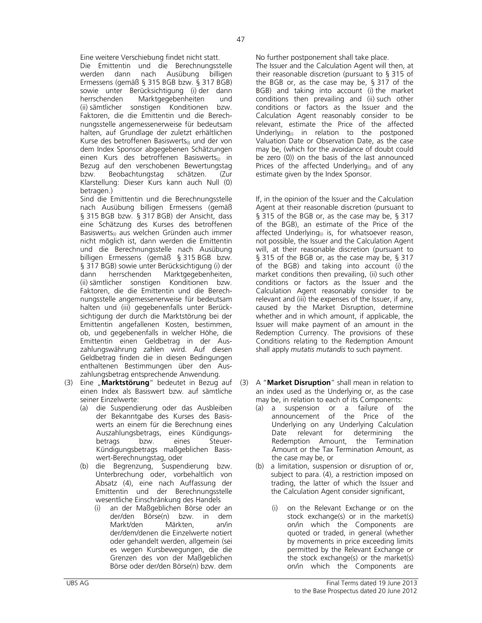Eine weitere Verschiebung findet nicht statt. No further postponement shall take place.

 Die Emittentin und die Berechnungsstelle werden dann nach Ausübung billigen Ermessens (gemäß § 315 BGB bzw. § 317 BGB) sowie unter Berücksichtigung (i)-der dann<br>herrschenden Marktgegebenheiten und Marktgegebenheiten und (ii) sämtlicher sonstigen Konditionen bzw. Faktoren, die die Emittentin und die Berechnungsstelle angemessenerweise für bedeutsam halten, auf Grundlage der zuletzt erhältlichen Kurse des betroffenen Basiswerts<sub>(i)</sub> und der von dem Index Sponsor abgegebenen Schätzungen einen Kurs des betroffenen Basiswerts<sub>(i)</sub> in Bezug auf den verschobenen Bewertungstag bzw. Beobachtungstag schätzen. (Zur Klarstellung: Dieser Kurs kann auch Null (0) betragen.)

 Sind die Emittentin und die Berechnungsstelle nach Ausübung billigen Ermessens (gemäß § 315 BGB bzw. § 317 BGB) der Ansicht, dass eine Schätzung des Kurses des betroffenen Basiswerts<sub>(i)</sub> aus welchen Gründen auch immer nicht möglich ist, dann werden die Emittentin und die Berechnungsstelle nach Ausübung billigen Ermessens (gemäß § 315 BGB bzw. § 317 BGB) sowie unter Berücksichtigung (i) der dann herrschenden Marktgegebenheiten, (ii) sämtlicher sonstigen Konditionen bzw. Faktoren, die die Emittentin und die Berechnungsstelle angemessenerweise für bedeutsam halten und (iii) gegebenenfalls unter Berücksichtigung der durch die Marktstörung bei der Emittentin angefallenen Kosten, bestimmen, ob, und gegebenenfalls in welcher Höhe, die Emittentin einen Geldbetrag in der Auszahlungswährung zahlen wird. Auf diesen Geldbetrag finden die in diesen Bedingungen enthaltenen Bestimmungen über den Auszahlungsbetrag entsprechende Anwendung.

- (3) Eine "**Marktstörung**" bedeutet in Bezug auf (3) einen Index als Basiswert bzw. auf sämtliche seiner Einzelwerte:
	- (a) die Suspendierung oder das Ausbleiben der Bekanntgabe des Kurses des Basiswerts an einem für die Berechnung eines Auszahlungsbetrags, eines Kündigungsbetrags Kündigungsbetrags maßgeblichen Basiswert-Berechnungstag, oder
	- (b) die Begrenzung, Suspendierung bzw. Unterbrechung oder, vorbehaltlich von Absatz (4), eine nach Auffassung der Emittentin und der Berechnungsstelle wesentliche Einschränkung des Handels
		- (i) an der Maßgeblichen Börse oder an der/den Börse(n) bzw. in dem Markt/den Märkten, an/in der/dem/denen die Einzelwerte notiert oder gehandelt werden, allgemein (sei es wegen Kursbewegungen, die die Grenzen des von der Maßgeblichen Börse oder der/den Börse(n) bzw. dem

 The Issuer and the Calculation Agent will then, at their reasonable discretion (pursuant to § 315 of the BGB or, as the case may be, § 317 of the BGB) and taking into account (i) the market conditions then prevailing and (ii) such other conditions or factors as the Issuer and the Calculation Agent reasonably consider to be relevant, estimate the Price of the affected Underlying $_{(i)}$  in relation to the postponed Valuation Date or Observation Date, as the case may be, (which for the avoidance of doubt could be zero (0)) on the basis of the last announced Prices of the affected Underlying $_{(i)}$  and of any estimate given by the Index Sponsor.

 If, in the opinion of the Issuer and the Calculation Agent at their reasonable discretion (pursuant to § 315 of the BGB or, as the case may be, § 317 of the BGB), an estimate of the Price of the affected Underlying $_{(i)}$  is, for whatsoever reason, not possible, the Issuer and the Calculation Agent will, at their reasonable discretion (pursuant to § 315 of the BGB or, as the case may be, § 317 of the BGB) and taking into account (i) the market conditions then prevailing, (ii) such other conditions or factors as the Issuer and the Calculation Agent reasonably consider to be relevant and (iii) the expenses of the Issuer, if any, caused by the Market Disruption, determine whether and in which amount, if applicable, the Issuer will make payment of an amount in the Redemption Currency. The provisions of these Conditions relating to the Redemption Amount shall apply *mutatis mutandis* to such payment.

- (3) A "**Market Disruption**" shall mean in relation to an index used as the Underlying or, as the case may be, in relation to each of its Components:
	- (a) a suspension or a failure of the announcement of the Price of the Underlying on any Underlying Calculation Date relevant for determining the Redemption Amount, the Termination Amount or the Tax Termination Amount, as the case may be, or
	- (b) a limitation, suspension or disruption of or, subject to para. (4), a restriction imposed on trading, the latter of which the Issuer and the Calculation Agent consider significant,
		- on the Relevant Exchange or on the stock exchange(s) or in the market(s) on/in which the Components are quoted or traded, in general (whether by movements in price exceeding limits permitted by the Relevant Exchange or the stock exchange(s) or the market(s) on/in which the Components are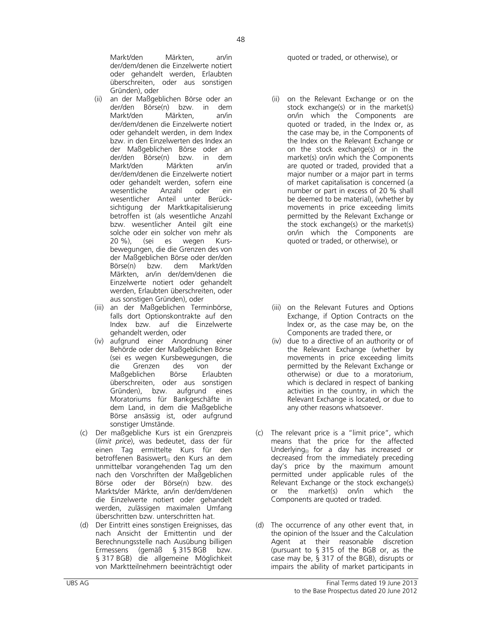Markt/den Märkten, an/in der/dem/denen die Einzelwerte notiert oder gehandelt werden, Erlaubten überschreiten, oder aus sonstigen Gründen), oder

- (ii) an der Maßgeblichen Börse oder an der/den Börse(n) bzw. in dem Markt/den Märkten, an/in der/dem/denen die Einzelwerte notiert oder gehandelt werden, in dem Index bzw. in den Einzelwerten des Index an der Maßgeblichen Börse oder an der/den Börse(n) bzw. in dem Markt/den Märkten an/in der/dem/denen die Einzelwerte notiert oder gehandelt werden, sofern eine wesentliche Anzahl oder ein wesentlicher Anteil unter Berücksichtigung der Marktkapitalisierung betroffen ist (als wesentliche Anzahl bzw. wesentlicher Anteil gilt eine solche oder ein solcher von mehr als 20 %), (sei es wegen Kursbewegungen, die die Grenzen des von der Maßgeblichen Börse oder der/den Börse(n) bzw. dem Markt/den Märkten, an/in der/dem/denen die Einzelwerte notiert oder gehandelt werden, Erlaubten überschreiten, oder aus sonstigen Gründen), oder
- (iii) an der Maßgeblichen Terminbörse, falls dort Optionskontrakte auf den Index bzw. auf die Einzelwerte gehandelt werden, oder
- (iv) aufgrund einer Anordnung einer Behörde oder der Maßgeblichen Börse (sei es wegen Kursbewegungen, die die Grenzen des von der Maßgeblichen Börse Erlaubten überschreiten, oder aus sonstigen Gründen), bzw. aufgrund eines Moratoriums für Bankgeschäfte in dem Land, in dem die Maßgebliche Börse ansässig ist, oder aufgrund sonstiger Umstände.
- (c) Der maßgebliche Kurs ist ein Grenzpreis (*limit price*), was bedeutet, dass der für einen Tag ermittelte Kurs für den betroffenen Basiswert<sub>(i)</sub> den Kurs an dem unmittelbar vorangehenden Tag um den nach den Vorschriften der Maßgeblichen Börse oder der Börse(n) bzw. des Markts/der Märkte, an/in der/dem/denen die Einzelwerte notiert oder gehandelt werden, zulässigen maximalen Umfang überschritten bzw. unterschritten hat.
- (d) Der Eintritt eines sonstigen Ereignisses, das nach Ansicht der Emittentin und der Berechnungsstelle nach Ausübung billigen Ermessens (gemäß § 315 BGB bzw. § 317 BGB) die allgemeine Möglichkeit von Marktteilnehmern beeinträchtigt oder

quoted or traded, or otherwise), or

- (ii) on the Relevant Exchange or on the stock exchange(s) or in the market(s) on/in which the Components are quoted or traded, in the Index or, as the case may be, in the Components of the Index on the Relevant Exchange or on the stock exchange(s) or in the market(s) on/in which the Components are quoted or traded, provided that a major number or a major part in terms of market capitalisation is concerned (a number or part in excess of 20 % shall be deemed to be material), (whether by movements in price exceeding limits permitted by the Relevant Exchange or the stock exchange(s) or the market(s) on/in which the Components are quoted or traded, or otherwise), or
- (iii) on the Relevant Futures and Options Exchange, if Option Contracts on the Index or, as the case may be, on the Components are traded there, or
- (iv) due to a directive of an authority or of the Relevant Exchange (whether by movements in price exceeding limits permitted by the Relevant Exchange or otherwise) or due to a moratorium, which is declared in respect of banking activities in the country, in which the Relevant Exchange is located, or due to any other reasons whatsoever.
- (c) The relevant price is a "limit price", which means that the price for the affected Underlying $_{(i)}$  for a day has increased or decreased from the immediately preceding day's price by the maximum amount permitted under applicable rules of the Relevant Exchange or the stock exchange(s) or the market(s) on/in which the Components are quoted or traded.
- (d) The occurrence of any other event that, in the opinion of the Issuer and the Calculation Agent at their reasonable discretion (pursuant to § 315 of the BGB or, as the case may be, § 317 of the BGB), disrupts or impairs the ability of market participants in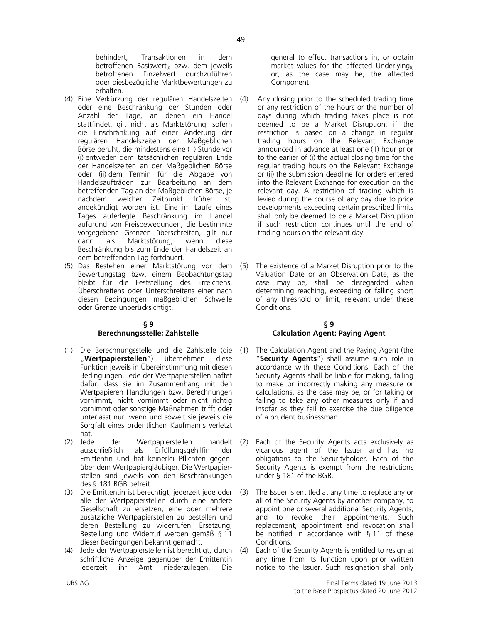behindert, Transaktionen in dem betroffenen Basiswert<sub>(i)</sub> bzw. dem jeweils betroffenen Einzelwert durchzuführen oder diesbezügliche Marktbewertungen zu erhalten.

- (4) Eine Verkürzung der regulären Handelszeiten oder eine Beschränkung der Stunden oder Anzahl der Tage, an denen ein Handel stattfindet, gilt nicht als Marktstörung, sofern die Einschränkung auf einer Änderung der regulären Handelszeiten der Maßgeblichen Börse beruht, die mindestens eine (1) Stunde vor (i) entweder dem tatsächlichen regulären Ende der Handelszeiten an der Maßgeblichen Börse oder (ii) dem Termin für die Abgabe von Handelsaufträgen zur Bearbeitung an dem betreffenden Tag an der Maßgeblichen Börse, je nachdem welcher Zeitpunkt früher ist, angekündigt worden ist. Eine im Laufe eines Tages auferlegte Beschränkung im Handel aufgrund von Preisbewegungen, die bestimmte vorgegebene Grenzen überschreiten, gilt nur dann als Marktstörung, wenn diese Beschränkung bis zum Ende der Handelszeit an dem betreffenden Tag fortdauert.
- (5) Das Bestehen einer Marktstörung vor dem Bewertungstag bzw. einem Beobachtungstag bleibt für die Feststellung des Erreichens, Überschreitens oder Unterschreitens einer nach diesen Bedingungen maßgeblichen Schwelle oder Grenze unberücksichtigt.

## **§ 9 Berechnungsstelle; Zahlstelle**

- (1) Die Berechnungsstelle und die Zahlstelle (die (1)<br>"**Wertpapierstellen**") übernehmen diese "**Wertpapierstellen**") übernehmen diese Funktion jeweils in Übereinstimmung mit diesen Bedingungen. Jede der Wertpapierstellen haftet dafür, dass sie im Zusammenhang mit den Wertpapieren Handlungen bzw. Berechnungen vornimmt, nicht vornimmt oder nicht richtig vornimmt oder sonstige Maßnahmen trifft oder unterlässt nur, wenn und soweit sie jeweils die Sorgfalt eines ordentlichen Kaufmanns verletzt hat.
- (2) Jede der Wertpapierstellen handelt (2)<br>ausschließlich als Erfüllungsgehilfin der als Erfüllungsgehilfin der Emittentin und hat keinerlei Pflichten gegenüber dem Wertpapiergläubiger. Die Wertpapierstellen sind jeweils von den Beschränkungen des § 181 BGB befreit.
- (3) Die Emittentin ist berechtigt, jederzeit jede oder alle der Wertpapierstellen durch eine andere Gesellschaft zu ersetzen, eine oder mehrere zusätzliche Wertpapierstellen zu bestellen und deren Bestellung zu widerrufen. Ersetzung, Bestellung und Widerruf werden gemäß § 11 dieser Bedingungen bekannt gemacht.
- (4) Jede der Wertpapierstellen ist berechtigt, durch schriftliche Anzeige gegenüber der Emittentin<br>jederzeit ihr Amt niederzulegen. Die jederzeit ihr Amt niederzulegen. Die

general to effect transactions in, or obtain market values for the affected Underlying $_{(i)}$ or, as the case may be, the affected Component.

- Any closing prior to the scheduled trading time or any restriction of the hours or the number of days during which trading takes place is not deemed to be a Market Disruption, if the restriction is based on a change in regular trading hours on the Relevant Exchange announced in advance at least one (1) hour prior to the earlier of (i) the actual closing time for the regular trading hours on the Relevant Exchange or (ii) the submission deadline for orders entered into the Relevant Exchange for execution on the relevant day. A restriction of trading which is levied during the course of any day due to price developments exceeding certain prescribed limits shall only be deemed to be a Market Disruption if such restriction continues until the end of trading hours on the relevant day.
- (5) The existence of a Market Disruption prior to the Valuation Date or an Observation Date, as the case may be, shall be disregarded when determining reaching, exceeding or falling short of any threshold or limit, relevant under these Conditions.

## **§ 9 Calculation Agent; Paying Agent**

- The Calculation Agent and the Paying Agent (the "**Security Agents**") shall assume such role in accordance with these Conditions. Each of the Security Agents shall be liable for making, failing to make or incorrectly making any measure or calculations, as the case may be, or for taking or failing to take any other measures only if and insofar as they fail to exercise the due diligence of a prudent businessman.
- Each of the Security Agents acts exclusively as vicarious agent of the Issuer and has no obligations to the Securityholder. Each of the Security Agents is exempt from the restrictions under § 181 of the BGB.
- The Issuer is entitled at any time to replace any or all of the Security Agents by another company, to appoint one or several additional Security Agents, and to revoke their appointments. Such replacement, appointment and revocation shall be notified in accordance with § 11 of these Conditions.
- (4) Each of the Security Agents is entitled to resign at any time from its function upon prior written notice to the Issuer. Such resignation shall only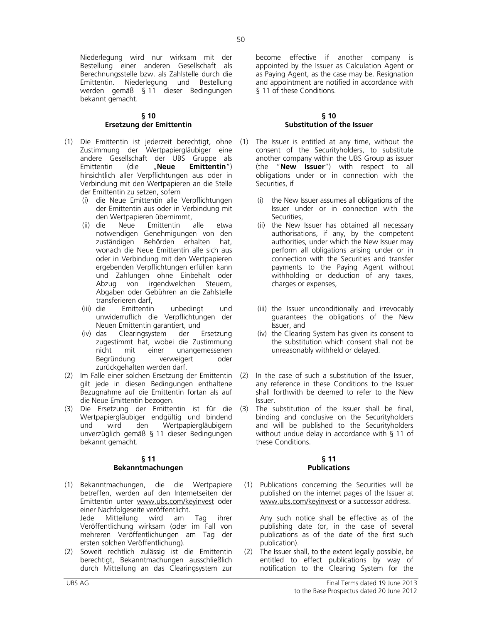Niederlegung wird nur wirksam mit der Bestellung einer anderen Gesellschaft als Berechnungsstelle bzw. als Zahlstelle durch die Emittentin. Niederlegung und Bestellung werden gemäß § 11 dieser Bedingungen bekannt gemacht.

# **§ 10 Ersetzung der Emittentin**

- (1) Die Emittentin ist jederzeit berechtigt, ohne Zustimmung der Wertpapiergläubiger eine andere Gesellschaft der UBS Gruppe als Emittentin (die "**Neue Emittentin**") hinsichtlich aller Verpflichtungen aus oder in Verbindung mit den Wertpapieren an die Stelle der Emittentin zu setzen, sofern
	- (i) die Neue Emittentin alle Verpflichtungen der Emittentin aus oder in Verbindung mit den Wertpapieren übernimmt,<br>die Neue Emittentin alle
	- (ii) die Neue Emittentin alle etwa notwendigen Genehmigungen von den zuständigen Behörden erhalten hat, wonach die Neue Emittentin alle sich aus oder in Verbindung mit den Wertpapieren ergebenden Verpflichtungen erfüllen kann und Zahlungen ohne Einbehalt oder Abzug von irgendwelchen Steuern, Abgaben oder Gebühren an die Zahlstelle transferieren darf,
	- (iii) die Emittentin unbedingt und unwiderruflich die Verpflichtungen der Neuen Emittentin garantiert, und
	- (iv) das Clearingsystem der Ersetzung zugestimmt hat, wobei die Zustimmung<br>nicht mit einer unangemessenen mit einer unangemessenen Begründung verweigert oder zurückgehalten werden darf.
- (2) Im Falle einer solchen Ersetzung der Emittentin gilt jede in diesen Bedingungen enthaltene Bezugnahme auf die Emittentin fortan als auf die Neue Emittentin bezogen.
- (3) Die Ersetzung der Emittentin ist für die Wertpapiergläubiger endgültig und bindend und wird den Wertpapiergläubigern unverzüglich gemäß § 11 dieser Bedingungen bekannt gemacht.

## **§ 11 Bekanntmachungen**

- (1) Bekanntmachungen, die die Wertpapiere betreffen, werden auf den Internetseiten der Emittentin unter www.ubs.com/keyinvest oder einer Nachfolgeseite veröffentlicht. Jede Mitteilung wird am Tag ihrer Veröffentlichung wirksam (oder im Fall von mehreren Veröffentlichungen am Tag der ersten solchen Veröffentlichung).
- (2) Soweit rechtlich zulässig ist die Emittentin berechtigt, Bekanntmachungen ausschließlich durch Mitteilung an das Clearingsystem zur

become effective if another company is appointed by the Issuer as Calculation Agent or as Paying Agent, as the case may be. Resignation and appointment are notified in accordance with § 11 of these Conditions.

## **§ 10 Substitution of the Issuer**

- The Issuer is entitled at any time, without the consent of the Securityholders, to substitute another company within the UBS Group as issuer (the "**New Issuer**") with respect to all obligations under or in connection with the Securities, if
	- (i) the New Issuer assumes all obligations of the Issuer under or in connection with the Securities,
	- (ii) the New Issuer has obtained all necessary authorisations, if any, by the competent authorities, under which the New Issuer may perform all obligations arising under or in connection with the Securities and transfer payments to the Paying Agent without withholding or deduction of any taxes, charges or expenses,
	- (iii) the Issuer unconditionally and irrevocably guarantees the obligations of the New Issuer, and
	- (iv) the Clearing System has given its consent to the substitution which consent shall not be unreasonably withheld or delayed.
- In the case of such a substitution of the Issuer, any reference in these Conditions to the Issuer shall forthwith be deemed to refer to the New Issuer.
- The substitution of the Issuer shall be final, binding and conclusive on the Securityholders and will be published to the Securityholders without undue delay in accordance with § 11 of these Conditions.

## **§ 11 Publications**

(1) Publications concerning the Securities will be published on the internet pages of the Issuer at www.ubs.com/keyinvest or a successor address.

 Any such notice shall be effective as of the publishing date (or, in the case of several publications as of the date of the first such publication).

(2) The Issuer shall, to the extent legally possible, be entitled to effect publications by way of notification to the Clearing System for the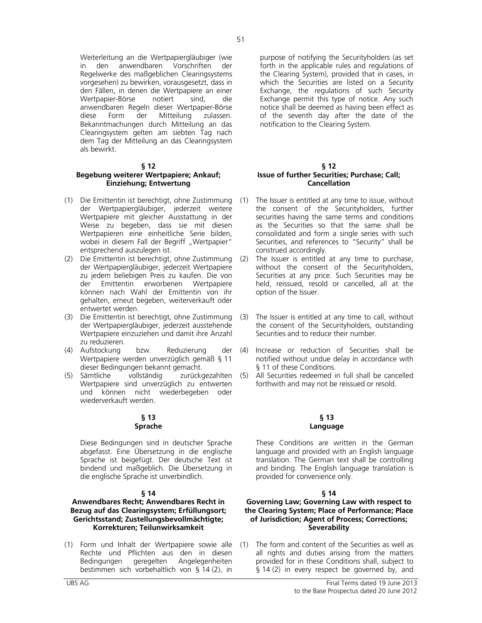Weiterleitung an die Wertpapiergläubiger (wie in den anwendbaren Vorschriften der Regelwerke des maßgeblichen Clearingsystems vorgesehen) zu bewirken, vorausgesetzt, dass in den Fällen, in denen die Wertpapiere an einer Wertpapier-Börse notiert sind, die anwendbaren Regeln dieser Wertpapier-Börse diese Form der Mitteilung zulassen. Bekanntmachungen durch Mitteilung an das Clearingsystem gelten am siebten Tag nach dem Tag der Mitteilung an das Clearingsystem als bewirkt.

## **§ 12**

# **Begebung weiterer Wertpapiere; Ankauf; Einziehung; Entwertung**

- (1) Die Emittentin ist berechtigt, ohne Zustimmung der Wertpapiergläubiger, jederzeit weitere Wertpapiere mit gleicher Ausstattung in der Weise zu begeben, dass sie mit diesen Wertpapieren eine einheitliche Serie bilden, wobei in diesem Fall der Begriff "Wertpapier" entsprechend auszulegen ist.
- (2) Die Emittentin ist berechtigt, ohne Zustimmung der Wertpapiergläubiger, jederzeit Wertpapiere zu jedem beliebigen Preis zu kaufen. Die von der Emittentin erworbenen Wertpapiere können nach Wahl der Emittentin von ihr gehalten, erneut begeben, weiterverkauft oder entwertet werden.
- (3) Die Emittentin ist berechtigt, ohne Zustimmung der Wertpapiergläubiger, jederzeit ausstehende Wertpapiere einzuziehen und damit ihre Anzahl zu reduzieren.
- (4) Aufstockung bzw. Reduzierung der Wertpapiere werden unverzüglich gemäß § 11 dieser Bedingungen bekannt gemacht.<br>Sämtliche vollständig zurücko
- (5) Sämtliche vollständig zurückgezahlten Wertpapiere sind unverzüglich zu entwerten und können nicht wiederbegeben oder wiederverkauft werden.

## **§ 13 Sprache**

 Diese Bedingungen sind in deutscher Sprache abgefasst. Eine Übersetzung in die englische Sprache ist beigefügt. Der deutsche Text ist bindend und maßgeblich. Die Übersetzung in die englische Sprache ist unverbindlich.

## **§ 14**

# **Anwendbares Recht; Anwendbares Recht in Bezug auf das Clearingsystem; Erfüllungsort; Gerichtsstand; Zustellungsbevollmächtigte; Korrekturen; Teilunwirksamkeit**

(1) Form und Inhalt der Wertpapiere sowie alle Rechte und Pflichten aus den in diesen Bedingungen geregelten Angelegenheiten bestimmen sich vorbehaltlich von § 14 (2), in

purpose of notifying the Securityholders (as set forth in the applicable rules and regulations of the Clearing System), provided that in cases, in which the Securities are listed on a Security Exchange, the regulations of such Security Exchange permit this type of notice. Any such notice shall be deemed as having been effect as of the seventh day after the date of the notification to the Clearing System.

## **§ 12 Issue of further Securities; Purchase; Call; Cancellation**

- The Issuer is entitled at any time to issue, without the consent of the Securityholders, further securities having the same terms and conditions as the Securities so that the same shall be consolidated and form a single series with such Securities, and references to "Security" shall be construed accordingly.
- The Issuer is entitled at any time to purchase, without the consent of the Securityholders, Securities at any price. Such Securities may be held, reissued, resold or cancelled, all at the option of the Issuer.
- The Issuer is entitled at any time to call, without the consent of the Securityholders, outstanding Securities and to reduce their number.
- (4) Increase or reduction of Securities shall be notified without undue delay in accordance with § 11 of these Conditions.
- (5) All Securities redeemed in full shall be cancelled forthwith and may not be reissued or resold.

# **§ 13 Language**

 These Conditions are written in the German language and provided with an English language translation. The German text shall be controlling and binding. The English language translation is provided for convenience only.

## **§ 14**

## **Governing Law; Governing Law with respect to the Clearing System; Place of Performance; Place of Jurisdiction; Agent of Process; Corrections; Severability**

The form and content of the Securities as well as all rights and duties arising from the matters provided for in these Conditions shall, subject to § 14 (2) in every respect be governed by, and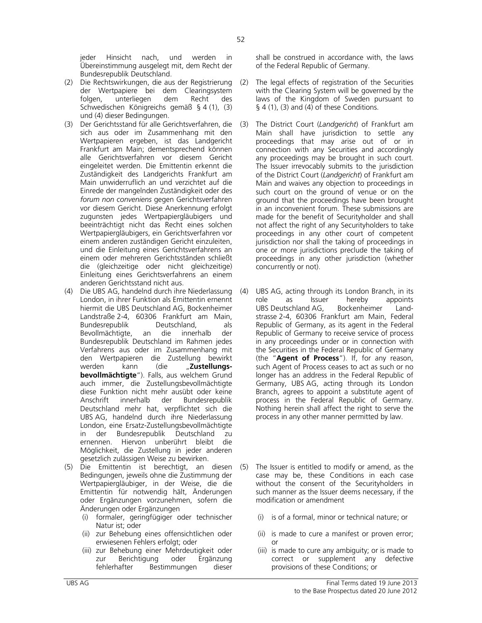jeder Hinsicht nach, und werden in Übereinstimmung ausgelegt mit, dem Recht der Bundesrepublik Deutschland.

- (2) Die Rechtswirkungen, die aus der Registrierung der Wertpapiere bei dem Clearingsystem<br>folgen, unterliegen dem Recht des folgen, unterliegen dem Recht des Schwedischen Königreichs gemäß § 4 (1), (3) und (4) dieser Bedingungen.
- (3) Der Gerichtsstand für alle Gerichtsverfahren, die sich aus oder im Zusammenhang mit den Wertpapieren ergeben, ist das Landgericht Frankfurt am Main; dementsprechend können alle Gerichtsverfahren vor diesem Gericht eingeleitet werden. Die Emittentin erkennt die Zuständigkeit des Landgerichts Frankfurt am Main unwiderruflich an und verzichtet auf die Einrede der mangelnden Zuständigkeit oder des *forum non conveniens* gegen Gerichtsverfahren vor diesem Gericht. Diese Anerkennung erfolgt zugunsten jedes Wertpapiergläubigers und beeinträchtigt nicht das Recht eines solchen Wertpapiergläubigers, ein Gerichtsverfahren vor einem anderen zuständigen Gericht einzuleiten, und die Einleitung eines Gerichtsverfahrens an einem oder mehreren Gerichtsständen schließt die (gleichzeitige oder nicht gleichzeitige) Einleitung eines Gerichtsverfahrens an einem anderen Gerichtsstand nicht aus.
- (4) Die UBS AG, handelnd durch ihre Niederlassung London, in ihrer Funktion als Emittentin ernennt hiermit die UBS Deutschland AG, Bockenheimer Landstraße 2-4, 60306 Frankfurt am Main, Bundesrepublik Deutschland, als<br>Bevollmächtigte, an die innerhalb der Bevollmächtigte, an die innerhalb der Bundesrepublik Deutschland im Rahmen jedes Verfahrens aus oder im Zusammenhang mit den Wertpapieren die Zustellung bewirkt werden kann (die "**Zustellungsbevollmächtigte**"). Falls, aus welchem Grund auch immer, die Zustellungsbevollmächtigte diese Funktion nicht mehr ausübt oder keine Anschrift innerhalb der Bundesrepublik Deutschland mehr hat, verpflichtet sich die UBS AG, handelnd durch ihre Niederlassung London, eine Ersatz-Zustellungsbevollmächtigte in der Bundesrepublik Deutschland zu ernennen. Hiervon unberührt bleibt die Möglichkeit, die Zustellung in jeder anderen gesetzlich zulässigen Weise zu bewirken.
- (5) Die Emittentin ist berechtigt, an diesen Bedingungen, jeweils ohne die Zustimmung der Wertpapiergläubiger, in der Weise, die die Emittentin für notwendig hält, Änderungen oder Ergänzungen vorzunehmen, sofern die Änderungen oder Ergänzungen
	- (i) formaler, geringfügiger oder technischer Natur ist; oder
	- (ii) zur Behebung eines offensichtlichen oder erwiesenen Fehlers erfolgt; oder
	- (iii) zur Behebung einer Mehrdeutigkeit oder zur Berichtigung oder Ergänzung fehlerhafter Bestimmungen dieser

shall be construed in accordance with, the laws of the Federal Republic of Germany.

- (2) The legal effects of registration of the Securities with the Clearing System will be governed by the laws of the Kingdom of Sweden pursuant to  $\S$  4 (1), (3) and (4) of these Conditions.
- (3) The District Court (*Landgericht*) of Frankfurt am Main shall have jurisdiction to settle any proceedings that may arise out of or in connection with any Securities and accordingly any proceedings may be brought in such court. The Issuer irrevocably submits to the jurisdiction of the District Court (*Landgericht*) of Frankfurt am Main and waives any objection to proceedings in such court on the ground of venue or on the ground that the proceedings have been brought in an inconvenient forum. These submissions are made for the benefit of Securityholder and shall not affect the right of any Securityholders to take proceedings in any other court of competent jurisdiction nor shall the taking of proceedings in one or more jurisdictions preclude the taking of proceedings in any other jurisdiction (whether concurrently or not).
- UBS AG, acting through its London Branch, in its role as Issuer hereby appoints UBS Deutschland AG, Bockenheimer Landstrasse 2-4, 60306 Frankfurt am Main, Federal Republic of Germany, as its agent in the Federal Republic of Germany to receive service of process in any proceedings under or in connection with the Securities in the Federal Republic of Germany (the "**Agent of Process**"). If, for any reason, such Agent of Process ceases to act as such or no longer has an address in the Federal Republic of Germany, UBS AG, acting through its London Branch, agrees to appoint a substitute agent of process in the Federal Republic of Germany. Nothing herein shall affect the right to serve the process in any other manner permitted by law.
- (5) The Issuer is entitled to modify or amend, as the case may be, these Conditions in each case without the consent of the Securityholders in such manner as the Issuer deems necessary, if the modification or amendment
	- (i) is of a formal, minor or technical nature; or
	- (ii) is made to cure a manifest or proven error; or
	- (iii) is made to cure any ambiguity; or is made to correct or supplement any defective provisions of these Conditions; or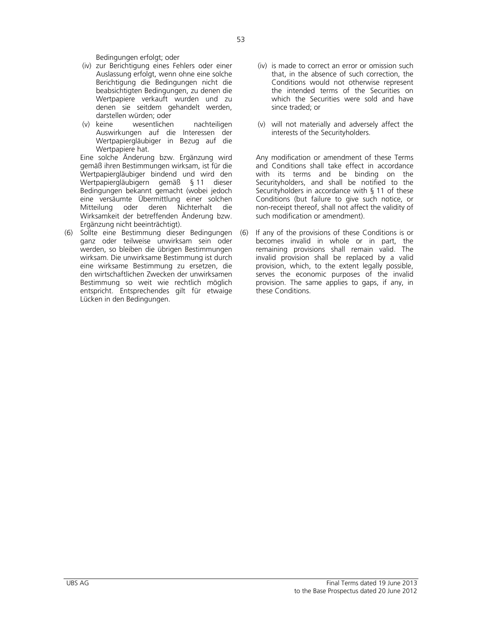Bedingungen erfolgt; oder

- (iv) zur Berichtigung eines Fehlers oder einer Auslassung erfolgt, wenn ohne eine solche Berichtigung die Bedingungen nicht die beabsichtigten Bedingungen, zu denen die Wertpapiere verkauft wurden und zu denen sie seitdem gehandelt werden, darstellen würden; oder
- (v) keine wesentlichen nachteiligen Auswirkungen auf die Interessen der Wertpapiergläubiger in Bezug auf die Wertpapiere hat.

 Eine solche Änderung bzw. Ergänzung wird gemäß ihren Bestimmungen wirksam, ist für die Wertpapiergläubiger bindend und wird den Wertpapiergläubigern gemäß § 11 dieser Bedingungen bekannt gemacht (wobei jedoch eine versäumte Übermittlung einer solchen Mitteilung oder deren Nichterhalt die Wirksamkeit der betreffenden Änderung bzw. Ergänzung nicht beeinträchtigt).

(6) Sollte eine Bestimmung dieser Bedingungen ganz oder teilweise unwirksam sein oder werden, so bleiben die übrigen Bestimmungen wirksam. Die unwirksame Bestimmung ist durch eine wirksame Bestimmung zu ersetzen, die den wirtschaftlichen Zwecken der unwirksamen Bestimmung so weit wie rechtlich möglich entspricht. Entsprechendes gilt für etwaige Lücken in den Bedingungen.

- (iv) is made to correct an error or omission such that, in the absence of such correction, the Conditions would not otherwise represent the intended terms of the Securities on which the Securities were sold and have since traded; or
- (v) will not materially and adversely affect the interests of the Securityholders.

 Any modification or amendment of these Terms and Conditions shall take effect in accordance with its terms and be binding on the Securityholders, and shall be notified to the Securityholders in accordance with § 11 of these Conditions (but failure to give such notice, or non-receipt thereof, shall not affect the validity of such modification or amendment).

(6) If any of the provisions of these Conditions is or becomes invalid in whole or in part, the remaining provisions shall remain valid. The invalid provision shall be replaced by a valid provision, which, to the extent legally possible, serves the economic purposes of the invalid provision. The same applies to gaps, if any, in these Conditions.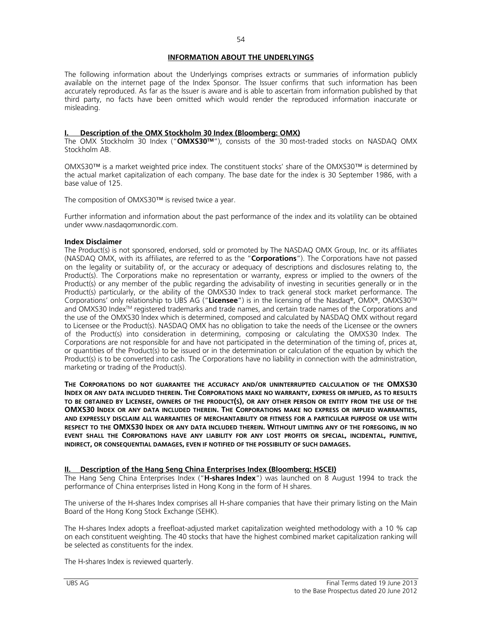# **INFORMATION ABOUT THE UNDERLYINGS**

The following information about the Underlyings comprises extracts or summaries of information publicly available on the internet page of the Index Sponsor. The Issuer confirms that such information has been accurately reproduced. As far as the Issuer is aware and is able to ascertain from information published by that third party, no facts have been omitted which would render the reproduced information inaccurate or misleading.

## **I. Description of the OMX Stockholm 30 Index (Bloomberg: OMX)**

The OMX Stockholm 30 Index ("**OMXS30TM**"), consists of the 30 most-traded stocks on NASDAQ OMX Stockholm AB.

OMXS30™ is a market weighted price index. The constituent stocks' share of the OMXS30™ is determined by the actual market capitalization of each company. The base date for the index is 30 September 1986, with a base value of 125.

The composition of OMXS30™ is revised twice a year.

Further information and information about the past performance of the index and its volatility can be obtained under www.nasdaqomxnordic.com.

## **Index Disclaimer**

The Product(s) is not sponsored, endorsed, sold or promoted by The NASDAQ OMX Group, Inc. or its affiliates (NASDAQ OMX, with its affiliates, are referred to as the "**Corporations**"). The Corporations have not passed on the legality or suitability of, or the accuracy or adequacy of descriptions and disclosures relating to, the Product(s). The Corporations make no representation or warranty, express or implied to the owners of the Product(s) or any member of the public regarding the advisability of investing in securities generally or in the Product(s) particularly, or the ability of the OMXS30 Index to track general stock market performance. The Corporations' only relationship to UBS AG ("**Licensee**") is in the licensing of the Nasdaq®, OMX®, OMXS30TM and OMXS30 Index<sup>™</sup> registered trademarks and trade names, and certain trade names of the Corporations and the use of the OMXS30 Index which is determined, composed and calculated by NASDAQ OMX without regard to Licensee or the Product(s). NASDAQ OMX has no obligation to take the needs of the Licensee or the owners of the Product(s) into consideration in determining, composing or calculating the OMXS30 Index. The Corporations are not responsible for and have not participated in the determination of the timing of, prices at, or quantities of the Product(s) to be issued or in the determination or calculation of the equation by which the Product(s) is to be converted into cash. The Corporations have no liability in connection with the administration, marketing or trading of the Product(s).

**THE CORPORATIONS DO NOT GUARANTEE THE ACCURACY AND/OR UNINTERRUPTED CALCULATION OF THE OMXS30 INDEX OR ANY DATA INCLUDED THEREIN. THE CORPORATIONS MAKE NO WARRANTY, EXPRESS OR IMPLIED, AS TO RESULTS TO BE OBTAINED BY LICENSEE, OWNERS OF THE PRODUCT(S), OR ANY OTHER PERSON OR ENTITY FROM THE USE OF THE OMXS30 INDEX OR ANY DATA INCLUDED THEREIN. THE CORPORATIONS MAKE NO EXPRESS OR IMPLIED WARRANTIES, AND EXPRESSLY DISCLAIM ALL WARRANTIES OF MERCHANTABILITY OR FITNESS FOR A PARTICULAR PURPOSE OR USE WITH RESPECT TO THE OMXS30 INDEX OR ANY DATA INCLUDED THEREIN. WITHOUT LIMITING ANY OF THE FOREGOING, IN NO EVENT SHALL THE CORPORATIONS HAVE ANY LIABILITY FOR ANY LOST PROFITS OR SPECIAL, INCIDENTAL, PUNITIVE, INDIRECT, OR CONSEQUENTIAL DAMAGES, EVEN IF NOTIFIED OF THE POSSIBILITY OF SUCH DAMAGES.**

# **II. Description of the Hang Seng China Enterprises Index (Bloomberg: HSCEI)**

The Hang Seng China Enterprises Index ("**H-shares Index**") was launched on 8 August 1994 to track the performance of China enterprises listed in Hong Kong in the form of H shares.

The universe of the H-shares Index comprises all H-share companies that have their primary listing on the Main Board of the Hong Kong Stock Exchange (SEHK).

The H-shares Index adopts a freefloat-adjusted market capitalization weighted methodology with a 10 % cap on each constituent weighting. The 40 stocks that have the highest combined market capitalization ranking will be selected as constituents for the index.

The H-shares Index is reviewed quarterly.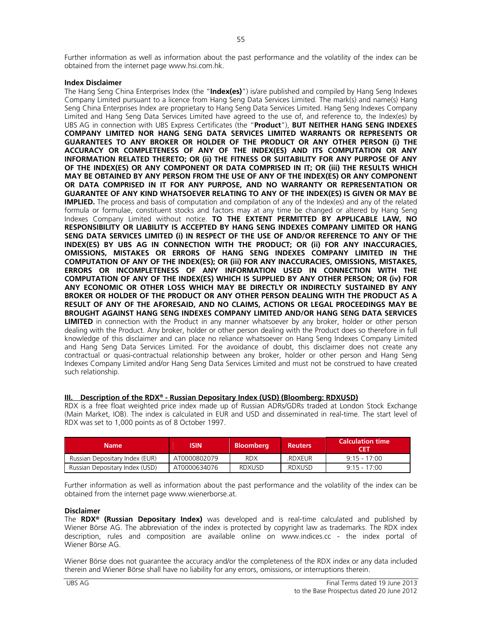Further information as well as information about the past performance and the volatility of the index can be obtained from the internet page www.hsi.com.hk.

# **Index Disclaimer**

The Hang Seng China Enterprises Index (the "**Index(es)**") is/are published and compiled by Hang Seng Indexes Company Limited pursuant to a licence from Hang Seng Data Services Limited. The mark(s) and name(s) Hang Seng China Enterprises Index are proprietary to Hang Seng Data Services Limited. Hang Seng Indexes Company Limited and Hang Seng Data Services Limited have agreed to the use of, and reference to, the Index(es) by UBS AG in connection with UBS Express Certificates (the "**Product**"), **BUT NEITHER HANG SENG INDEXES COMPANY LIMITED NOR HANG SENG DATA SERVICES LIMITED WARRANTS OR REPRESENTS OR GUARANTEES TO ANY BROKER OR HOLDER OF THE PRODUCT OR ANY OTHER PERSON (i) THE ACCURACY OR COMPLETENESS OF ANY OF THE INDEX(ES) AND ITS COMPUTATION OR ANY INFORMATION RELATED THERETO; OR (ii) THE FITNESS OR SUITABILITY FOR ANY PURPOSE OF ANY OF THE INDEX(ES) OR ANY COMPONENT OR DATA COMPRISED IN IT; OR (iii) THE RESULTS WHICH MAY BE OBTAINED BY ANY PERSON FROM THE USE OF ANY OF THE INDEX(ES) OR ANY COMPONENT OR DATA COMPRISED IN IT FOR ANY PURPOSE, AND NO WARRANTY OR REPRESENTATION OR GUARANTEE OF ANY KIND WHATSOEVER RELATING TO ANY OF THE INDEX(ES) IS GIVEN OR MAY BE IMPLIED.** The process and basis of computation and compilation of any of the Index(es) and any of the related formula or formulae, constituent stocks and factors may at any time be changed or altered by Hang Seng Indexes Company Limited without notice. **TO THE EXTENT PERMITTED BY APPLICABLE LAW, NO RESPONSIBILITY OR LIABILITY IS ACCEPTED BY HANG SENG INDEXES COMPANY LIMITED OR HANG SENG DATA SERVICES LIMITED (i) IN RESPECT OF THE USE OF AND/OR REFERENCE TO ANY OF THE INDEX(ES) BY UBS AG IN CONNECTION WITH THE PRODUCT; OR (ii) FOR ANY INACCURACIES, OMISSIONS, MISTAKES OR ERRORS OF HANG SENG INDEXES COMPANY LIMITED IN THE COMPUTATION OF ANY OF THE INDEX(ES); OR (iii) FOR ANY INACCURACIES, OMISSIONS, MISTAKES, ERRORS OR INCOMPLETENESS OF ANY INFORMATION USED IN CONNECTION WITH THE COMPUTATION OF ANY OF THE INDEX(ES) WHICH IS SUPPLIED BY ANY OTHER PERSON; OR (iv) FOR ANY ECONOMIC OR OTHER LOSS WHICH MAY BE DIRECTLY OR INDIRECTLY SUSTAINED BY ANY BROKER OR HOLDER OF THE PRODUCT OR ANY OTHER PERSON DEALING WITH THE PRODUCT AS A RESULT OF ANY OF THE AFORESAID, AND NO CLAIMS, ACTIONS OR LEGAL PROCEEDINGS MAY BE BROUGHT AGAINST HANG SENG INDEXES COMPANY LIMITED AND/OR HANG SENG DATA SERVICES LIMITED** in connection with the Product in any manner whatsoever by any broker, holder or other person dealing with the Product. Any broker, holder or other person dealing with the Product does so therefore in full knowledge of this disclaimer and can place no reliance whatsoever on Hang Seng Indexes Company Limited and Hang Seng Data Services Limited. For the avoidance of doubt, this disclaimer does not create any contractual or quasi-contractual relationship between any broker, holder or other person and Hang Seng Indexes Company Limited and/or Hang Seng Data Services Limited and must not be construed to have created such relationship.

# **III. Description of the RDX® - Russian Depositary Index (USD) (Bloomberg: RDXUSD)**

RDX is a free float weighted price index made up of Russian ADRs/GDRs traded at London Stock Exchange (Main Market, IOB). The index is calculated in EUR and USD and disseminated in real-time. The start level of RDX was set to 1,000 points as of 8 October 1997.

| <b>Name</b>                    | <b>ISIN</b>  | <b>Bloomberg</b> | <b>Reuters</b> | <b>Calculation time</b><br>CFT |
|--------------------------------|--------------|------------------|----------------|--------------------------------|
| Russian Depositary Index (EUR) | AT0000802079 | <b>RDX</b>       | .RDXEUR        | $9.15 - 17.00$                 |
| Russian Depositary Index (USD) | AT0000634076 | <b>RDXUSD</b>    | .RDXUSD        | $9.15 - 17.00$                 |

Further information as well as information about the past performance and the volatility of the index can be obtained from the internet page www.wienerborse.at.

## **Disclaimer**

The **RDX® (Russian Depositary Index)** was developed and is real-time calculated and published by Wiener Börse AG. The abbreviation of the index is protected by copyright law as trademarks. The RDX index description, rules and composition are available online on www.indices.cc - the index portal of Wiener Börse AG.

Wiener Börse does not guarantee the accuracy and/or the completeness of the RDX index or any data included therein and Wiener Börse shall have no liability for any errors, omissions, or interruptions therein.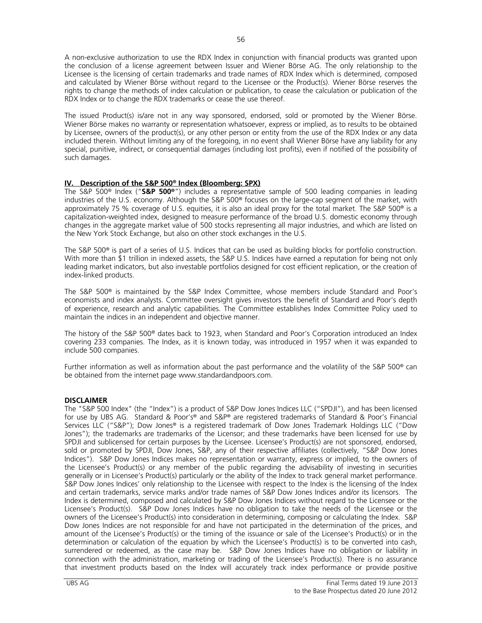A non-exclusive authorization to use the RDX Index in conjunction with financial products was granted upon the conclusion of a license agreement between Issuer and Wiener Börse AG. The only relationship to the Licensee is the licensing of certain trademarks and trade names of RDX Index which is determined, composed and calculated by Wiener Börse without regard to the Licensee or the Product(s). Wiener Börse reserves the rights to change the methods of index calculation or publication, to cease the calculation or publication of the RDX Index or to change the RDX trademarks or cease the use thereof.

The issued Product(s) is/are not in any way sponsored, endorsed, sold or promoted by the Wiener Börse. Wiener Börse makes no warranty or representation whatsoever, express or implied, as to results to be obtained by Licensee, owners of the product(s), or any other person or entity from the use of the RDX Index or any data included therein. Without limiting any of the foregoing, in no event shall Wiener Börse have any liability for any special, punitive, indirect, or consequential damages (including lost profits), even if notified of the possibility of such damages.

# **IV. Description of the S&P 500® Index (Bloomberg: SPX)**

The S&P 500® Index ("**S&P 500®**") includes a representative sample of 500 leading companies in leading industries of the U.S. economy. Although the S&P 500® focuses on the large-cap segment of the market, with approximately 75 % coverage of U.S. equities, it is also an ideal proxy for the total market. The S&P 500<sup>®</sup> is a capitalization-weighted index, designed to measure performance of the broad U.S. domestic economy through changes in the aggregate market value of 500 stocks representing all major industries, and which are listed on the New York Stock Exchange, but also on other stock exchanges in the U.S.

The S&P 500® is part of a series of U.S. Indices that can be used as building blocks for portfolio construction. With more than \$1 trillion in indexed assets, the S&P U.S. Indices have earned a reputation for being not only leading market indicators, but also investable portfolios designed for cost efficient replication, or the creation of index-linked products.

The S&P 500® is maintained by the S&P Index Committee, whose members include Standard and Poor's economists and index analysts. Committee oversight gives investors the benefit of Standard and Poor's depth of experience, research and analytic capabilities. The Committee establishes Index Committee Policy used to maintain the indices in an independent and objective manner.

The history of the S&P 500® dates back to 1923, when Standard and Poor's Corporation introduced an Index covering 233 companies. The Index, as it is known today, was introduced in 1957 when it was expanded to include 500 companies.

Further information as well as information about the past performance and the volatility of the S&P 500® can be obtained from the internet page www.standardandpoors.com.

# **DISCLAIMER**

The "S&P 500 Index" (the "Index") is a product of S&P Dow Jones Indices LLC ("SPDJI"), and has been licensed for use by UBS AG. Standard & Poor's® and S&P® are registered trademarks of Standard & Poor's Financial Services LLC ("S&P"); Dow Jones® is a registered trademark of Dow Jones Trademark Holdings LLC ("Dow Jones"); the trademarks are trademarks of the Licensor; and these trademarks have been licensed for use by SPDJI and sublicensed for certain purposes by the Licensee. Licensee's Product(s) are not sponsored, endorsed, sold or promoted by SPDJI, Dow Jones, S&P, any of their respective affiliates (collectively, "S&P Dow Jones Indices"). S&P Dow Jones Indices makes no representation or warranty, express or implied, to the owners of the Licensee's Product(s) or any member of the public regarding the advisability of investing in securities generally or in Licensee's Product(s) particularly or the ability of the Index to track general market performance. S&P Dow Jones Indices' only relationship to the Licensee with respect to the Index is the licensing of the Index and certain trademarks, service marks and/or trade names of S&P Dow Jones Indices and/or its licensors. The Index is determined, composed and calculated by S&P Dow Jones Indices without regard to the Licensee or the Licensee's Product(s). S&P Dow Jones Indices have no obligation to take the needs of the Licensee or the owners of the Licensee's Product(s) into consideration in determining, composing or calculating the Index. S&P Dow Jones Indices are not responsible for and have not participated in the determination of the prices, and amount of the Licensee's Product(s) or the timing of the issuance or sale of the Licensee's Product(s) or in the determination or calculation of the equation by which the Licensee's Product(s) is to be converted into cash, surrendered or redeemed, as the case may be. S&P Dow Jones Indices have no obligation or liability in connection with the administration, marketing or trading of the Licensee's Product(s). There is no assurance that investment products based on the Index will accurately track index performance or provide positive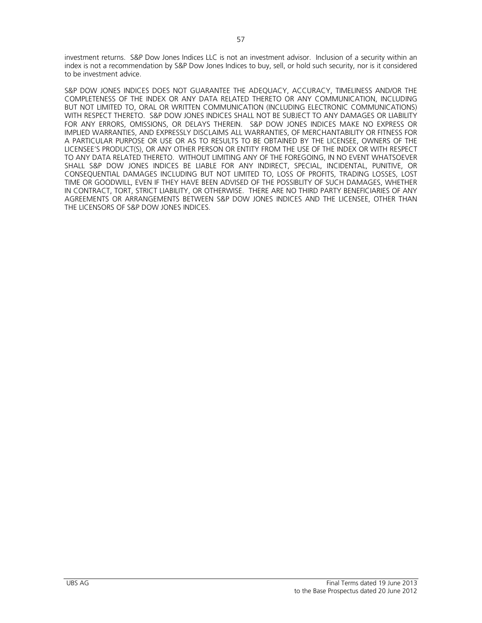investment returns. S&P Dow Jones Indices LLC is not an investment advisor. Inclusion of a security within an index is not a recommendation by S&P Dow Jones Indices to buy, sell, or hold such security, nor is it considered to be investment advice.

S&P DOW JONES INDICES DOES NOT GUARANTEE THE ADEQUACY, ACCURACY, TIMELINESS AND/OR THE COMPLETENESS OF THE INDEX OR ANY DATA RELATED THERETO OR ANY COMMUNICATION, INCLUDING BUT NOT LIMITED TO, ORAL OR WRITTEN COMMUNICATION (INCLUDING ELECTRONIC COMMUNICATIONS) WITH RESPECT THERETO. S&P DOW JONES INDICES SHALL NOT BE SUBJECT TO ANY DAMAGES OR LIABILITY FOR ANY ERRORS, OMISSIONS, OR DELAYS THEREIN. S&P DOW JONES INDICES MAKE NO EXPRESS OR IMPLIED WARRANTIES, AND EXPRESSLY DISCLAIMS ALL WARRANTIES, OF MERCHANTABILITY OR FITNESS FOR A PARTICULAR PURPOSE OR USE OR AS TO RESULTS TO BE OBTAINED BY THE LICENSEE, OWNERS OF THE LICENSEE'S PRODUCT(S), OR ANY OTHER PERSON OR ENTITY FROM THE USE OF THE INDEX OR WITH RESPECT TO ANY DATA RELATED THERETO. WITHOUT LIMITING ANY OF THE FOREGOING, IN NO EVENT WHATSOEVER SHALL S&P DOW JONES INDICES BE LIABLE FOR ANY INDIRECT, SPECIAL, INCIDENTAL, PUNITIVE, OR CONSEQUENTIAL DAMAGES INCLUDING BUT NOT LIMITED TO, LOSS OF PROFITS, TRADING LOSSES, LOST TIME OR GOODWILL, EVEN IF THEY HAVE BEEN ADVISED OF THE POSSIBLITY OF SUCH DAMAGES, WHETHER IN CONTRACT, TORT, STRICT LIABILITY, OR OTHERWISE. THERE ARE NO THIRD PARTY BENEFICIARIES OF ANY AGREEMENTS OR ARRANGEMENTS BETWEEN S&P DOW JONES INDICES AND THE LICENSEE, OTHER THAN THE LICENSORS OF S&P DOW JONES INDICES.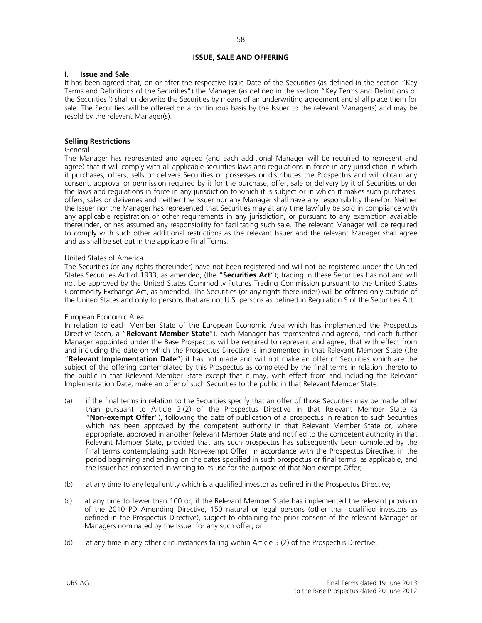# **ISSUE, SALE AND OFFERING**

## **I. Issue and Sale**

It has been agreed that, on or after the respective Issue Date of the Securities (as defined in the section "Key Terms and Definitions of the Securities") the Manager (as defined in the section "Key Terms and Definitions of the Securities") shall underwrite the Securities by means of an underwriting agreement and shall place them for sale. The Securities will be offered on a continuous basis by the Issuer to the relevant Manager(s) and may be resold by the relevant Manager(s).

# **Selling Restrictions**

## General

The Manager has represented and agreed (and each additional Manager will be required to represent and agree) that it will comply with all applicable securities laws and regulations in force in any jurisdiction in which it purchases, offers, sells or delivers Securities or possesses or distributes the Prospectus and will obtain any consent, approval or permission required by it for the purchase, offer, sale or delivery by it of Securities under the laws and regulations in force in any jurisdiction to which it is subject or in which it makes such purchases, offers, sales or deliveries and neither the Issuer nor any Manager shall have any responsibility therefor. Neither the Issuer nor the Manager has represented that Securities may at any time lawfully be sold in compliance with any applicable registration or other requirements in any jurisdiction, or pursuant to any exemption available thereunder, or has assumed any responsibility for facilitating such sale. The relevant Manager will be required to comply with such other additional restrictions as the relevant Issuer and the relevant Manager shall agree and as shall be set out in the applicable Final Terms.

## United States of America

The Securities (or any rights thereunder) have not been registered and will not be registered under the United States Securities Act of 1933, as amended, (the "**Securities Act**"); trading in these Securities has not and will not be approved by the United States Commodity Futures Trading Commission pursuant to the United States Commodity Exchange Act, as amended. The Securities (or any rights thereunder) will be offered only outside of the United States and only to persons that are not U.S. persons as defined in Regulation S of the Securities Act.

## European Economic Area

In relation to each Member State of the European Economic Area which has implemented the Prospectus Directive (each, a "**Relevant Member State**"), each Manager has represented and agreed, and each further Manager appointed under the Base Prospectus will be required to represent and agree, that with effect from and including the date on which the Prospectus Directive is implemented in that Relevant Member State (the "**Relevant Implementation Date**") it has not made and will not make an offer of Securities which are the subject of the offering contemplated by this Prospectus as completed by the final terms in relation thereto to the public in that Relevant Member State except that it may, with effect from and including the Relevant Implementation Date, make an offer of such Securities to the public in that Relevant Member State:

- (a) if the final terms in relation to the Securities specify that an offer of those Securities may be made other than pursuant to Article 3 (2) of the Prospectus Directive in that Relevant Member State (a "**Non-exempt Offer**"), following the date of publication of a prospectus in relation to such Securities which has been approved by the competent authority in that Relevant Member State or, where appropriate, approved in another Relevant Member State and notified to the competent authority in that Relevant Member State, provided that any such prospectus has subsequently been completed by the final terms contemplating such Non-exempt Offer, in accordance with the Prospectus Directive, in the period beginning and ending on the dates specified in such prospectus or final terms, as applicable, and the Issuer has consented in writing to its use for the purpose of that Non-exempt Offer;
- (b) at any time to any legal entity which is a qualified investor as defined in the Prospectus Directive;
- (c) at any time to fewer than 100 or, if the Relevant Member State has implemented the relevant provision of the 2010 PD Amending Directive, 150 natural or legal persons (other than qualified investors as defined in the Prospectus Directive), subject to obtaining the prior consent of the relevant Manager or Managers nominated by the Issuer for any such offer; or
- (d) at any time in any other circumstances falling within Article 3 (2) of the Prospectus Directive,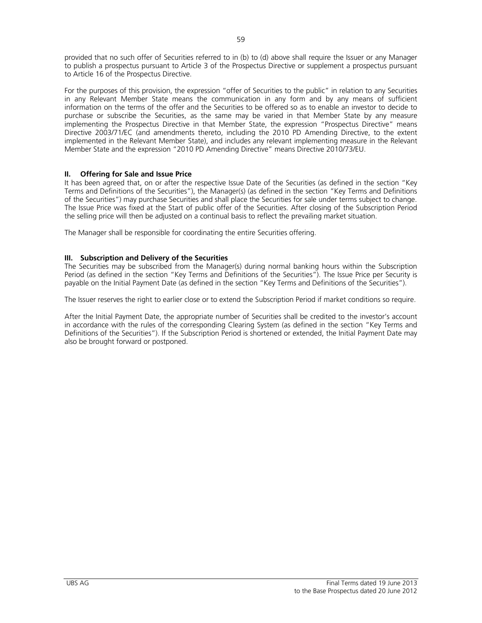provided that no such offer of Securities referred to in (b) to (d) above shall require the Issuer or any Manager to publish a prospectus pursuant to Article 3 of the Prospectus Directive or supplement a prospectus pursuant to Article 16 of the Prospectus Directive.

For the purposes of this provision, the expression "offer of Securities to the public" in relation to any Securities in any Relevant Member State means the communication in any form and by any means of sufficient information on the terms of the offer and the Securities to be offered so as to enable an investor to decide to purchase or subscribe the Securities, as the same may be varied in that Member State by any measure implementing the Prospectus Directive in that Member State, the expression "Prospectus Directive" means Directive 2003/71/EC (and amendments thereto, including the 2010 PD Amending Directive, to the extent implemented in the Relevant Member State), and includes any relevant implementing measure in the Relevant Member State and the expression "2010 PD Amending Directive" means Directive 2010/73/EU.

# **II. Offering for Sale and Issue Price**

It has been agreed that, on or after the respective Issue Date of the Securities (as defined in the section "Key Terms and Definitions of the Securities"), the Manager(s) (as defined in the section "Key Terms and Definitions of the Securities") may purchase Securities and shall place the Securities for sale under terms subject to change. The Issue Price was fixed at the Start of public offer of the Securities. After closing of the Subscription Period the selling price will then be adjusted on a continual basis to reflect the prevailing market situation.

The Manager shall be responsible for coordinating the entire Securities offering.

# **III. Subscription and Delivery of the Securities**

The Securities may be subscribed from the Manager(s) during normal banking hours within the Subscription Period (as defined in the section "Key Terms and Definitions of the Securities"). The Issue Price per Security is payable on the Initial Payment Date (as defined in the section "Key Terms and Definitions of the Securities").

The Issuer reserves the right to earlier close or to extend the Subscription Period if market conditions so require.

After the Initial Payment Date, the appropriate number of Securities shall be credited to the investor's account in accordance with the rules of the corresponding Clearing System (as defined in the section "Key Terms and Definitions of the Securities"). If the Subscription Period is shortened or extended, the Initial Payment Date may also be brought forward or postponed.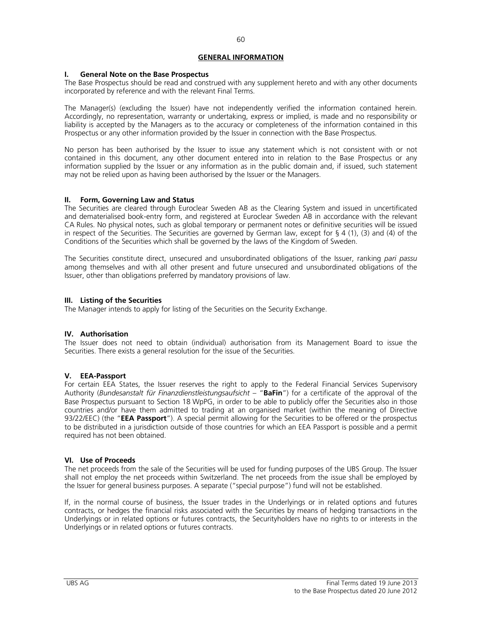# **GENERAL INFORMATION**

## **I. General Note on the Base Prospectus**

The Base Prospectus should be read and construed with any supplement hereto and with any other documents incorporated by reference and with the relevant Final Terms.

The Manager(s) (excluding the Issuer) have not independently verified the information contained herein. Accordingly, no representation, warranty or undertaking, express or implied, is made and no responsibility or liability is accepted by the Managers as to the accuracy or completeness of the information contained in this Prospectus or any other information provided by the Issuer in connection with the Base Prospectus.

No person has been authorised by the Issuer to issue any statement which is not consistent with or not contained in this document, any other document entered into in relation to the Base Prospectus or any information supplied by the Issuer or any information as in the public domain and, if issued, such statement may not be relied upon as having been authorised by the Issuer or the Managers.

# **II. Form, Governing Law and Status**

The Securities are cleared through Euroclear Sweden AB as the Clearing System and issued in uncertificated and dematerialised book-entry form, and registered at Euroclear Sweden AB in accordance with the relevant CA Rules. No physical notes, such as global temporary or permanent notes or definitive securities will be issued in respect of the Securities. The Securities are governed by German law, except for § 4 (1), (3) and (4) of the Conditions of the Securities which shall be governed by the laws of the Kingdom of Sweden.

The Securities constitute direct, unsecured and unsubordinated obligations of the Issuer, ranking *pari passu* among themselves and with all other present and future unsecured and unsubordinated obligations of the Issuer, other than obligations preferred by mandatory provisions of law.

## **III. Listing of the Securities**

The Manager intends to apply for listing of the Securities on the Security Exchange.

# **IV. Authorisation**

The Issuer does not need to obtain (individual) authorisation from its Management Board to issue the Securities. There exists a general resolution for the issue of the Securities.

# **V. EEA-Passport**

For certain EEA States, the Issuer reserves the right to apply to the Federal Financial Services Supervisory Authority (*Bundesanstalt für Finanzdienstleistungsaufsicht* – "**BaFin**") for a certificate of the approval of the Base Prospectus pursuant to Section 18 WpPG, in order to be able to publicly offer the Securities also in those countries and/or have them admitted to trading at an organised market (within the meaning of Directive 93/22/EEC) (the "**EEA Passport**"). A special permit allowing for the Securities to be offered or the prospectus to be distributed in a jurisdiction outside of those countries for which an EEA Passport is possible and a permit required has not been obtained.

# **VI. Use of Proceeds**

The net proceeds from the sale of the Securities will be used for funding purposes of the UBS Group. The Issuer shall not employ the net proceeds within Switzerland. The net proceeds from the issue shall be employed by the Issuer for general business purposes. A separate ("special purpose") fund will not be established.

If, in the normal course of business, the Issuer trades in the Underlyings or in related options and futures contracts, or hedges the financial risks associated with the Securities by means of hedging transactions in the Underlyings or in related options or futures contracts, the Securityholders have no rights to or interests in the Underlyings or in related options or futures contracts.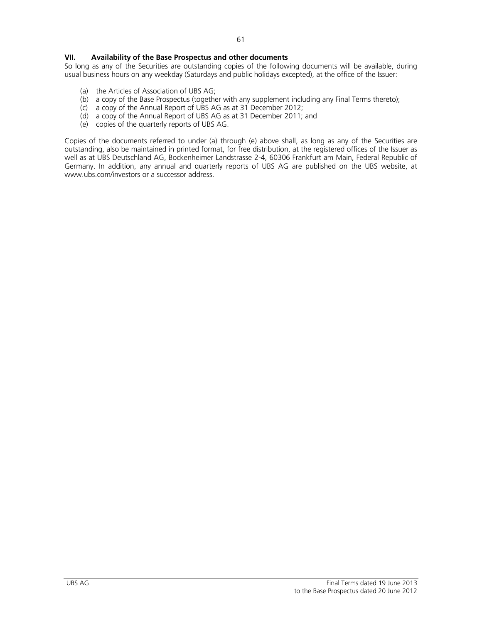So long as any of the Securities are outstanding copies of the following documents will be available, during usual business hours on any weekday (Saturdays and public holidays excepted), at the office of the Issuer:

- (a) the Articles of Association of UBS AG;
- (b) a copy of the Base Prospectus (together with any supplement including any Final Terms thereto);
- (c) a copy of the Annual Report of UBS AG as at 31 December 2012;
- (d) a copy of the Annual Report of UBS AG as at 31 December 2011; and
- (e) copies of the quarterly reports of UBS AG.

Copies of the documents referred to under (a) through (e) above shall, as long as any of the Securities are outstanding, also be maintained in printed format, for free distribution, at the registered offices of the Issuer as well as at UBS Deutschland AG, Bockenheimer Landstrasse 2-4, 60306 Frankfurt am Main, Federal Republic of Germany. In addition, any annual and quarterly reports of UBS AG are published on the UBS website, at www.ubs.com/investors or a successor address.